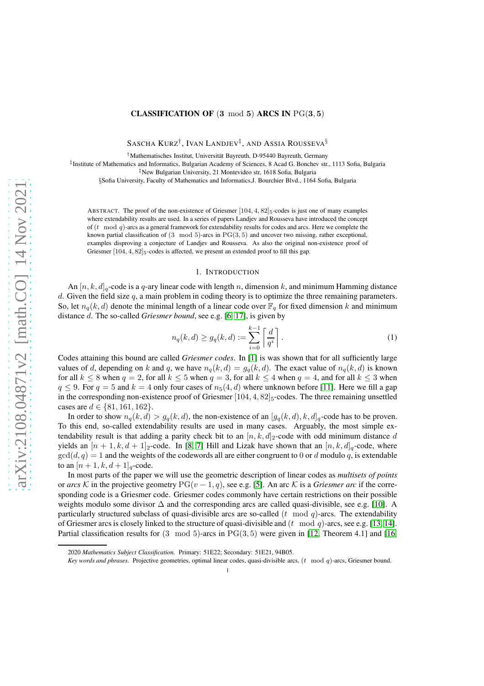## **CLASSIFICATION OF (3 mod 5) ARCS IN PG(3,5)**

SASCHA KURZ† , IVAN LANDJEV‡ , AND ASSIA ROUSSEVA§

<sup>†</sup>Mathematisches Institut, Universität Bayreuth, D-95440 Bayreuth, Germany

‡ Institute of Mathematics and Informatics, Bulgarian Academy of Sciences, 8 Acad G. Bonchev str., 1113 Sofia, Bulgaria ‡New Bulgarian University, 21 Montevideo str, 1618 Sofia, Bulgaria

§Sofia University, Faculty of Mathematics and Informatics, J. Bourchier Blvd., 1164 Sofia, Bulgaria

ABSTRACT. The proof of the non-existence of Griesmer  $[104, 4, 82]_5$ -codes is just one of many examples where extendability results are used. In a series of papers Landjev and Rousseva have introduced the concept of  $(t \mod a)$ -arcs as a general framework for extendability results for codes and arcs. Here we complete the known partial classification of  $(3 \mod 5)$ -arcs in PG $(3, 5)$  and uncover two missing, rather exceptional, examples disproving a conjecture of Landjev and Rousseva. As also the original non-existence proof of Griesmer  $[104, 4, 82]_5$ -codes is affected, we present an extended proof to fill this gap.

## 1. INTRODUCTION

An  $[n, k, d]_q$ -code is a q-ary linear code with length n, dimension k, and minimum Hamming distance d. Given the field size  $q$ , a main problem in coding theory is to optimize the three remaining parameters. So, let  $n_q(k, d)$  denote the minimal length of a linear code over  $\mathbb{F}_q$  for fixed dimension k and minimum distance d. The so-called *Griesmer bound*, see e.g. [\[6,](#page-25-0) [17\]](#page-26-0), is given by

$$
n_q(k,d) \ge g_q(k,d) := \sum_{i=0}^{k-1} \left[ \frac{d}{q^i} \right].
$$
 (1)

Codes attaining this bound are called *Griesmer codes*. In [\[1\]](#page-25-1) is was shown that for all sufficiently large values of d, depending on k and q, we have  $n_q(k, d) = g_q(k, d)$ . The exact value of  $n_q(k, d)$  is known for all  $k \le 8$  when  $q = 2$ , for all  $k \le 5$  when  $q = 3$ , for all  $k \le 4$  when  $q = 4$ , and for all  $k \le 3$  when  $q \le 9$ . For  $q = 5$  and  $k = 4$  only four cases of  $n_5(4, d)$  where unknown before [\[11\]](#page-26-1). Here we fill a gap in the corresponding non-existence proof of Griesmer  $[104, 4, 82]_5$ -codes. The three remaining unsettled cases are  $d \in \{81, 161, 162\}$ .

In order to show  $n_q(k, d) > g_q(k, d)$ , the non-existence of an  $[g_q(k, d), k, d]_q$ -code has to be proven. To this end, so-called extendability results are used in many cases. Arguably, the most simple extendability result is that adding a parity check bit to an  $[n, k, d]_2$ -code with odd minimum distance d yields an  $[n+1, k, d+1]_2$ -code. In [\[8,](#page-25-2) [7\]](#page-25-3) Hill and Lizak have shown that an  $[n, k, d]_q$ -code, where  $gcd(d, q) = 1$  and the weights of the codewords all are either congruent to 0 or d modulo q, is extendable to an  $[n+1, k, d+1]_q$ -code.

In most parts of the paper we will use the geometric description of linear codes as *multisets of points* or *arcs* K in the projective geometry  $PG(v-1, q)$ , see e.g. [\[5\]](#page-25-4). An arc K is a *Griesmer arc* if the corresponding code is a Griesmer code. Griesmer codes commonly have certain restrictions on their possible weights modulo some divisor ∆ and the corresponding arcs are called quasi-divisible, see e.g. [\[10\]](#page-26-2). A particularly structured subclass of quasi-divisible arcs are so-called  $(t \mod q)$ -arcs. The extendability of Griesmer arcs is closely linked to the structure of quasi-divisible and  $(t \mod q)$ -arcs, see e.g. [\[13,](#page-26-3) [14\]](#page-26-4). Partial classification results for  $(3 \mod 5)$ -arcs in PG $(3, 5)$  were given in [\[12,](#page-26-5) Theorem 4.1] and [\[16,](#page-26-6)

<sup>2020</sup> *Mathematics Subject Classification.* Primary: 51E22; Secondary: 51E21, 94B05.

*Key words and phrases.* Projective geometries, optimal linear codes, quasi-divisible arcs, (t mod q)-arcs, Griesmer bound.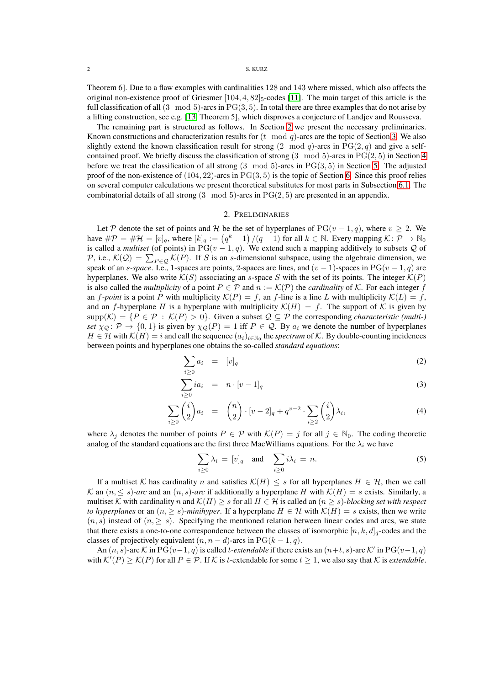Theorem 6]. Due to a flaw examples with cardinalities 128 and 143 where missed, which also affects the original non-existence proof of Griesmer  $[104, 4, 82]_5$ -codes [\[11\]](#page-26-1). The main target of this article is the full classification of all  $(3 \mod 5)$ -arcs in PG $(3, 5)$ . In total there are three examples that do not arise by a lifting construction, see e.g. [\[13,](#page-26-3) Theorem 5], which disproves a conjecture of Landjev and Rousseva.

The remaining part is structured as follows. In Section [2](#page-1-0) we present the necessary preliminaries. Known constructions and characterization results for  $(t \mod q)$ -arcs are the topic of Section [3.](#page-3-0) We also slightly extend the known classification result for strong  $(2 \mod q)$ -arcs in PG $(2, q)$  and give a selfcontained proof. We briefly discuss the classification of strong (3 mod 5)-arcs in PG(2, 5) in Section [4](#page-7-0) before we treat the classification of all strong  $(3 \mod 5)$ -arcs in PG $(3, 5)$  in Section [5.](#page-9-0) The adjusted proof of the non-existence of  $(104, 22)$ -arcs in  $PG(3, 5)$  is the topic of Section [6.](#page-15-0) Since this proof relies on several computer calculations we present theoretical substitutes for most parts in Subsection [6.1.](#page-16-0) The combinatorial details of all strong  $(3 \mod 5)$ -arcs in PG $(2, 5)$  are presented in an appendix.

### 2. PRELIMINARIES

<span id="page-1-0"></span>Let P denote the set of points and H be the set of hyperplanes of PG( $v - 1, q$ ), where  $v \ge 2$ . We have  $\#\mathcal{P} = \#\mathcal{H} = [v]_q$ , where  $[k]_q := (q^k - 1)/(q - 1)$  for all  $k \in \mathbb{N}$ . Every mapping  $\mathcal{K} \colon \overline{\mathcal{P}} \to \mathbb{N}_0$ is called a *multiset* (of points) in PG( $v - 1, q$ ). We extend such a mapping additively to subsets Q of P, i.e.,  $\mathcal{K}(Q) = \sum_{P \in Q} \mathcal{K}(P)$ . If S is an s-dimensional subspace, using the algebraic dimension, we speak of an *s-space*. I.e., 1-spaces are points, 2-spaces are lines, and  $(v - 1)$ -spaces in PG $(v - 1, q)$  are hyperplanes. We also write  $\mathcal{K}(S)$  associating an s-space S with the set of its points. The integer  $\mathcal{K}(P)$ is also called the *multiplicity* of a point  $P \in \mathcal{P}$  and  $n := \mathcal{K}(\mathcal{P})$  the *cardinality* of K. For each integer f an f-point is a point P with multiplicity  $\mathcal{K}(P) = f$ , an f-line is a line L with multiplicity  $\mathcal{K}(L) = f$ , and an f-hyperplane H is a hyperplane with multiplicity  $\mathcal{K}(H) = f$ . The support of K is given by  $\text{supp}(K) = \{P \in \mathcal{P} : K(P) > 0\}.$  Given a subset  $\mathcal{Q} \subseteq \mathcal{P}$  the corresponding *characteristic (multi-) set*  $\chi_{\mathcal{Q}}$ :  $\mathcal{P} \to \{0,1\}$  is given by  $\chi_{\mathcal{Q}}(P) = 1$  iff  $P \in \mathcal{Q}$ . By  $a_i$  we denote the number of hyperplanes  $H \in \mathcal{H}$  with  $\mathcal{K}(H) = i$  and call the sequence  $(a_i)_{i \in \mathbb{N}_0}$  the *spectrum* of  $\mathcal{K}$ . By double-counting incidences between points and hyperplanes one obtains the so-called *standard equations*:

$$
\sum_{i\geq 0} a_i = [v]_q \tag{2}
$$

$$
\sum_{i\geq 0} ia_i = n \cdot [v-1]_q \tag{3}
$$

$$
\sum_{i\geq 0} \binom{i}{2} a_i = \binom{n}{2} \cdot [v-2]_q + q^{v-2} \cdot \sum_{i\geq 2} \binom{i}{2} \lambda_i,\tag{4}
$$

where  $\lambda_j$  denotes the number of points  $P \in \mathcal{P}$  with  $\mathcal{K}(P) = j$  for all  $j \in \mathbb{N}_0$ . The coding theoretic analog of the standard equations are the first three MacWilliams equations. For the  $\lambda_i$  we have

$$
\sum_{i\geq 0} \lambda_i = [v]_q \quad \text{and} \quad \sum_{i\geq 0} i\lambda_i = n. \tag{5}
$$

If a multiset K has cardinality n and satisfies  $K(H) \leq s$  for all hyperplanes  $H \in \mathcal{H}$ , then we call  $\mathcal K$  an  $(n, \leq s)$ -arc and an  $(n, s)$ -arc if additionally a hyperplane H with  $\mathcal K(H) = s$  exists. Similarly, a multiset K with cardinality n and  $\mathcal{K}(H) \geq s$  for all  $H \in \mathcal{H}$  is called an  $(n \geq s)$ *-blocking set with respect to hyperplanes* or an  $(n, \geq s)$ *-minihyper*. If a hyperplane  $H \in \mathcal{H}$  with  $\mathcal{K}(H) = s$  exists, then we write  $(n, s)$  instead of  $(n, \geq s)$ . Specifying the mentioned relation between linear codes and arcs, we state that there exists a one-to-one correspondence between the classes of isomorphic  $[n, k, d]_q$ -codes and the classes of projectively equivalent  $(n, n - d)$ -arcs in PG $(k - 1, q)$ .

An  $(n, s)$ -arc K in PG $(v-1, q)$  is called t-extendable if there exists an  $(n+t, s)$ -arc K' in PG $(v-1, q)$ with  $\mathcal{K}'(P) \geq \mathcal{K}(P)$  for all  $P \in \mathcal{P}$ . If  $\mathcal K$  is *t*-extendable for some  $t \geq 1$ , we also say that  $\mathcal K$  is *extendable*.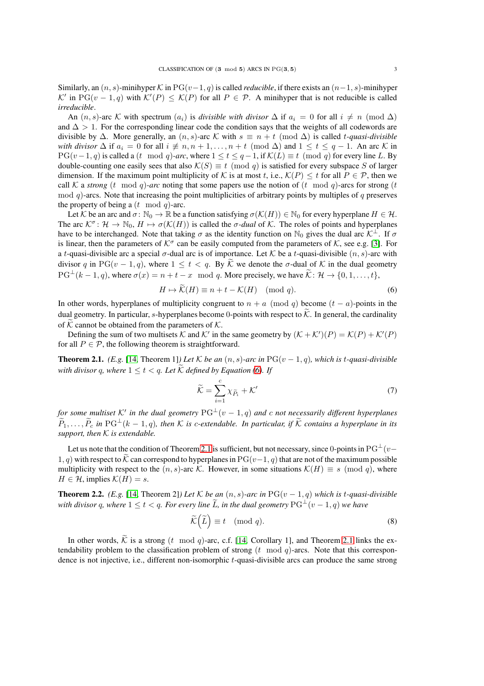Similarly, an  $(n, s)$ -minihyper K in PG $(v-1, q)$  is called *reducible*, if there exists an  $(n-1, s)$ -minihyper  $\mathcal{K}'$  in PG( $v-1, q$ ) with  $\mathcal{K}'(P) \leq \mathcal{K}(P)$  for all  $P \in \mathcal{P}$ . A minihyper that is not reducible is called *irreducible*.

An  $(n, s)$ -arc K with spectrum  $(a_i)$  is *divisible with divisor*  $\Delta$  if  $a_i = 0$  for all  $i \neq n \pmod{\Delta}$ and  $\Delta > 1$ . For the corresponding linear code the condition says that the weights of all codewords are divisible by  $\Delta$ . More generally, an  $(n, s)$ -arc K with  $s \equiv n + t \pmod{\Delta}$  is called *t-quasi-divisible with divisor*  $\Delta$  if  $a_i = 0$  for all  $i \neq n, n + 1, \ldots, n + t \pmod{\Delta}$  and  $1 \leq t \leq q - 1$ . An arc K in  $PG(v-1, q)$  is called a  $(t \mod q)$ -arc, where  $1 \le t \le q-1$ , if  $\mathcal{K}(L) \equiv t \pmod{q}$  for every line L. By double-counting one easily sees that also  $\mathcal{K}(S) \equiv t \pmod{q}$  is satisfied for every subspace S of larger dimension. If the maximum point multiplicity of K is at most t, i.e.,  $\mathcal{K}(P) \leq t$  for all  $P \in \mathcal{P}$ , then we call K a *strong* (t mod q)-arc noting that some papers use the notion of (t mod q)-arcs for strong (t mod  $q$ )-arcs. Note that increasing the point multiplicities of arbitrary points by multiples of  $q$  preserves the property of being a  $(t \mod q)$ -arc.

Let K be an arc and  $\sigma: \mathbb{N}_0 \to \mathbb{R}$  be a function satisfying  $\sigma(\mathcal{K}(H)) \in \mathbb{N}_0$  for every hyperplane  $H \in \mathcal{H}$ . The arc  $K^{\sigma}$ :  $\mathcal{H} \to \mathbb{N}_0$ ,  $H \mapsto \sigma(\mathcal{K}(H))$  is called the  $\sigma$ -dual of K. The roles of points and hyperplanes have to be interchanged. Note that taking  $\sigma$  as the identity function on N<sub>0</sub> gives the dual arc  $K^{\perp}$ . If  $\sigma$ is linear, then the parameters of  $K^{\sigma}$  can be easily computed from the parameters of K, see e.g. [\[3\]](#page-25-5). For a t-quasi-divisible arc a special  $\sigma$ -dual arc is of importance. Let K be a t-quasi-divisible  $(n, s)$ -arc with divisor q in PG( $v - 1, q$ ), where  $1 \le t < q$ . By  $\widetilde{K}$  we denote the  $\sigma$ -dual of K in the dual geometry  $PG^{\perp}(k-1,q)$ , where  $\sigma(x) = n+t-x \mod q$ . More precisely, we have  $\widetilde{\mathcal{K}}: \mathcal{H} \to \{0,1,\ldots,t\}$ ,

<span id="page-2-0"></span>
$$
H \mapsto \mathcal{K}(H) \equiv n + t - \mathcal{K}(H) \pmod{q}.
$$
 (6)

In other words, hyperplanes of multiplicity congruent to  $n + a \pmod{q}$  become  $(t - a)$ -points in the dual geometry. In particular, s-hyperplanes become 0-points with respect to  $\tilde{K}$ . In general, the cardinality of  $\widetilde{\mathcal{K}}$  cannot be obtained from the parameters of  $\mathcal{K}$ .

Defining the sum of two multisets K and K' in the same geometry by  $(K + K')(P) = K(P) + K'(P)$ for all  $P \in \mathcal{P}$ , the following theorem is straightforward.

<span id="page-2-1"></span>**Theorem 2.1.** *(E.g.* [\[14,](#page-26-4) Theorem 1]*) Let* K *be an*  $(n, s)$ *-arc in* PG( $v - 1, q$ *), which is t-quasi-divisible with divisor q, where*  $1 \le t \le q$ *. Let*  $\widetilde{K}$  *defined by Equation* [\(6\)](#page-2-0)*. If* 

$$
\widetilde{\mathcal{K}} = \sum_{i=1}^{c} \chi_{\widetilde{P}_i} + \mathcal{K}' \tag{7}
$$

*for some multiset* K′ *in the dual geometry* PG<sup>⊥</sup>(v − 1, q) *and* c *not necessarily different hyperplanes*  $\widetilde{P}_1, \ldots, \widetilde{P}_c$  in PG<sup>⊥</sup>(k – 1, q), then K is c-extendable. In particular, if  $\widetilde{K}$  contains a hyperplane in its *support, then* K *is extendable.*

Let us note that the condition of Theorem [2.1](#page-2-1) is sufficient, but not necessary, since 0-points in PG<sup>⊥</sup>(v– 1, q) with respect to  $\tilde{\mathcal{K}}$  can correspond to hyperplanes in PG( $(v-1, q)$ ) that are not of the maximum possible multiplicity with respect to the  $(n, s)$ -arc K. However, in some situations  $\mathcal{K}(H) \equiv s \pmod{q}$ , where  $H \in \mathcal{H}$ , implies  $\mathcal{K}(H) = s$ .

**Theorem 2.2.** *(E.g.* [\[14,](#page-26-4) Theorem 2]*) Let* K *be an*  $(n, s)$ *-arc in* PG( $v - 1, q$ ) *which is t-quasi-divisible with divisor* q, where  $1 \le t \le q$ . For every line  $\tilde{L}$ , in the dual geometry  $PG^{\perp}(v-1,q)$  *we have* 

$$
\widetilde{\mathcal{K}}(\widetilde{L}) \equiv t \pmod{q}.
$$
\n(8)

In other words,  $\widetilde{K}$  is a strong (t mod q)-arc, c.f. [\[14,](#page-26-4) Corollary 1], and Theorem [2.1](#page-2-1) links the extendability problem to the classification problem of strong  $(t \mod q)$ -arcs. Note that this correspondence is not injective, i.e., different non-isomorphic t-quasi-divisible arcs can produce the same strong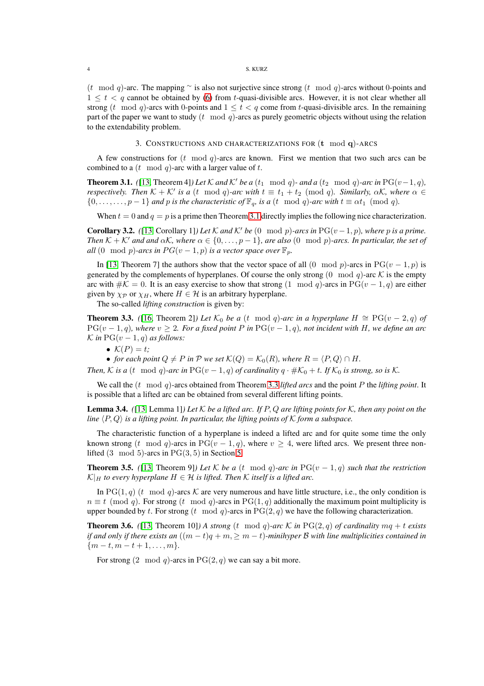### 4 S. KURZ

(t mod q)-arc. The mapping  $\sim$  is also not surjective since strong (t mod q)-arcs without 0-points and  $1 \leq t < q$  cannot be obtained by [\(6\)](#page-2-0) from t-quasi-divisible arcs. However, it is not clear whether all strong (t mod q)-arcs with 0-points and  $1 \le t \le q$  come from t-quasi-divisible arcs. In the remaining part of the paper we want to study  $(t \mod q)$ -arcs as purely geometric objects without using the relation to the extendability problem.

3. CONSTRUCTIONS AND CHARACTERIZATIONS FOR (t mod q)-ARCS

<span id="page-3-0"></span>A few constructions for  $(t \mod q)$ -arcs are known. First we mention that two such arcs can be combined to a  $(t \mod q)$ -arc with a larger value of t.

<span id="page-3-1"></span>**Theorem 3.1.** *(*[\[13,](#page-26-3) Theorem 4]*)* Let  $K$  and  $K'$  be a (t<sub>1</sub> mod q)- and a (t<sub>2</sub> mod q)-arc in PG(v-1, q), *respectively. Then*  $K + K'$  *is a* (*t* mod *q*)-arc with  $t \equiv t_1 + t_2 \pmod{q}$ . Similarly,  $\alpha K$ , where  $\alpha \in$  $\{0,\ldots,\ldots,p-1\}$  *and* p *is the characteristic of*  $\mathbb{F}_q$ *, is a* (t mod q)*-arc with*  $t \equiv \alpha t_1 \pmod{q}$ *.* 

When  $t = 0$  and  $q = p$  is a prime then Theorem [3.1](#page-3-1) directly implies the following nice characterization.

**Corollary 3.2.** *(*[\[13,](#page-26-3) Corollary 1]*) Let*  $K$  *and*  $K'$  *be* (0 mod p)*-arcs in*  $PG(v-1, p)$ *, where* p *is a prime. Then*  $K + K'$  *and and*  $\alpha K$ *, where*  $\alpha \in \{0, \ldots, p-1\}$ *, are also* (0 mod p)-arcs. In particular, the set of *all* (0 mod p)-arcs in  $PG(v-1, p)$  is a vector space over  $\mathbb{F}_p$ .

In [\[13,](#page-26-3) Theorem 7] the authors show that the vector space of all (0 mod p)-arcs in PG(v – 1, p) is generated by the complements of hyperplanes. Of course the only strong  $(0 \mod q)$ -arc K is the empty arc with  $\#K = 0$ . It is an easy exercise to show that strong  $(1 \mod q)$ -arcs in PG $(v - 1, q)$  are either given by  $\chi_{\mathcal{P}}$  or  $\chi_H$ , where  $H \in \mathcal{H}$  is an arbitrary hyperplane.

The so-called *lifting construction* is given by:

<span id="page-3-2"></span>**Theorem 3.3.** *(*[\[16,](#page-26-6) Theorem 2]*)* Let  $\mathcal{K}_0$  be a (t mod q)-arc in a hyperplane  $H \cong PG(v-2, q)$  of  $PG(v-1, q)$ *, where*  $v \geq 2$ *. For a fixed point* P in  $PG(v-1, q)$ *, not incident with* H, we define an arc  $\mathcal K$  *in* PG( $v - 1$ , q) as follows:

•  $\mathcal{K}(P) = t$ ;

• *for each point*  $Q \neq P$  *in*  $P$  *we set*  $\mathcal{K}(Q) = \mathcal{K}_0(R)$ *, where*  $R = \langle P, Q \rangle \cap H$ *.* 

*Then,* K is a (t mod q)-arc in PG(v – 1, q) of cardinality  $q \cdot #K_0 + t$ . If  $K_0$  is strong, so is K.

We call the (t mod q)-arcs obtained from Theorem [3.3](#page-3-2) *lifted arcs* and the point P the *lifting point*. It is possible that a lifted arc can be obtained from several different lifting points.

Lemma 3.4. *(*[\[13,](#page-26-3) Lemma 1]*) Let* K *be a lifted arc. If* P, Q *are lifting points for* K*, then any point on the line*  $\langle P, Q \rangle$  *is a lifting point. In particular, the lifting points of* K *form a subspace.* 

The characteristic function of a hyperplane is indeed a lifted arc and for quite some time the only known strong (t mod q)-arcs in PG( $v - 1, q$ ), where  $v \ge 4$ , were lifted arcs. We present three nonlifted  $(3 \mod 5)$ -arcs in  $PG(3, 5)$  in Section [5.](#page-9-0)

**Theorem 3.5.** *(*[\[13,](#page-26-3) Theorem 9]*) Let*  $K$  *be a* (t mod q)-arc in PG( $v - 1, q$ ) such that the restriction  $\mathcal{K}|_H$  to every hyperplane  $H \in \mathcal{H}$  is lifted. Then K itself is a lifted arc.

In PG(1, q) (t mod q)-arcs K are very numerous and have little structure, i.e., the only condition is  $n \equiv t \pmod{q}$ . For strong  $(t \mod q)$ -arcs in PG(1, q) additionally the maximum point multiplicity is upper bounded by t. For strong  $(t \mod q)$ -arcs in  $PG(2, q)$  we have the following characterization.

<span id="page-3-3"></span>**Theorem 3.6.** ([\[13,](#page-26-3) Theorem 10]*)* A strong (t mod q)-arc K in PG(2, q) of cardinality  $mq + t$  exists *if and only if there exists an*  $((m - t)q + m, \ge m - t)$ *-minihyper B with line multiplicities contained in*  ${m-t, m-t+1, \ldots, m}.$ 

For strong  $(2 \mod q)$ -arcs in  $PG(2, q)$  we can say a bit more.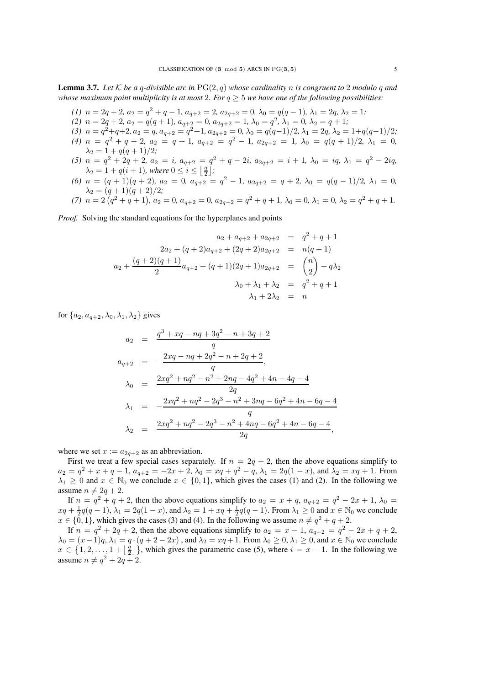<span id="page-4-0"></span>**Lemma 3.7.** Let K be a q-divisible arc in  $PG(2,q)$  whose cardinality n is congruent to 2 modulo q and *whose maximum point multiplicity is at most* 2*. For*  $q \geq 5$  *we have one of the following possibilities:* 

- *(1)*  $n = 2q + 2$ ,  $a_2 = q^2 + q 1$ ,  $a_{q+2} = 2$ ,  $a_{2q+2} = 0$ ,  $\lambda_0 = q(q-1)$ ,  $\lambda_1 = 2q$ ,  $\lambda_2 = 1$ ;
- (2)  $n = 2q + 2, a_2 = q(q + 1), a_{q+2} = 0, a_{2q+2} = 1, \lambda_0 = q^2, \lambda_1 = 0, \lambda_2 = q + 1;$
- *(3)*  $n = q^2 + q + 2$ ,  $a_2 = q$ ,  $a_{q+2} = q^2 + 1$ ,  $a_{2q+2} = 0$ ,  $\lambda_0 = q(q-1)/2$ ,  $\lambda_1 = 2q$ ,  $\lambda_2 = 1 + q(q-1)/2$ ;
- *(4)*  $n = q^2 + q + 2$ ,  $a_2 = q + 1$ ,  $a_{q+2} = q^2 1$ ,  $a_{2q+2} = 1$ ,  $\lambda_0 = q(q+1)/2$ ,  $\lambda_1 = 0$ ,  $\lambda_2 = 1 + q(q+1)/2;$
- $(5)$   $n = q^2 + 2q + 2$ ,  $a_2 = i$ ,  $a_{q+2} = q^2 + q 2i$ ,  $a_{2q+2} = i + 1$ ,  $\lambda_0 = iq$ ,  $\lambda_1 = q^2 2iq$ ,  $\lambda_2 = 1 + q(i + 1)$ *, where*  $0 \leq i \leq \lfloor \frac{q}{2} \rfloor$ *;*
- (6)  $n = (q + 1)(q + 2)$ ,  $a_2 = 0$ ,  $a_{q+2} = q^2 1$ ,  $a_{2q+2} = q + 2$ ,  $\lambda_0 = q(q 1)/2$ ,  $\lambda_1 = 0$ ,  $\lambda_2 = (q+1)(q+2)/2;$

(7) 
$$
n = 2(q^2 + q + 1), a_2 = 0, a_{q+2} = 0, a_{2q+2} = q^2 + q + 1, \lambda_0 = 0, \lambda_1 = 0, \lambda_2 = q^2 + q + 1.
$$

*Proof.* Solving the standard equations for the hyperplanes and points

$$
a_2 + a_{q+2} + a_{2q+2} = q^2 + q + 1
$$
  
\n
$$
2a_2 + (q+2)a_{q+2} + (2q+2)a_{2q+2} = n(q+1)
$$
  
\n
$$
a_2 + \frac{(q+2)(q+1)}{2}a_{q+2} + (q+1)(2q+1)a_{2q+2} = \binom{n}{2} + q\lambda_2
$$
  
\n
$$
\lambda_0 + \lambda_1 + \lambda_2 = q^2 + q + 1
$$
  
\n
$$
\lambda_1 + 2\lambda_2 = n
$$

for  $\{a_2, a_{q+2}, \lambda_0, \lambda_1, \lambda_2\}$  gives

$$
a_2 = \frac{q^3 + xq - nq + 3q^2 - n + 3q + 2}{q}
$$
  
\n
$$
a_{q+2} = -\frac{2xq - nq + 2q^2 - n + 2q + 2}{q},
$$
  
\n
$$
\lambda_0 = \frac{2xq^2 + nq^2 - n^2 + 2nq - 4q^2 + 4n - 4q - 4}{2q}
$$
  
\n
$$
\lambda_1 = -\frac{2xq^2 + nq^2 - 2q^3 - n^2 + 3nq - 6q^2 + 4n - 6q - 4}{q}
$$
  
\n
$$
\lambda_2 = \frac{2xq^2 + nq^2 - 2q^3 - n^2 + 4nq - 6q^2 + 4n - 6q - 4}{2q},
$$

where we set  $x := a_{2a+2}$  as an abbreviation.

First we treat a few special cases separately. If  $n = 2q + 2$ , then the above equations simplify to  $a_2 = q^2 + x + q - 1$ ,  $a_{q+2} = -2x + 2$ ,  $\lambda_0 = xq + q^2 - q$ ,  $\lambda_1 = 2q(1-x)$ , and  $\lambda_2 = xq + 1$ . From  $\lambda_1 \geq 0$  and  $x \in \mathbb{N}_0$  we conclude  $x \in \{0, 1\}$ , which gives the cases (1) and (2). In the following we assume  $n \neq 2q + 2$ .

If  $n = q^2 + q + 2$ , then the above equations simplify to  $a_2 = x + q$ ,  $a_{q+2} = q^2 - 2x + 1$ ,  $\lambda_0 =$  $xq + \frac{1}{2}q(q-1), \lambda_1 = 2q(1-x)$ , and  $\lambda_2 = 1 + xq + \frac{1}{2}q(q-1)$ . From  $\lambda_1 \ge 0$  and  $x \in \mathbb{N}_0$  we conclude  $x \in \{0, 1\}$ , which gives the cases (3) and (4). In the following we assume  $n \neq q^2 + q + 2$ .

If  $n = q^2 + 2q + 2$ , then the above equations simplify to  $a_2 = x - 1$ ,  $a_{q+2} = q^2 - 2x + q + 2$ ,  $\lambda_0 = (x-1)q$ ,  $\lambda_1 = q \cdot (q+2-2x)$ , and  $\lambda_2 = xq+1$ . From  $\lambda_0 \geq 0$ ,  $\lambda_1 \geq 0$ , and  $x \in \mathbb{N}_0$  we conclude  $x \in \{1, 2, \ldots, 1 + \left|\frac{q}{2}\right|$  $\left\{\frac{q}{2}\right\}$ , which gives the parametric case (5), where  $i = x - 1$ . In the following we assume  $n \neq q^2 + 2q + 2$ .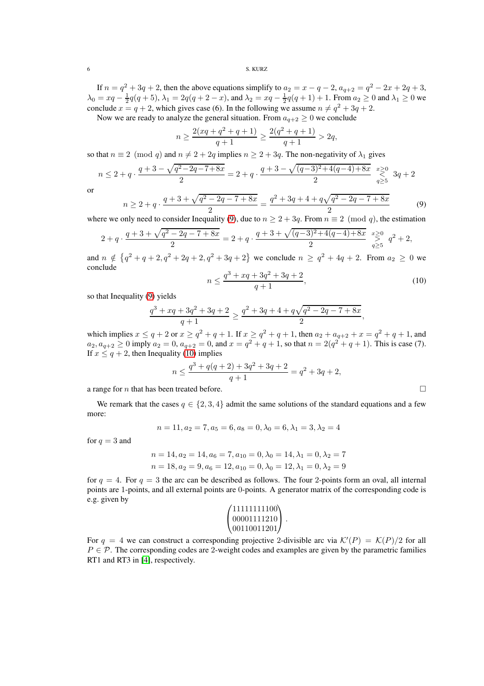If  $n = q^2 + 3q + 2$ , then the above equations simplify to  $a_2 = x - q - 2$ ,  $a_{q+2} = q^2 - 2x + 2q + 3$ ,  $\lambda_0 = xq - \frac{1}{2}q(q+5), \lambda_1 = 2q(q+2-x)$ , and  $\lambda_2 = xq - \frac{1}{2}q(q+1) + 1$ . From  $a_2 \ge 0$  and  $\lambda_1 \ge 0$  we conclude  $x = q + 2$ , which gives case (6). In the following we assume  $n \neq q^2 + 3q + 2$ .

Now we are ready to analyze the general situation. From  $a_{q+2} \geq 0$  we conclude

$$
n \ge \frac{2(xq + q^2 + q + 1)}{q + 1} \ge \frac{2(q^2 + q + 1)}{q + 1} > 2q,
$$

so that  $n \equiv 2 \pmod{q}$  and  $n \neq 2 + 2q$  implies  $n \geq 2 + 3q$ . The non-negativity of  $\lambda_1$  gives

$$
n \le 2 + q \cdot \frac{q+3 - \sqrt{q^2 - 2q - 7 + 8x}}{2} = 2 + q \cdot \frac{q+3 - \sqrt{(q-3)^2 + 4(q-4) + 8x}}{2} \underset{q \ge 5}{\overset{x \ge 0}{\rightleftharpoons}} 3q + 2
$$

or

<span id="page-5-0"></span>
$$
n \ge 2 + q \cdot \frac{q + 3 + \sqrt{q^2 - 2q - 7 + 8x}}{2} = \frac{q^2 + 3q + 4 + q\sqrt{q^2 - 2q - 7 + 8x}}{2} \tag{9}
$$

where we only need to consider Inequality [\(9\)](#page-5-0), due to  $n \ge 2 + 3q$ . From  $n \equiv 2 \pmod{q}$ , the estimation

$$
2+q\cdot \frac{q+3+\sqrt{q^2-2q-7+8x}}{2}=2+q\cdot \frac{q+3+\sqrt{(q-3)^2+4(q-4)+8x}}{2}\begin{array}{c}x\geq 0\\q\geq 5\end{array}q^2+2,
$$

and  $n \notin \{q^2 + q + 2, q^2 + 2q + 2, q^2 + 3q + 2\}$  we conclude  $n \geq q^2 + 4q + 2$ . From  $a_2 \geq 0$  we conclude

<span id="page-5-1"></span>
$$
n \le \frac{q^3 + xq + 3q^2 + 3q + 2}{q + 1},\tag{10}
$$

so that Inequality [\(9\)](#page-5-0) yields

$$
\frac{q^3+xq+3q^2+3q+2}{q+1}\geq \frac{q^2+3q+4+q\sqrt{q^2-2q-7+8x}}{2}
$$

which implies  $x \le q + 2$  or  $x \ge q^2 + q + 1$ . If  $x \ge q^2 + q + 1$ , then  $a_2 + a_{q+2} + x = q^2 + q + 1$ , and  $a_2, a_{q+2} \ge 0$  imply  $a_2 = 0$ ,  $a_{q+2} = 0$ , and  $x = q^2 + q + 1$ , so that  $n = 2(q^2 + q + 1)$ . This is case (7). If  $x \leq q + 2$ , then Inequality [\(10\)](#page-5-1) implies

$$
n \le \frac{q^3 + q(q+2) + 3q^2 + 3q + 2}{q+1} = q^2 + 3q + 2,
$$

a range for *n* that has been treated before.

We remark that the cases  $q \in \{2, 3, 4\}$  admit the same solutions of the standard equations and a few more:

$$
n = 11, a_2 = 7, a_5 = 6, a_8 = 0, \lambda_0 = 6, \lambda_1 = 3, \lambda_2 = 4
$$

for  $q = 3$  and

$$
n = 14, a_2 = 14, a_6 = 7, a_{10} = 0, \lambda_0 = 14, \lambda_1 = 0, \lambda_2 = 7
$$
  

$$
n = 18, a_2 = 9, a_6 = 12, a_{10} = 0, \lambda_0 = 12, \lambda_1 = 0, \lambda_2 = 9
$$

for  $q = 4$ . For  $q = 3$  the arc can be described as follows. The four 2-points form an oval, all internal points are 1-points, and all external points are 0-points. A generator matrix of the corresponding code is e.g. given by

| (11111111100)         |  |
|-----------------------|--|
| 00001111210           |  |
| $\frac{00110011201}{$ |  |

For  $q = 4$  we can construct a corresponding projective 2-divisible arc via  $\mathcal{K}'(P) = \mathcal{K}(P)/2$  for all  $P \in \mathcal{P}$ . The corresponding codes are 2-weight codes and examples are given by the parametric families RT1 and RT3 in [\[4\]](#page-25-6), respectively.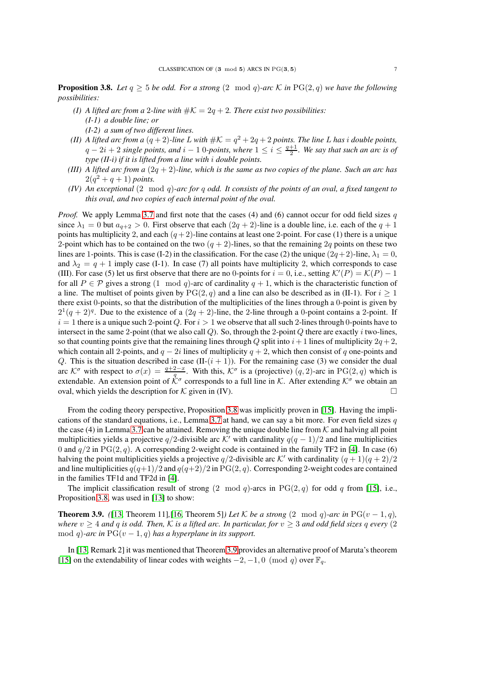<span id="page-6-0"></span>**Proposition 3.8.** *Let*  $q \ge 5$  *be odd. For a strong*  $(2 \mod q)$ *-arc* K *in* PG $(2, q)$  *we have the following possibilities:*

- *(I)* A lifted arc from a 2-line with  $\#K = 2q + 2$ . There exist two possibilities: *(I-1) a double line; or (I-2) a sum of two different lines.*
- *(II)* A lifted arc from a  $(q+2)$ -line L with  $\#K = q^2 + 2q + 2$  points. The line L has i double points,  $q-2i+2$  single points, and  $i-1$  0*-points, where*  $1 \leq i \leq \frac{q+1}{2}$ . We say that such an arc is of *type (II-i) if it is lifted from a line with* i *double points.*
- *(III)* A lifted arc from a  $(2q + 2)$ *-line, which is the same as two copies of the plane. Such an arc has*  $2(q^2 + q + 1)$  *points.*
- *(IV) An exceptional* (2 mod q)*-arc for* q *odd. It consists of the points of an oval, a fixed tangent to this oval, and two copies of each internal point of the oval.*

*Proof.* We apply Lemma [3.7](#page-4-0) and first note that the cases (4) and (6) cannot occur for odd field sizes  $q$ since  $\lambda_1 = 0$  but  $a_{q+2} > 0$ . First observe that each  $(2q + 2)$ -line is a double line, i.e. each of the  $q + 1$ points has multiplicity 2, and each  $(q+2)$ -line contains at least one 2-point. For case (1) there is a unique 2-point which has to be contained on the two  $(q + 2)$ -lines, so that the remaining 2q points on these two lines are 1-points. This is case (I-2) in the classification. For the case (2) the unique  $(2q+2)$ -line,  $\lambda_1 = 0$ , and  $\lambda_2 = q + 1$  imply case (I-1). In case (7) all points have multiplicity 2, which corresponds to case (III). For case (5) let us first observe that there are no 0-points for  $i = 0$ , i.e., setting  $\mathcal{K}'(P) = \mathcal{K}(P) - 1$ for all  $P \in \mathcal{P}$  gives a strong (1 mod q)-arc of cardinality  $q + 1$ , which is the characteristic function of a line. The multiset of points given by  $PG(2, q)$  and a line can also be described as in (II-1). For  $i \geq 1$ there exist 0-points, so that the distribution of the multiplicities of the lines through a 0-point is given by  $2^1(q+2)^q$ . Due to the existence of a  $(2q+2)$ -line, the 2-line through a 0-point contains a 2-point. If  $i = 1$  there is a unique such 2-point Q. For  $i > 1$  we observe that all such 2-lines through 0-points have to intersect in the same 2-point (that we also call  $Q$ ). So, through the 2-point  $Q$  there are exactly i two-lines, so that counting points give that the remaining lines through Q split into  $i+1$  lines of multiplicity  $2q+2$ , which contain all 2-points, and  $q - 2i$  lines of multiplicity  $q + 2$ , which then consist of q one-points and Q. This is the situation described in case  $(II-(i + 1))$ . For the remaining case (3) we consider the dual arc K<sup> $\sigma$ </sup> with respect to  $\sigma(x) = \frac{q+2-x}{q}$ . With this, K $\sigma$  is a (projective)  $(q, 2)$ -arc in PG(2, q) which is extendable. An extension point of  $\hat{K}^{\sigma}$  corresponds to a full line in K. After extending  $K^{\sigma}$  we obtain an oval, which yields the description for  $K$  given in (IV).

From the coding theory perspective, Proposition [3.8](#page-6-0) was implicitly proven in [\[15\]](#page-26-7). Having the impli-cations of the standard equations, i.e., Lemma [3.7](#page-4-0) at hand, we can say a bit more. For even field sizes  $q$ the case (4) in Lemma [3.7](#page-4-0) can be attained. Removing the unique double line from  $K$  and halving all point multiplicities yields a projective  $q/2$ -divisible arc K' with cardinality  $q(q-1)/2$  and line multiplicities 0 and  $q/2$  in PG(2, q). A corresponding 2-weight code is contained in the family TF2 in [\[4\]](#page-25-6). In case (6) halving the point multiplicities yields a projective  $q/2$ -divisible arc K' with cardinality  $(q + 1)(q + 2)/2$ and line multiplicities  $q(q+1)/2$  and  $q(q+2)/2$  in PG(2, q). Corresponding 2-weight codes are contained in the families TF1d and TF2d in [\[4\]](#page-25-6).

The implicit classification result of strong  $(2 \mod q)$ -arcs in PG $(2, q)$  for odd q from [\[15\]](#page-26-7), i.e., Proposition [3.8,](#page-6-0) was used in [\[13\]](#page-26-3) to show:

<span id="page-6-1"></span>**Theorem 3.9.** *(*[\[13,](#page-26-3) Theorem 11]*,*[\[16,](#page-26-6) Theorem 5]*)* Let K be a strong (2 mod q)-arc in PG(v – 1, q), *where*  $v \geq 4$  *and* q *is odd. Then,* K *is a lifted arc. In particular, for*  $v \geq 3$  *and odd field sizes* q *every* (2) mod q)-arc in  $PG(v-1, q)$  has a hyperplane in its support.

In [\[13,](#page-26-3) Remark 2] it was mentioned that Theorem [3.9](#page-6-1) provides an alternative proof of Maruta's theorem [\[15\]](#page-26-7) on the extendability of linear codes with weights  $-2$ ,  $-1$ , 0 (mod q) over  $\mathbb{F}_q$ .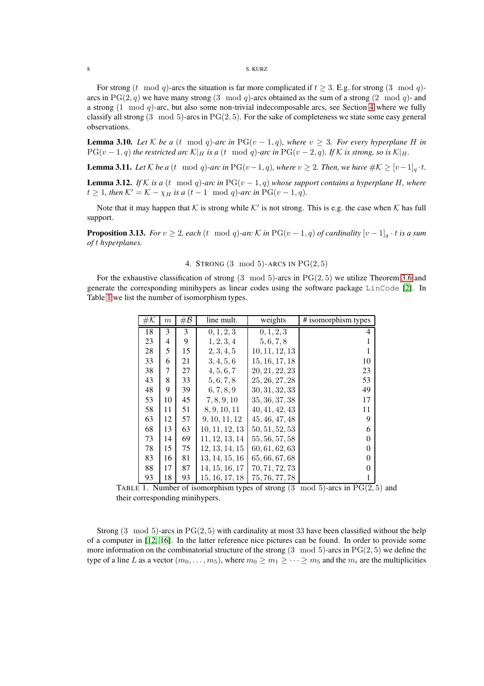### 8 S. KURZ

For strong (t mod q)-arcs the situation is far more complicated if  $t \geq 3$ . E.g. for strong (3 mod q)arcs in PG(2, q) we have many strong (3 mod q)-arcs obtained as the sum of a strong (2 mod q)- and a strong  $(1 \mod q)$ -arc, but also some non-trivial indecomposable arcs, see Section [4](#page-7-0) where we fully classify all strong  $(3 \mod 5)$ -arcs in  $PG(2, 5)$ . For the sake of completeness we state some easy general observations.

**Lemma 3.10.** *Let* K *be a* (t mod q)-arc in PG( $v - 1$ , q), where  $v \geq 3$ . For every hyperplane H in  $PG(v-1,q)$  *the restricted arc*  $K|_H$  *is a* (t mod q)-arc *in*  $PG(v-2,q)$ *. If* K *is strong, so is*  $K|_H$ *.* 

**Lemma 3.11.** *Let*  $K$  *be a* (t mod q)-arc in PG(v-1, q), where  $v ≥ 2$ . Then, we have  $#K ≥ [v-1]_q \cdot t$ .

<span id="page-7-2"></span>**Lemma 3.12.** *If* K *is a* (t mod q)-arc in PG( $v - 1$ , q) whose support contains a hyperplane H, where  $t \geq 1$ *, then*  $K' = K - \chi_H$  *is a*  $(t - 1 \mod q)$ *-arc in*  $PG(v - 1, q)$ *.* 

Note that it may happen that K is strong while K' is not strong. This is e.g. the case when K has full support.

<span id="page-7-0"></span>**Proposition 3.13.** *For*  $v \ge 2$ *, each*  $(t \mod q)$ *-arc*  $K$  *in*  $PG(v-1,q)$  *of cardinality*  $[v-1]_q \cdot t$  *is a sum of* t *hyperplanes.*

4. STRONG  $(3 \mod 5)$ -ARCS IN  $PG(2, 5)$ 

For the exhaustive classification of strong  $(3 \mod 5)$ -arcs in  $PG(2, 5)$  we utilize Theorem [3.6](#page-3-3) and generate the corresponding minihypers as linear codes using the software package LinCode [\[2\]](#page-25-7). In Table [1](#page-7-1) we list the number of isomorphism types.

| $\#\mathcal{K}$ | $_{m}$ | # ${\cal B}$ | line mult.     | weights        | # isomorphism types |
|-----------------|--------|--------------|----------------|----------------|---------------------|
| 18              | 3      | 3            | 0, 1, 2, 3     | 0, 1, 2, 3     | 4                   |
| 23              | 4      | 9            | 1, 2, 3, 4     | 5, 6, 7, 8     | 1                   |
| 28              | 5      | 15           | 2, 3, 4, 5     | 10, 11, 12, 13 | 1                   |
| 33              | 6      | 21           | 3, 4, 5, 6     | 15, 16, 17, 18 | 10                  |
| 38              | 7      | 27           | 4, 5, 6, 7     | 20, 21, 22, 23 | 23                  |
| 43              | 8      | 33           | 5, 6, 7, 8     | 25, 26, 27, 28 | 53                  |
| 48              | 9      | 39           | 6, 7, 8, 9     | 30, 31, 32, 33 | 49                  |
| 53              | 10     | 45           | 7, 8, 9, 10    | 35, 36, 37, 38 | 17                  |
| 58              | 11     | 51           | 8, 9, 10, 11   | 40, 41, 42, 43 | 11                  |
| 63              | 12     | 57           | 9, 10, 11, 12  | 45, 46, 47, 48 | 9                   |
| 68              | 13     | 63           | 10, 11, 12, 13 | 50, 51, 52, 53 | 6                   |
| 73              | 14     | 69           | 11, 12, 13, 14 | 55, 56, 57, 58 | $\overline{0}$      |
| 78              | 15     | 75           | 12, 13, 14, 15 | 60, 61, 62, 63 | $\overline{0}$      |
| 83              | 16     | 81           | 13, 14, 15, 16 | 65, 66, 67, 68 | $\overline{0}$      |
| 88              | 17     | 87           | 14, 15, 16, 17 | 70, 71, 72, 73 | $\overline{0}$      |
| 93              | 18     | 93           | 15, 16, 17, 18 | 75, 76, 77, 78 | 1                   |

<span id="page-7-1"></span>TABLE 1. Number of isomorphism types of strong  $(3 \mod 5)$ -arcs in  $PG(2, 5)$  and their corresponding minihypers.

Strong  $(3 \mod 5)$ -arcs in  $PG(2, 5)$  with cardinality at most 33 have been classified without the help of a computer in [\[12,](#page-26-5) [16\]](#page-26-6). In the latter reference nice pictures can be found. In order to provide some more information on the combinatorial structure of the strong  $(3 \mod 5)$ -arcs in PG $(2, 5)$  we define the type of a line L as a vector  $(m_0, \ldots, m_5)$ , where  $m_0 \ge m_1 \ge \cdots \ge m_5$  and the  $m_i$  are the multiplicities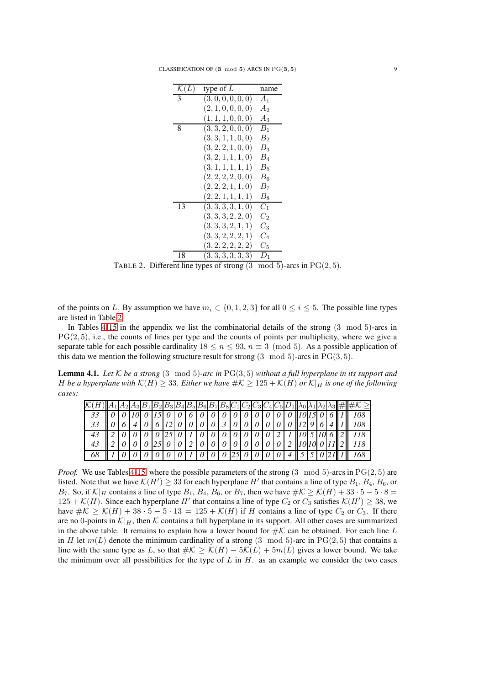CLASSIFICATION OF  $(3 \mod 5)$  ARCS IN PG $(3, 5)$  9

| $\mathcal{K}(L)$ | type of $L$        | name           |
|------------------|--------------------|----------------|
| 3                | (3,0,0,0,0,0)      | $A_1$          |
|                  | (2, 1, 0, 0, 0, 0) | A <sub>2</sub> |
|                  | (1, 1, 1, 0, 0, 0) | $A_3$          |
| 8                | (3, 3, 2, 0, 0, 0) | $B_1$          |
|                  | (3,3,1,1,0,0)      | B <sub>2</sub> |
|                  | (3, 2, 2, 1, 0, 0) | $B_3$          |
|                  | (3, 2, 1, 1, 1, 0) | $B_4$          |
|                  | (3, 1, 1, 1, 1, 1) | $B_5$          |
|                  | (2, 2, 2, 2, 0, 0) | $B_6$          |
|                  | (2, 2, 2, 1, 1, 0) | $B_7$          |
|                  | (2, 2, 1, 1, 1, 1) | $B_8\,$        |
| 13               | (3,3,3,3,1,0)      | $C_1$          |
|                  | (3,3,3,2,2,0)      | $C_2$          |
|                  | (3,3,3,2,1,1)      | $C_3$          |
|                  | (3,3,2,2,2,1)      | $C_{4}$        |
|                  | (3, 2, 2, 2, 2, 2) | $C_5$          |
| 18               | (3,3,3,3,3,3)      | $D_1$          |
|                  |                    |                |

<span id="page-8-0"></span>TABLE 2. Different line types of strong  $(3 \mod 5)$ -arcs in PG $(2, 5)$ .

of the points on L. By assumption we have  $m_i \in \{0, 1, 2, 3\}$  for all  $0 \le i \le 5$ . The possible line types are listed in Table [2.](#page-8-0)

In Tables [4-](#page-27-0)[15](#page-32-0) in the appendix we list the combinatorial details of the strong (3 mod 5)-arcs in  $PG(2, 5)$ , i.e., the counts of lines per type and the counts of points per multiplicity, where we give a separate table for each possible cardinality  $18 \le n \le 93$ ,  $n \equiv 3 \pmod{5}$ . As a possible application of this data we mention the following structure result for strong  $(3 \mod 5)$ -arcs in PG $(3, 5)$ .

Lemma 4.1. *Let* K *be a strong* (3 mod 5)*-arc in* PG(3, 5) *without a full hyperplane in its support and* H be a hyperplane with  $\mathcal{K}(H) \geq 33$ . Either we have  $\#\mathcal{K} \geq 125 + \mathcal{K}(H)$  or  $\mathcal{K}|_H$  is one of the following *cases:*

|  |  |  |  |  |  |  |  |                                                    |  |  | $ \mathcal{K}(H)   A_1 A_2 A_3 B_1 B_2 B_3 B_4 B_5 B_6 B_7 B_8 C_1 C_2 C_3 C_4 C_5 D_1  \lambda_0 \lambda_1 \lambda_2 \lambda_3 \# \# \mathcal{K} \geq$ |
|--|--|--|--|--|--|--|--|----------------------------------------------------|--|--|---------------------------------------------------------------------------------------------------------------------------------------------------------|
|  |  |  |  |  |  |  |  |                                                    |  |  |                                                                                                                                                         |
|  |  |  |  |  |  |  |  |                                                    |  |  | 33 $  0 6 4 0 6 12 0 0 0 0 3 0 0 0 0 0 0 12 9 6 4  1  108$                                                                                              |
|  |  |  |  |  |  |  |  |                                                    |  |  |                                                                                                                                                         |
|  |  |  |  |  |  |  |  |                                                    |  |  |                                                                                                                                                         |
|  |  |  |  |  |  |  |  | $ 0 0 0 0 0 1 0 1 0 0 25 0 0 0 0 4  5 5 0 21  1  $ |  |  |                                                                                                                                                         |

*Proof.* We use Tables [4-](#page-27-0)[15,](#page-32-0) where the possible parameters of the strong  $(3 \mod 5)$ -arcs in  $PG(2, 5)$  are listed. Note that we have  $K(H') \geq 33$  for each hyperplane  $H'$  that contains a line of type  $B_1$ ,  $B_4$ ,  $B_6$ , or  $B_7$ . So, if  $\mathcal{K}|_H$  contains a line of type  $B_1$ ,  $B_4$ ,  $B_6$ , or  $B_7$ , then we have  $\#\mathcal{K} \geq \mathcal{K}(H) + 33 \cdot 5 - 5 \cdot 8 =$  $125 + \mathcal{K}(H)$ . Since each hyperplane H' that contains a line of type  $C_2$  or  $C_3$  satisfies  $\mathcal{K}(H') \geq 38$ , we have  $\#\mathcal{K} \geq \mathcal{K}(H) + 38 \cdot 5 - 5 \cdot 13 = 125 + \mathcal{K}(H)$  if H contains a line of type  $C_2$  or  $C_3$ . If there are no 0-points in  $\mathcal{K}|_H$ , then K contains a full hyperplane in its support. All other cases are summarized in the above table. It remains to explain how a lower bound for  $\#K$  can be obtained. For each line L in H let  $m(L)$  denote the minimum cardinality of a strong (3 mod 5)-arc in PG(2,5) that contains a line with the same type as L, so that  $\#K \geq \mathcal{K}(H) - 5\mathcal{K}(L) + 5m(L)$  gives a lower bound. We take the minimum over all possibilities for the type of  $L$  in  $H$ . as an example we consider the two cases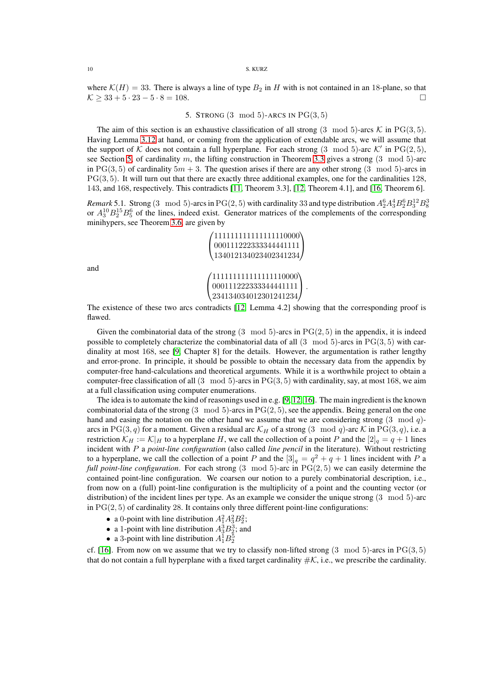#### 10 S. KURZ

<span id="page-9-0"></span>where  $\mathcal{K}(H) = 33$ . There is always a line of type  $B_2$  in H with is not contained in an 18-plane, so that  $\mathcal{K} \geq 33 + 5 \cdot 23 - 5 \cdot 8 = 108.$ 

5. STRONG  $(3 \mod 5)$ -ARCS IN  $PG(3, 5)$ 

The aim of this section is an exhaustive classification of all strong  $(3 \mod 5)$ -arcs K in PG $(3, 5)$ . Having Lemma [3.12](#page-7-2) at hand, or coming from the application of extendable arcs, we will assume that the support of K does not contain a full hyperplane. For each strong  $(3 \mod 5)$ -arc K' in PG $(2, 5)$ , see Section [5,](#page-9-0) of cardinality m, the lifting construction in Theorem [3.3](#page-3-2) gives a strong  $(3 \mod 5)$ -arc in PG(3, 5) of cardinality  $5m + 3$ . The question arises if there are any other strong (3 mod 5)-arcs in  $PG(3, 5)$ . It will turn out that there are exactly three additional examples, one for the cardinalities 128, 143, and 168, respectively. This contradicts [\[11,](#page-26-1) Theorem 3.3], [\[12,](#page-26-5) Theorem 4.1], and [\[16,](#page-26-6) Theorem 6].

*Remark* 5.1. Strong (3 mod 5)-arcs in PG(2,5) with cardinality 33 and type distribution  $A_2^6A_3^4B_2^6B_3^{12}B_8^3$ or  $A_3^{10}B_2^{15}B_5^6$  of the lines, indeed exist. Generator matrices of the complements of the corresponding minihypers, see Theorem [3.6,](#page-3-3) are given by

> $\sqrt{ }$  000111222333344441111 11111111111111110000) 134012134023402341234  $\mathbf{I}$  111111111111111110000 000111222333344441111 234134034012301241234  $\overline{ }$  $\vert \cdot$

and

The existence of these two arcs contradicts [\[12,](#page-26-5) Lemma 4.2] showing that the corresponding proof is flawed.

Given the combinatorial data of the strong  $(3 \mod 5)$ -arcs in  $PG(2, 5)$  in the appendix, it is indeed possible to completely characterize the combinatorial data of all  $(3 \mod 5)$ -arcs in PG $(3, 5)$  with cardinality at most 168, see [\[9,](#page-26-8) Chapter 8] for the details. However, the argumentation is rather lengthy and error-prone. In principle, it should be possible to obtain the necessary data from the appendix by computer-free hand-calculations and theoretical arguments. While it is a worthwhile project to obtain a computer-free classification of all  $(3 \mod 5)$ -arcs in PG $(3, 5)$  with cardinality, say, at most 168, we aim at a full classification using computer enumerations.

The idea is to automate the kind of reasonings used in e.g. [\[9,](#page-26-8) [12,](#page-26-5) [16\]](#page-26-6). The main ingredient is the known combinatorial data of the strong  $(3 \mod 5)$ -arcs in  $PG(2, 5)$ , see the appendix. Being general on the one hand and easing the notation on the other hand we assume that we are considering strong  $(3 \mod q)$ arcs in PG(3, q) for a moment. Given a residual arc  $\mathcal{K}_H$  of a strong (3 mod q)-arc  $\mathcal K$  in PG(3, q), i.e. a restriction  $\mathcal{K}_H := \mathcal{K}|_H$  to a hyperplane H, we call the collection of a point P and the  $[2]_q = q + 1$  lines incident with P a *point-line configuration* (also called *line pencil* in the literature). Without restricting to a hyperplane, we call the collection of a point P and the  $[3]_q = q^2 + q + 1$  lines incident with P a *full point-line configuration*. For each strong (3 mod 5)-arc in PG(2,5) we can easily determine the contained point-line configuration. We coarsen our notion to a purely combinatorial description, i.e., from now on a (full) point-line configuration is the multiplicity of a point and the counting vector (or distribution) of the incident lines per type. As an example we consider the unique strong (3 mod 5)-arc in  $PG(2, 5)$  of cardinality 28. It contains only three different point-line configurations:

- a 0-point with line distribution  $A_1^2 A_2^2 B_2^2$ ;
- a 1-point with line distribution  $A_3^3B_2^3$ ; and
- a 3-point with line distribution  $A_1^1 B_2^5$

cf. [\[16\]](#page-26-6). From now on we assume that we try to classify non-lifted strong  $(3 \mod 5)$ -arcs in PG $(3, 5)$ that do not contain a full hyperplane with a fixed target cardinality  $\#\mathcal{K}$ , i.e., we prescribe the cardinality.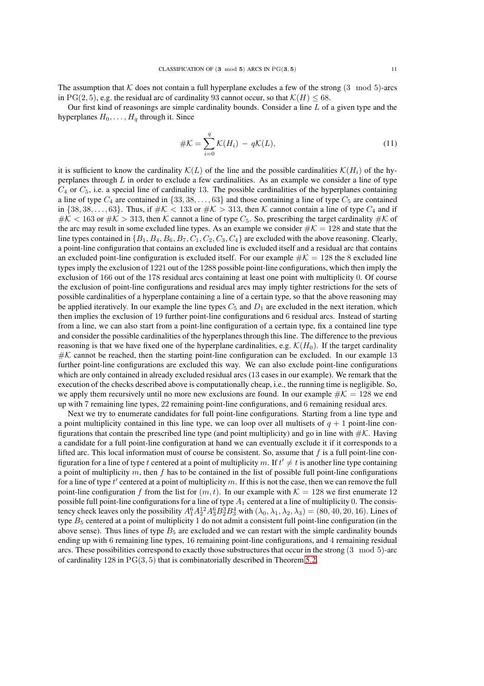The assumption that  $K$  does not contain a full hyperplane excludes a few of the strong  $(3 \mod 5)$ -arcs in PG(2, 5), e.g. the residual arc of cardinality 93 cannot occur, so that  $\mathcal{K}(H) \le 68$ .

Our first kind of reasonings are simple cardinality bounds. Consider a line  $L$  of a given type and the hyperplanes  $H_0, \ldots, H_q$  through it. Since

$$
\#K = \sum_{i=0}^{q} \mathcal{K}(H_i) - q\mathcal{K}(L),\tag{11}
$$

it is sufficient to know the cardinality  $\mathcal{K}(L)$  of the line and the possible cardinalities  $\mathcal{K}(H_i)$  of the hyperplanes through  $L$  in order to exclude a few cardinalities. As an example we consider a line of type  $C_4$  or  $C_5$ , i.e. a special line of cardinality 13. The possible cardinalities of the hyperplanes containing a line of type  $C_4$  are contained in  $\{33, 38, \ldots, 63\}$  and those containing a line of type  $C_5$  are contained in  $\{38, 38, \ldots, 63\}$ . Thus, if  $\#\mathcal{K} < 133$  or  $\#\mathcal{K} > 313$ , then  $\mathcal K$  cannot contain a line of type  $C_4$  and if  $\#K < 163$  or  $\#K > 313$ , then K cannot a line of type  $C_5$ . So, prescribing the target cardinality  $\#K$  of the arc may result in some excluded line types. As an example we consider  $\#\mathcal{K} = 128$  and state that the line types contained in  $\{B_1, B_4, B_6, B_7, C_1, C_2, C_3, C_4\}$  are excluded with the above reasoning. Clearly, a point-line configuration that contains an excluded line is excluded itself and a residual arc that contains an excluded point-line configuration is excluded itself. For our example  $\#K = 128$  the 8 excluded line types imply the exclusion of 1221 out of the 1288 possible point-line configurations, which then imply the exclusion of 166 out of the 178 residual arcs containing at least one point with multiplicity 0. Of course the exclusion of point-line configurations and residual arcs may imply tighter restrictions for the sets of possible cardinalities of a hyperplane containing a line of a certain type, so that the above reasoning may be applied iteratively. In our example the line types  $C_5$  and  $D_1$  are excluded in the next iteration, which then implies the exclusion of 19 further point-line configurations and 6 residual arcs. Instead of starting from a line, we can also start from a point-line configuration of a certain type, fix a contained line type and consider the possible cardinalities of the hyperplanesthrough this line. The difference to the previous reasoning is that we have fixed one of the hyperplane cardinalities, e.g.  $\mathcal{K}(H_0)$ . If the target cardinality  $\#K$  cannot be reached, then the starting point-line configuration can be excluded. In our example 13 further point-line configurations are excluded this way. We can also exclude point-line configurations which are only contained in already excluded residual arcs (13 cases in our example). We remark that the execution of the checks described above is computationally cheap, i.e., the running time is negligible. So, we apply them recursively until no more new exclusions are found. In our example  $\#K = 128$  we end up with 7 remaining line types, 22 remaining point-line configurations, and 6 remaining residual arcs.

Next we try to enumerate candidates for full point-line configurations. Starting from a line type and a point multiplicity contained in this line type, we can loop over all multisets of  $q + 1$  point-line configurations that contain the prescribed line type (and point multiplicity) and go in line with  $\#K$ . Having a candidate for a full point-line configuration at hand we can eventually exclude it if it corresponds to a lifted arc. This local information must of course be consistent. So, assume that  $f$  is a full point-line configuration for a line of type t centered at a point of multiplicity m. If  $t' \neq t$  is another line type containing a point of multiplicity m, then f has to be contained in the list of possible full point-line configurations for a line of type  $t'$  centered at a point of multiplicity  $m$ . If this is not the case, then we can remove the full point-line configuration f from the list for  $(m, t)$ . In our example with  $K = 128$  we first enumerate 12 possible full point-line configurations for a line of type  $A_1$  centered at a line of multiplicity 0. The consistency check leaves only the possibility  $A_1^6 A_2^{12} A_3^6 B_2^3 B_3^4$  with  $(\lambda_0, \lambda_1, \lambda_2, \lambda_3) = (80, 40, 20, 16)$ . Lines of type  $B_5$  centered at a point of multiplicity 1 do not admit a consistent full point-line configuration (in the above sense). Thus lines of type  $B_5$  are excluded and we can restart with the simple cardinality bounds ending up with 6 remaining line types, 16 remaining point-line configurations, and 4 remaining residual arcs. These possibilities correspond to exactly those substructures that occur in the strong (3 mod 5)-arc of cardinality 128 in  $PG(3, 5)$  that is combinatorially described in Theorem [5.2.](#page-11-0)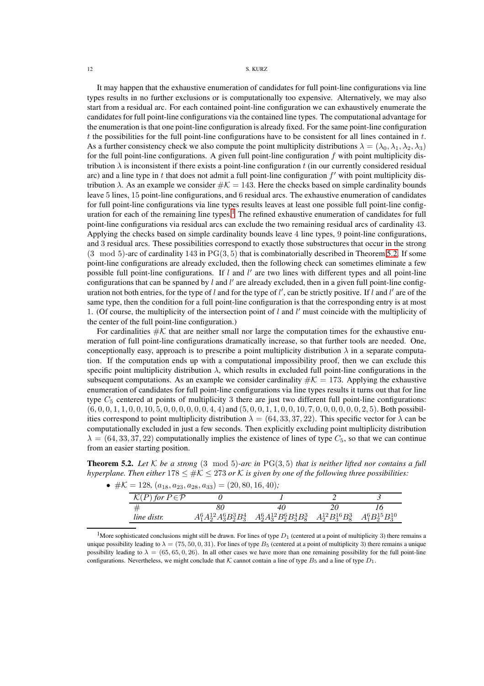### 12 S. KURZ

It may happen that the exhaustive enumeration of candidates for full point-line configurations via line types results in no further exclusions or is computationally too expensive. Alternatively, we may also start from a residual arc. For each contained point-line configuration we can exhaustively enumerate the candidates for full point-line configurations via the contained line types. The computational advantage for the enumeration is that one point-line configuration is already fixed. For the same point-line configuration t the possibilities for the full point-line configurations have to be consistent for all lines contained in  $t$ . As a further consistency check we also compute the point multiplicity distributions  $\lambda = (\lambda_0, \lambda_1, \lambda_2, \lambda_3)$ for the full point-line configurations. A given full point-line configuration  $f$  with point multiplicity distribution  $\lambda$  is inconsistent if there exists a point-line configuration t (in our currently considered residual arc) and a line type in  $t$  that does not admit a full point-line configuration  $f'$  with point multiplicity distribution  $\lambda$ . As an example we consider  $\#\mathcal{K} = 143$ . Here the checks based on simple cardinality bounds leave 5 lines, 15 point-line configurations, and 6 residual arcs. The exhaustive enumeration of candidates for full point-line configurations via line types results leaves at least one possible full point-line config-uration for each of the remaining line types.<sup>[1](#page-11-1)</sup> The refined exhaustive enumeration of candidates for full point-line configurations via residual arcs can exclude the two remaining residual arcs of cardinality 43. Applying the checks based on simple cardinality bounds leave 4 line types, 9 point-line configurations, and 3 residual arcs. These possibilities correspond to exactly those substructures that occur in the strong  $(3 \mod 5)$ -arc of cardinality  $143$  in PG $(3, 5)$  that is combinatorially described in Theorem [5.2.](#page-11-0) If some point-line configurations are already excluded, then the following check can sometimes eliminate a few possible full point-line configurations. If l and l' are two lines with different types and all point-line configurations that can be spanned by  $l$  and  $l'$  are already excluded, then in a given full point-line configuration not both entries, for the type of  $l$  and for the type of  $l'$ , can be strictly positive. If  $l$  and  $l'$  are of the same type, then the condition for a full point-line configuration is that the corresponding entry is at most 1. (Of course, the multiplicity of the intersection point of  $l$  and  $l'$  must coincide with the multiplicity of the center of the full point-line configuration.)

For cardinalities  $\#\mathcal{K}$  that are neither small nor large the computation times for the exhaustive enumeration of full point-line configurations dramatically increase, so that further tools are needed. One, conceptionally easy, approach is to prescribe a point multiplicity distribution  $\lambda$  in a separate computation. If the computation ends up with a computational impossibility proof, then we can exclude this specific point multiplicity distribution  $\lambda$ , which results in excluded full point-line configurations in the subsequent computations. As an example we consider cardinality  $\#K = 173$ . Applying the exhaustive enumeration of candidates for full point-line configurations via line types results it turns out that for line type  $C_5$  centered at points of multiplicity 3 there are just two different full point-line configurations:  $(6, 0, 0, 1, 1, 0, 0, 10, 5, 0, 0, 0, 0, 0, 4, 4)$  and  $(5, 0, 0, 1, 1, 0, 0, 10, 7, 0, 0, 0, 0, 0, 0, 2, 5)$ . Both possibilities correspond to point multiplicity distribution  $\lambda = (64, 33, 37, 22)$ . This specific vector for  $\lambda$  can be computationally excluded in just a few seconds. Then explicitly excluding point multiplicity distribution  $\lambda = (64, 33, 37, 22)$  computationally implies the existence of lines of type  $C_5$ , so that we can continue from an easier starting position.

<span id="page-11-0"></span>**Theorem 5.2.** Let  $K$  be a strong  $(3 \mod 5)$ -arc in  $PG(3, 5)$  that is neither lifted nor contains a full *hyperplane. Then either*  $178 \leq \#K \leq 273$  *or* K *is given by one of the following three possibilities:* 

|  |  |  | • $\#\mathcal{K} = 128, (a_{18}, a_{23}, a_{28}, a_{33}) = (20, 80, 16, 40);$ |  |  |  |  |
|--|--|--|-------------------------------------------------------------------------------|--|--|--|--|
|--|--|--|-------------------------------------------------------------------------------|--|--|--|--|

| for $P \in \mathcal{P}$ |                                |                                |                         |                         |
|-------------------------|--------------------------------|--------------------------------|-------------------------|-------------------------|
|                         |                                | 40                             |                         |                         |
| line distr.             | $A_1^6A_2^{12}A_3^6B_2^3B_3^4$ | $A_2^6A_3^{12}B_2^6B_3^4B_8^3$ | $A_2^{12}B_3^{16}B_8^3$ | $A_1^6B_2^{15}B_3^{10}$ |

<span id="page-11-1"></span><sup>1</sup>More sophisticated conclusions might still be drawn. For lines of type  $D_1$  (centered at a point of multiplicity 3) there remains a unique possibility leading to  $\lambda = (75, 50, 0, 31)$ . For lines of type  $B_5$  (centered at a point of multiplicity 3) there remains a unique possibility leading to  $\lambda = (65, 65, 0, 26)$ . In all other cases we have more than one remaining possibility for the full point-line configurations. Nevertheless, we might conclude that K cannot contain a line of type  $B_5$  and a line of type  $D_1$ .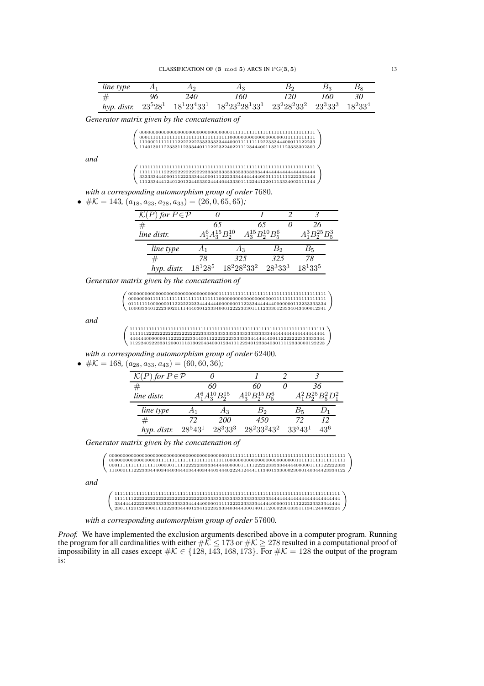| line type |    | A <sub>2</sub> |                                                                                                         | B٥   | Bэ   |    |
|-----------|----|----------------|---------------------------------------------------------------------------------------------------------|------|------|----|
| #         | 96 | 240            | 160                                                                                                     | 120. | 160- | 30 |
|           |    |                | hyp. distr. $23^5 28^1$ $18^1 23^4 33^1$ $18^2 23^2 28^1 33^1$ $23^2 28^2 33^2$ $23^3 33^3$ $18^2 33^4$ |      |      |    |

*Generator matrix given by the concatenation of*

| 111000111111112222222233333334440001111111122233344400011122233      |
|----------------------------------------------------------------------|
| $1140130112233311233344011122232240221112344400113311123333302300\\$ |
|                                                                      |
|                                                                      |
|                                                                      |
|                                                                      |
| 3333334440001112223334440001112223334444444400011111111222333444     |
| 1112334441240120132440330244440443330111224412201113334002111144     |

*with a corresponding automorphism group of order* 7680*.*

•  $\#K = 143, (a_{18}, a_{23}, a_{28}, a_{33}) = (26, 0, 65, 65)$ ;

| for $P \in \mathcal{P}$ |                         |     |                         |        |  |                        |  |
|-------------------------|-------------------------|-----|-------------------------|--------|--|------------------------|--|
|                         | 65                      |     | 65                      |        |  | 26                     |  |
| line distr.             | $A_1^6A_3^{15}B_2^{10}$ |     | $A_3^{15}B_2^{10}B_5^6$ |        |  | $A_1^3 B_2^{25} B_5^3$ |  |
| line type               |                         |     | Αз                      | вэ     |  | В5                     |  |
|                         | 78                      | 325 |                         | 325    |  | 78                     |  |
| hyp. distr.             | $18^{1}28^{5}$          |     | $18^2 28^2 33^2$        | 283333 |  | $18^{1}33^{5}$         |  |

*Generator matrix given by the concatenation of*

 <sup>000000000000000000000000000000000111111111111111111111111111111111111111</sup> 000000001111111111111111111111111000000000000000000001111111111111111111 011111110000000112222222334444444000000011223344444440000000112233333334 <sup>100033340122234020111444030123334000122223030111123330123334043400012341</sup>

*and*

*and*

<sup>11111111111111111111111111111111111111111111111111111111111111111111111</sup> 11111122222222222222222222333333333333333333333333344444444444444444444 44444400000001122222223344001122222223333333444444400112222222333333344 <sup>11222402223331200011131302043400012341112224012333403011112333000122223</sup>

*with a corresponding automorphism group of order* 62400*.*

•  $\#K = 168$ ,  $(a_{28}, a_{33}, a_{43}) = (60, 60, 36)$ ;

| ) for $P \in \mathcal{P}$ |            |                    |                              |                                 |                               |
|---------------------------|------------|--------------------|------------------------------|---------------------------------|-------------------------------|
|                           |            | 60                 | 60                           |                                 |                               |
| line distr.               |            | $A_3^{10}B_2^{15}$ | $A_3^{10}B_2^{15}B_\kappa^6$ |                                 | $\!rm 11^2B_2^{25}B_5^2D_1^2$ |
| line type                 |            | Аз                 | Bo                           |                                 |                               |
| #                         | 72         | 200                | 450                          |                                 |                               |
| hyp. distr.               | $28^543^1$ | 283333             | $28^233^243^2$               | 33 <sup>5</sup> 43 <sup>1</sup> | 436                           |

*Generator matrix given by the concatenation of*

 <sup>00000000000000000000000000000000000000000001111111111111111111111111111111111111111111</sup> <sup>11100011122233344403444034440344403444034440222412444111340133300023000140344423334122</sup> 00000000000000000011111111111111111111111110000000000000000000000000111111111111111111 00011111111111111100000111112222233333444440000011111222223333344444000001111122222333

*and*

| 3344444222223333333333333334444400000111112222233333444440000011111222223333344444 |
|------------------------------------------------------------------------------------|
| 2301112012340001112223334440123412223233340344400014011120002301333111341244402224 |

*with a corresponding automorphism group of order* 57600*.*

*Proof.* We have implemented the exclusion arguments described above in a computer program. Running the program for all cardinalities with either  $\#\mathcal{K}\leq 173$  or  $\#\mathcal{K}\geq 278$  resulted in a computational proof of impossibility in all cases except  $\#K \in \{128, 143, 168, 173\}$ . For  $\#K = 128$  the output of the program is: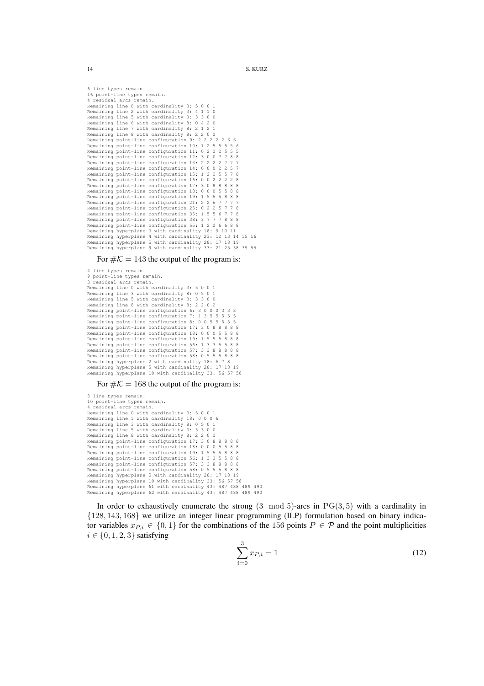6 line types remain. 16 point-line types remain. 4 residual arcs remain.<br>Remaining line 0 with cardinality 3: 5 0 0 1<br>Remaining line 2 with cardinality 3: 4 1 1 0<br>Remaining line 5 with cardinality 3: 3 3 0 0<br>Remaining line 6 with cardinality 8: 0 4 2 0<br>Remaining line 7 w Remaining line 8 with cardinality 8: 2 2 0 2 Remaining point-line configuration 9: 2 2 2 2 2 6 6 Remaining point-line configuration 10: 1 2 5 5 5 5 6 Remaining point-line configuration 11: 0 2 2 2 5 5 5 Remaining point-line configuration 12: 3 0 0 7 7 8 8 Remaining point-line configuration 13: 2 2 2 2 7 7 7 Remaining point-line configuration 14: 0 0 0 2 2 5 7<br>Remaining point-line configuration 15: 1 2 2 5 5 7 8 Remaining point-line configuration 11: 0000220 Remaining point-line configuration 16: 0 0 2 2 2 2 8 Remaining point-line configuration 17: 3 0 8 8 8 8 8 Remaining point-line configuration 18: 0 0 0 5 5 8 8<br>Remaining point-line configuration 19: 1 5 5 5 8 8 8<br>Remaining point-line configuration 21: 2 2 6 7 7 7 7 Remaining point-line configuration 19: 1 5 5 5 8 8 Remaining point-line configuration 21: 2 2 6 7 7 7 7 Remaining point-line configuration 25: 0 2 2 5 7 7 8<br>Remaining point-line configuration 35: 1 5 5 6 7 7 8 Remaining point-line configuration 35: 1 5 5 6 7 7 8 Remaining point-line configuration 38: 3 7 7 7 8 8 8 Remaining point-line configuration 55: 1 2 2 6 6 8 8 Remaining hyperplane 3 with cardinality 18: 9 10 11 Remaining hyperplane 4 with cardinality 23: 12 13 14 15 16 Remaining hyperplane 5 with cardinality 28: 17 18 19 Remaining hyperplane 9 with cardinality 33: 21 25 38 35 55

For  $\#\mathcal{K} = 143$  the output of the program is:

```
4 line types remain.
9 point-line types remain.
3 residual arcs remain.
Remaining line 0 with cardinality 3: 5 0 0 1
Remaining line 3 with cardinality 8: 0 5 0 1
Remaining line 5 with cardinality 3: 3 3 0 0
Remaining line 8 with cardinality 8: 2 2 0 2
Remaining point-line configuration 6: 3 0 0 0 3 3 3
Remaining point-line configuration 7: 1 3 5 5 5 5 5
Remaining point-line configuration 8: 0 0 5 5 5 5 5
Remaining point-line configuration 17: 3 0 8 8 8 8 8
Remaining point-line configuration 18: 0 0 0 5 5 8 8
Remaining point-line configuration 19: 1 5 5 5 8 8 8<br>Remaining point-line configuration 56: 1 3 3 5 5 8 8
Remaining point-line configuration 56: 1 3 3 5 5 8 8
Remaining point-line configuration 57: 3 3 8 8 8 8 8
Remaining point-line configuration 58: 0 5 5 5 8 8 8
Remaining hyperplane 2 with cardinality 18: 6 7 8
Remaining hyperplane 5 with cardinality 28: 17 18 19
Remaining hyperplane 10 with cardinality 33: 56 57 58
```
For  $\#K = 168$  the output of the program is:

5 line types remain. 10 point-line types remain. 4 residual arcs remain. Remaining line 0 with cardinality 3: 5 0 0 1 Remaining line 1 with cardinality 18: 0 0 0 6 Remaining line 3 with cardinality 8: 0 5 0 1 Remaining line 5 with cardinality 3: 3 3 0 0 Remaining line 8 with cardinality 8: 2 2 0 2 Remaining point-line configuration 17: 3 0 8 8 8 8 8 Remaining point-line configuration 18: 0 0 0 5 5 8 8 Remaining point-line configuration 19: 1 5 5 5 8 8 8 Remaining point-line configuration 56: 1 3 3 5 5 8 8 Remaining point-line configuration 57: Remaining point-line configuration 58: 0 5 5 5 8 8 8 Remaining hyperplane 5 with cardinality 28: 17 18 19 Remaining hyperplane 10 with cardinality 33: 56 57 58 Remaining hyperplane 61 with cardinality 43: 487 488 489 490 Remaining hyperplane 62 with cardinality 43: 487 488 489 490

In order to exhaustively enumerate the strong  $(3 \mod 5)$ -arcs in  $PG(3, 5)$  with a cardinality in {128, 143, 168} we utilize an integer linear programming (ILP) formulation based on binary indicator variables  $x_{P,i} \in \{0,1\}$  for the combinations of the 156 points  $P \in \mathcal{P}$  and the point multiplicities  $i \in \{0, 1, 2, 3\}$  satisfying

$$
\sum_{i=0}^{3} x_{P,i} = 1\tag{12}
$$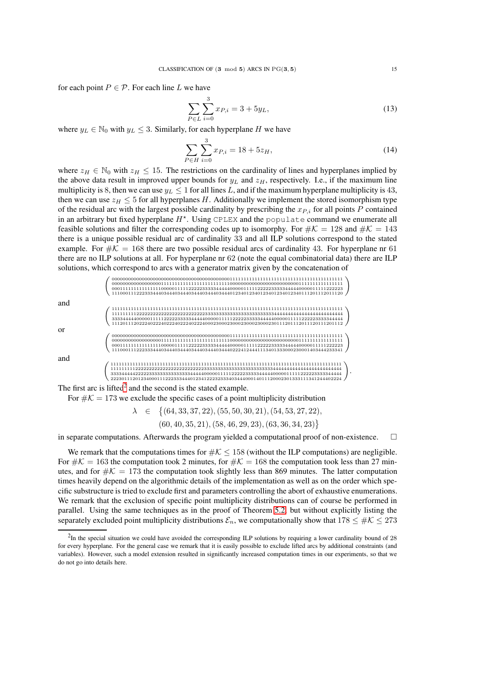for each point  $P \in \mathcal{P}$ . For each line L we have

$$
\sum_{P \in L} \sum_{i=0}^{3} x_{P,i} = 3 + 5y_L,
$$
\n(13)

where  $y_L \in \mathbb{N}_0$  with  $y_L \leq 3$ . Similarly, for each hyperplane H we have

$$
\sum_{P \in H} \sum_{i=0}^{3} x_{P,i} = 18 + 5z_H,
$$
\n(14)

where  $z_H \in \mathbb{N}_0$  with  $z_H \leq 15$ . The restrictions on the cardinality of lines and hyperplanes implied by the above data result in improved upper bounds for  $y_L$  and  $z_H$ , respectively. I.e., if the maximum line multiplicity is 8, then we can use  $y_L \le 1$  for all lines L, and if the maximum hyperplane multiplicity is 43, then we can use  $z_H \leq 5$  for all hyperplanes H. Additionally we implement the stored isomorphism type of the residual arc with the largest possible cardinality by prescribing the  $x_{P,i}$  for all points P contained in an arbitrary but fixed hyperplane  $H^*$ . Using CPLEX and the populate command we enumerate all feasible solutions and filter the corresponding codes up to isomorphy. For  $\#\mathcal{K} = 128$  and  $\#\mathcal{K} = 143$ there is a unique possible residual arc of cardinality 33 and all ILP solutions correspond to the stated example. For  $\#K = 168$  there are two possible residual arcs of cardinality 43. For hyperplane nr 61 there are no ILP solutions at all. For hyperplane nr 62 (note the equal combinatorial data) there are ILP solutions, which correspond to arcs with a generator matrix given by the concatenation of



The first arc is lifted<sup>[2](#page-14-0)</sup> and the second is the stated example.

For  $\#\mathcal{K} = 173$  we exclude the specific cases of a point multiplicity distribution

 $\lambda \in \{ (64, 33, 37, 22), (55, 50, 30, 21), (54, 53, 27, 22),$ 

 $(60, 40, 35, 21), (58, 46, 29, 23), (63, 36, 34, 23)$ 

in separate computations. Afterwards the program yielded a computational proof of non-existence.  $\Box$ 

We remark that the computations times for  $\#K \leq 158$  (without the ILP computations) are negligible. For  $\#K = 163$  the computation took 2 minutes, for  $\#K = 168$  the computation took less than 27 minutes, and for  $\#K = 173$  the computation took slightly less than 869 minutes. The latter computation times heavily depend on the algorithmic details of the implementation as well as on the order which specific substructure is tried to exclude first and parameters controlling the abort of exhaustive enumerations. We remark that the exclusion of specific point multiplicity distributions can of course be performed in parallel. Using the same techniques as in the proof of Theorem [5.2,](#page-11-0) but without explicitly listing the separately excluded point multiplicity distributions  $\mathcal{E}_n$ , we computationally show that  $178 \leq #\mathcal{K} \leq 273$ 

<span id="page-14-0"></span> ${}^{2}$ In the special situation we could have avoided the corresponding ILP solutions by requiring a lower cardinality bound of 28 for every hyperplane. For the general case we remark that it is easily possible to exclude lifted arcs by additional constraints (and variables). However, such a model extension resulted in significantly increased computation times in our experiments, so that we do not go into details here.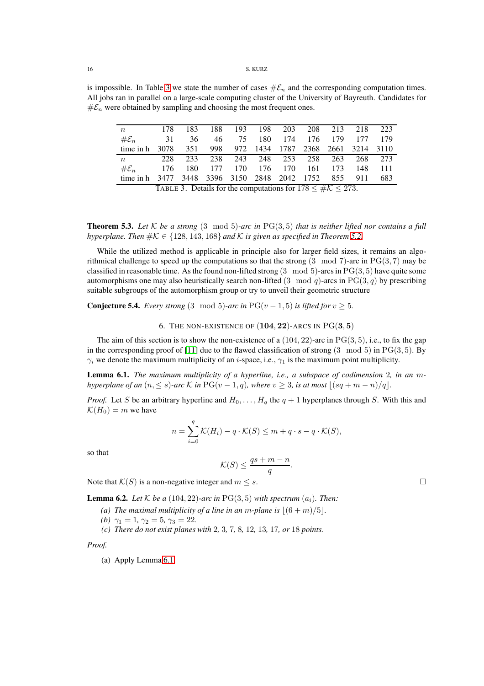is impossible. In Table [3](#page-15-1) we state the number of cases  $\#\mathcal{E}_n$  and the corresponding computation times. All jobs ran in parallel on a large-scale computing cluster of the University of Bayreuth. Candidates for  $# \mathcal{E}_n$  were obtained by sampling and choosing the most frequent ones.

<span id="page-15-1"></span>

| $n_{\rm c}$       | 178  | 183  | 188.    | 193 | 198 203                          |                                                                     | 208 213 | 218 | 223  |  |  |  |  |  |  |  |  |
|-------------------|------|------|---------|-----|----------------------------------|---------------------------------------------------------------------|---------|-----|------|--|--|--|--|--|--|--|--|
| $\#\mathcal{E}_n$ | 31   | 36   | 46      | 75  | 180 174                          | 176                                                                 | - 179   | 177 | 179  |  |  |  |  |  |  |  |  |
| time in h         | 3078 | 351  |         |     | 998 972 1434 1787 2368 2661 3214 |                                                                     |         |     | 3110 |  |  |  |  |  |  |  |  |
| n                 | 228  | 233  | 238     | 243 | 248 253                          | 258                                                                 | 263     | 268 | 273  |  |  |  |  |  |  |  |  |
| $\#\mathcal{E}_n$ | 176  | 180. | 177 170 |     | 176 170                          | -161                                                                | 173     | 148 | 111  |  |  |  |  |  |  |  |  |
| time in h         | 3477 |      |         |     | 3448 3396 3150 2848 2042 1752    |                                                                     | 855     | 911 | 683  |  |  |  |  |  |  |  |  |
|                   |      |      |         |     |                                  | TABLE 3. Details for the computations for $178 \leq \#K \leq 273$ . |         |     |      |  |  |  |  |  |  |  |  |

**Theorem 5.3.** Let  $K$  be a strong  $(3 \mod 5)$ -arc in  $PG(3, 5)$  that is neither lifted nor contains a full *hyperplane. Then*  $\#K \in \{128, 143, 168\}$  *and* K *is given as specified in Theorem* [5.2.](#page-11-0)

While the utilized method is applicable in principle also for larger field sizes, it remains an algorithmical challenge to speed up the computations so that the strong  $(3 \mod 7)$ -arc in PG $(3, 7)$  may be classified in reasonable time. As the found non-lifted strong  $(3 \mod 5)$ -arcs in PG $(3, 5)$  have quite some automorphisms one may also heuristically search non-lifted  $(3 \mod q)$ -arcs in PG $(3, q)$  by prescribing suitable subgroups of the automorphism group or try to unveil their geometric structure

<span id="page-15-0"></span>**Conjecture 5.4.** *Every strong* (3 mod 5)-arc in PG(v – 1, 5) is lifted for  $v \ge 5$ .

6. THE NON-EXISTENCE OF  $(104, 22)$ -ARCS IN  $PG(3, 5)$ 

The aim of this section is to show the non-existence of a  $(104, 22)$ -arc in PG $(3, 5)$ , i.e., to fix the gap in the corresponding proof of [\[11\]](#page-26-1) due to the flawed classification of strong  $(3 \mod 5)$  in PG $(3, 5)$ . By  $\gamma_i$  we denote the maximum multiplicity of an *i*-space, i.e.,  $\gamma_1$  is the maximum point multiplicity.

<span id="page-15-2"></span>Lemma 6.1. *The maximum multiplicity of a hyperline, i.e., a subspace of codimension* 2*, in an* m*hyperplane of an*  $(n, \leq s)$ -arc K in PG(v – 1, q), where  $v \geq 3$ , is at most  $|(sq + m - n)/q|$ .

*Proof.* Let S be an arbitrary hyperline and  $H_0, \ldots, H_q$  the  $q + 1$  hyperplanes through S. With this and  $\mathcal{K}(H_0) = m$  we have

$$
n = \sum_{i=0}^{q} \mathcal{K}(H_i) - q \cdot \mathcal{K}(S) \leq m + q \cdot s - q \cdot \mathcal{K}(S),
$$

so that

$$
\mathcal{K}(S) \le \frac{qs + m - n}{q}
$$

.

Note that  $K(S)$  is a non-negative integer and  $m \leq s$ .

<span id="page-15-3"></span>**Lemma 6.2.** *Let*  $K$  *be a* (104, 22)-arc in PG(3, 5) with spectrum  $(a_i)$ . Then:

- *(a)* The maximal multiplicity of a line in an m-plane is  $|(6+m)/5|$ .
- *(b)*  $\gamma_1 = 1, \gamma_2 = 5, \gamma_3 = 22.$
- *(c) There do not exist planes with* 2*,* 3*,* 7*,* 8*,* 12*,* 13*,* 17*, or* 18 *points.*

*Proof.*

(a) Apply Lemma [6.1.](#page-15-2)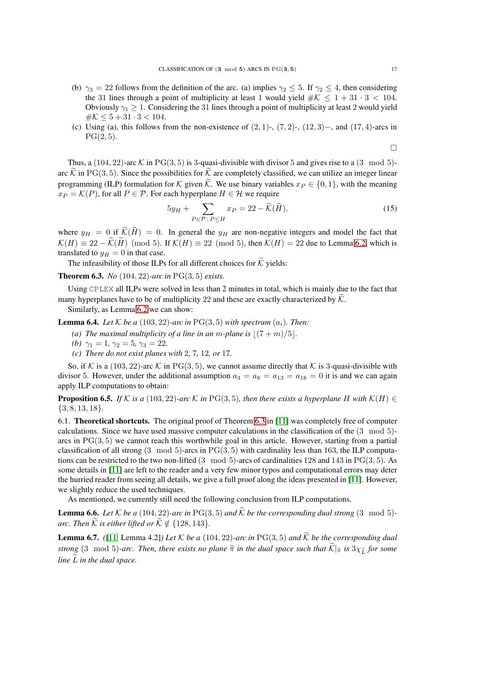- (b)  $\gamma_3 = 22$  follows from the definition of the arc. (a) implies  $\gamma_2 \leq 5$ . If  $\gamma_2 \leq 4$ , then considering the 31 lines through a point of multiplicity at least 1 would yield  $\#K \leq 1 + 31 \cdot 3 < 104$ . Obviously  $\gamma_1 \geq 1$ . Considering the 31 lines through a point of multiplicity at least 2 would yield  $\#K \leq 5 + 31 \cdot 3 < 104.$
- (c) Using (a), this follows from the non-existence of  $(2, 1)$ -,  $(7, 2)$ -,  $(12, 3)$ -, and  $(17, 4)$ -arcs in  $PG(2, 5)$ .

 $\Box$ 

Thus, a  $(104, 22)$ -arc K in PG(3, 5) is 3-quasi-divisible with divisor 5 and gives rise to a  $(3 \mod 5)$ arc  $\tilde{\mathcal{K}}$  in PG(3, 5). Since the possibilities for  $\tilde{\mathcal{K}}$  are completely classified, we can utilize an integer linear programming (ILP) formulation for K given  $\widetilde{K}$ . We use binary variables  $x_P \in \{0, 1\}$ , with the meaning  $x_P = \mathcal{K}(P)$ , for all  $P \in \mathcal{P}$ . For each hyperplane  $H \in \mathcal{H}$  we require

$$
5y_H + \sum_{P \in \mathcal{P}: P \le H} x_P = 22 - \widetilde{\mathcal{K}}(\widetilde{H}),\tag{15}
$$

where  $y_H = 0$  if  $\widetilde{\mathcal{K}}(\widetilde{H}) = 0$ . In general the  $y_H$  are non-negative integers and model the fact that  $\mathcal{K}(H) \equiv 22 - \widetilde{\mathcal{K}}(\widetilde{H}) \pmod{5}$ . If  $\mathcal{K}(H) \equiv 22 \pmod{5}$ , then  $\mathcal{K}(H) = 22$  due to Lemma [6.2,](#page-15-3) which is translated to  $y_H = 0$  in that case.

The infeasibility of those ILPs for all different choices for  $\widetilde{K}$  yields:

<span id="page-16-1"></span>Theorem 6.3. *No* (104, 22)*-arc in* PG(3, 5) *exists.*

Using CPLEX all ILPs were solved in less than 2 minutes in total, which is mainly due to the fact that many hyperplanes have to be of multiplicity 22 and these are exactly characterized by  $\hat{K}$ .

Similarly, as Lemma [6.2](#page-15-3) we can show:

**Lemma 6.4.** *Let*  $K$  *be a* (103, 22)*-arc in*  $PG(3, 5)$  *with spectrum*  $(a_i)$ *. Then:* 

- *(a)* The maximal multiplicity of a line in an m-plane is  $|(7 + m)/5|$ *.*
- *(b)*  $\gamma_1 = 1, \gamma_2 = 5, \gamma_3 = 22.$
- *(c) There do not exist planes with* 2*,* 7*,* 12*, or* 17*.*

So, if K is a  $(103, 22)$ -arc K in PG $(3, 5)$ , we cannot assume directly that K is 3-quasi-divisible with divisor 5. However, under the additional assumption  $a_3 = a_8 = a_{13} = a_{18} = 0$  it is and we can again apply ILP computations to obtain:

**Proposition 6.5.** *If* K *is a* (103, 22)*-arc* K *in* PG(3, 5)*, then there exists a hyperplane* H *with* K(H) ∈ {3, 8, 13, 18}*.*

<span id="page-16-0"></span>6.1. Theoretical shortcuts. The original proof of Theorem [6.3](#page-16-1) in [\[11\]](#page-26-1) was completely free of computer calculations. Since we have used massive computer calculations in the classification of the (3 mod 5) arcs in  $PG(3, 5)$  we cannot reach this worthwhile goal in this article. However, starting from a partial classification of all strong  $(3 \mod 5)$ -arcs in PG $(3, 5)$  with cardinality less than 163, the ILP computations can be restricted to the two non-lifted  $(3 \mod 5)$ -arcs of cardinalities 128 and 143 in PG $(3, 5)$ . As some details in [\[11\]](#page-26-1) are left to the reader and a very few minor typos and computational errors may deter the hurried reader from seeing all details, we give a full proof along the ideas presented in [\[11\]](#page-26-1). However, we slightly reduce the used techniques.

As mentioned, we currently still need the following conclusion from ILP computations.

<span id="page-16-3"></span>**Lemma 6.6.** *Let*  $K$  *be a* (104, 22)-arc in PG(3, 5) and  $\widetilde{K}$  *be the corresponding dual strong* (3 mod 5)*arc. Then*  $\widetilde{K}$  *is either lifted or*  $\widetilde{K} \notin \{128, 143\}$ *.* 

<span id="page-16-2"></span>**Lemma 6.7.** *(*[\[11,](#page-26-1) Lemma 4.2]*)* Let  $K$  be a (104, 22*)*-arc in PG(3, 5*)* and  $\tilde{K}$  be the corresponding dual *strong* (3 mod 5)-arc. Then, there exists no plane  $\tilde{\pi}$  in the dual space such that  $\tilde{\mathcal{K}}|_{\tilde{\pi}}$  is  $3\chi_{\tilde{L}}$  for some *line*  $\tilde{L}$  *in the dual space.*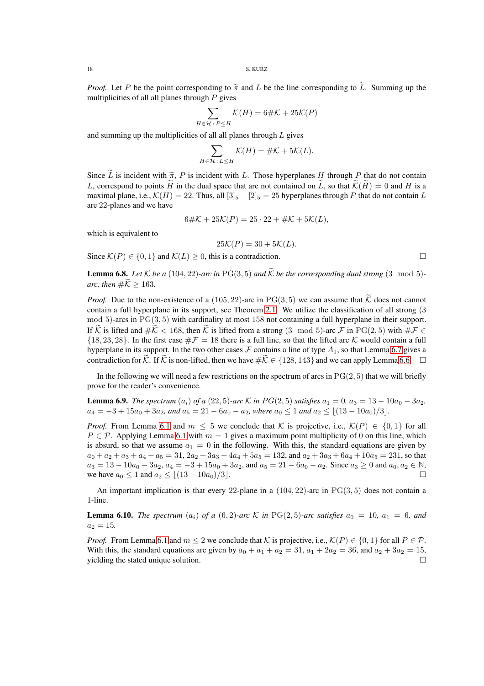*Proof.* Let P be the point corresponding to  $\tilde{\pi}$  and L be the line corresponding to  $\tilde{L}$ . Summing up the multiplicities of all all planes through  $P$  gives

$$
\sum_{H \in \mathcal{H}: P \le H} \mathcal{K}(H) = 6 \# \mathcal{K} + 25\mathcal{K}(P)
$$

and summing up the multiplicities of all all planes through  $L$  gives

$$
\sum_{H \in \mathcal{H}: L \le H} \mathcal{K}(H) = \# \mathcal{K} + 5\mathcal{K}(L).
$$

Since  $\tilde{L}$  is incident with  $\tilde{\pi}$ , P is incident with L. Those hyperplanes H through P that do not contain L, correspond to points  $\tilde{H}$  in the dual space that are not contained on  $\tilde{L}$ , so that  $\tilde{\mathcal{K}}(\tilde{H})=0$  and H is a maximal plane, i.e.,  $\mathcal{K}(H) = 22$ . Thus, all  $\left[3\right]_5 - \left[2\right]_5 = 25$  hyperplanes through P that do not contain L are 22-planes and we have

$$
6\#K + 25\mathcal{K}(P) = 25 \cdot 22 + \#K + 5\mathcal{K}(L),
$$

which is equivalent to

$$
25\mathcal{K}(P) = 30 + 5\mathcal{K}(L).
$$

Since  $\mathcal{K}(P) \in \{0, 1\}$  and  $\mathcal{K}(L) \geq 0$ , this is a contradiction.

<span id="page-17-1"></span>**Lemma 6.8.** *Let*  $K$  *be a* (104, 22)*-arc in* PG(3, 5) *and*  $\widetilde{K}$  *be the corresponding dual strong* (3 mod 5)*arc, then*  $\#\widetilde{\mathcal{K}} > 163$ .

*Proof.* Due to the non-existence of a (105, 22)-arc in PG(3, 5) we can assume that  $\widetilde{K}$  does not cannot contain a full hyperplane in its support, see Theorem [2.1.](#page-2-1) We utilize the classification of all strong (3  $mod 5$ -arcs in  $PG(3, 5)$  with cardinality at most 158 not containing a full hyperplane in their support. If  $\widetilde{\mathcal{K}}$  is lifted and  $\#\widetilde{\mathcal{K}}$  < 168, then  $\widetilde{\mathcal{K}}$  is lifted from a strong (3 mod 5)-arc  $\mathcal{F}$  in PG(2,5) with  $\#\mathcal{F} \in$  $\{18, 23, 28\}$ . In the first case  $\#\mathcal{F} = 18$  there is a full line, so that the lifted arc K would contain a full hyperplane in its support. In the two other cases  $\mathcal F$  contains a line of type  $A_1$ , so that Lemma [6.7](#page-16-2) gives a contradiction for  $\tilde{K}$ . If  $\tilde{K}$  is non-lifted, then we have  $\#\tilde{K} \in \{128, 143\}$  and we can apply Lemma [6.6.](#page-16-3)  $\Box$ 

In the following we will need a few restrictions on the spectrum of arcs in  $PG(2, 5)$  that we will briefly prove for the reader's convenience.

<span id="page-17-0"></span>**Lemma 6.9.** *The spectrum*  $(a_i)$  *of a* (22, 5)*-arc* K *in*  $PG(2, 5)$  *satisfies*  $a_1 = 0$ ,  $a_3 = 13 - 10a_0 - 3a_2$ ,  $a_4 = -3 + 15a_0 + 3a_2$ , and  $a_5 = 21 - 6a_0 - a_2$ , where  $a_0 \leq 1$  and  $a_2 \leq (13 - 10a_0)/3$ .

*Proof.* From Lemma [6.1](#page-15-2) and  $m \leq 5$  we conclude that K is projective, i.e.,  $\mathcal{K}(P) \in \{0,1\}$  for all  $P \in \mathcal{P}$ . Applying Lemma [6.1](#page-15-2) with  $m = 1$  gives a maximum point multiplicity of 0 on this line, which is absurd, so that we assume  $a_1 = 0$  in the following. With this, the standard equations are given by  $a_0 + a_2 + a_3 + a_4 + a_5 = 31$ ,  $2a_2 + 3a_3 + 4a_4 + 5a_5 = 132$ , and  $a_2 + 3a_3 + 6a_4 + 10a_5 = 231$ , so that  $a_3 = 13 - 10a_0 - 3a_2$ ,  $a_4 = -3 + 15a_0 + 3a_2$ , and  $a_5 = 21 - 6a_0 - a_2$ . Since  $a_3 \ge 0$  and  $a_0, a_2 \in \mathbb{N}$ , we have  $a_0 \le 1$  and  $a_2 \le |(13 - 10a_0)/3|$ .

An important implication is that every 22-plane in a  $(104, 22)$ -arc in PG $(3, 5)$  does not contain a 1-line.

<span id="page-17-2"></span>**Lemma 6.10.** *The spectrum*  $(a_i)$  *of a*  $(6,2)$ *-arc* K *in* PG(2,5)*-arc satisfies*  $a_0 = 10$ ,  $a_1 = 6$ , and  $a_2 = 15.$ 

*Proof.* From Lemma [6.1](#page-15-2) and  $m \le 2$  we conclude that K is projective, i.e.,  $\mathcal{K}(P) \in \{0, 1\}$  for all  $P \in \mathcal{P}$ . With this, the standard equations are given by  $a_0 + a_1 + a_2 = 31$ ,  $a_1 + 2a_2 = 36$ , and  $a_2 + 3a_2 = 15$ , yielding the stated unique solution.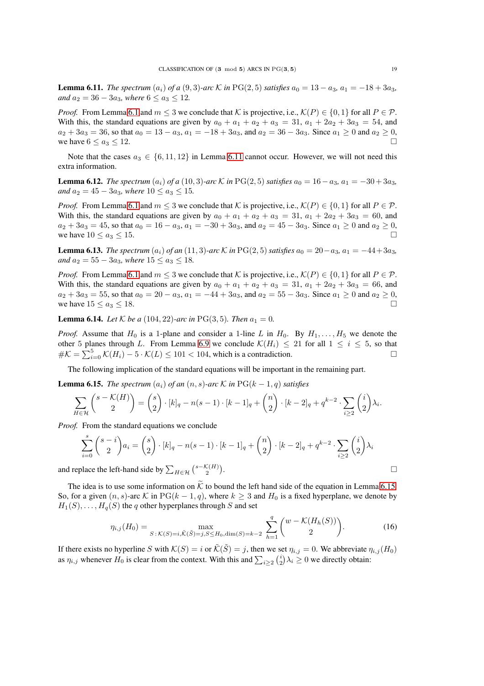<span id="page-18-0"></span>**Lemma 6.11.** *The spectrum*  $(a_i)$  *of a* (9,3)*-arc* K *in* PG(2,5) *satisfies*  $a_0 = 13 - a_3$ ,  $a_1 = -18 + 3a_3$ , *and*  $a_2 = 36 - 3a_3$ *, where*  $6 \le a_3 \le 12$ *.* 

*Proof.* From Lemma [6.1](#page-15-2) and  $m \leq 3$  we conclude that K is projective, i.e.,  $\mathcal{K}(P) \in \{0, 1\}$  for all  $P \in \mathcal{P}$ . With this, the standard equations are given by  $a_0 + a_1 + a_2 + a_3 = 31$ ,  $a_1 + 2a_2 + 3a_3 = 54$ , and  $a_2 + 3a_3 = 36$ , so that  $a_0 = 13 - a_3$ ,  $a_1 = -18 + 3a_3$ , and  $a_2 = 36 - 3a_3$ . Since  $a_1 \ge 0$  and  $a_2 \ge 0$ , we have  $6 \le a_3 \le 12$ .

Note that the cases  $a_3 \in \{6, 11, 12\}$  in Lemma [6.11](#page-18-0) cannot occur. However, we will not need this extra information.

<span id="page-18-2"></span>**Lemma 6.12.** *The spectrum*  $(a_i)$  *of a* (10, 3)*-arc* K *in* PG(2, 5) *satisfies*  $a_0 = 16 - a_3$ ,  $a_1 = -30 + 3a_3$ , *and*  $a_2 = 45 - 3a_3$ *, where*  $10 \le a_3 \le 15$ *.* 

*Proof.* From Lemma [6.1](#page-15-2) and  $m \le 3$  we conclude that K is projective, i.e.,  $\mathcal{K}(P) \in \{0,1\}$  for all  $P \in \mathcal{P}$ . With this, the standard equations are given by  $a_0 + a_1 + a_2 + a_3 = 31$ ,  $a_1 + 2a_2 + 3a_3 = 60$ , and  $a_2 + 3a_3 = 45$ , so that  $a_0 = 16 - a_3$ ,  $a_1 = -30 + 3a_3$ , and  $a_2 = 45 - 3a_3$ . Since  $a_1 \ge 0$  and  $a_2 \ge 0$ , we have  $10 \le a_3 \le 15$ .

<span id="page-18-3"></span>**Lemma 6.13.** *The spectrum*  $(a_i)$  *of an* (11, 3)*-arc* K *in* PG(2, 5) *satisfies*  $a_0 = 20 - a_3$ ,  $a_1 = -44 + 3a_3$ , *and*  $a_2 = 55 - 3a_3$ *, where*  $15 \le a_3 \le 18$ *.* 

*Proof.* From Lemma [6.1](#page-15-2) and  $m \leq 3$  we conclude that K is projective, i.e.,  $\mathcal{K}(P) \in \{0,1\}$  for all  $P \in \mathcal{P}$ . With this, the standard equations are given by  $a_0 + a_1 + a_2 + a_3 = 31$ ,  $a_1 + 2a_2 + 3a_3 = 66$ , and  $a_2 + 3a_3 = 55$ , so that  $a_0 = 20 - a_3$ ,  $a_1 = -44 + 3a_3$ , and  $a_2 = 55 - 3a_3$ . Since  $a_1 \ge 0$  and  $a_2 \ge 0$ , we have  $15 \le a_3 \le 18$ .

**Lemma 6.14.** *Let*  $K$  *be a* (104, 22)*-arc in* PG(3, 5)*. Then*  $a_1 = 0$ *.* 

*Proof.* Assume that  $H_0$  is a 1-plane and consider a 1-line L in  $H_0$ . By  $H_1, \ldots, H_5$  we denote the other 5 planes through L. From Lemma [6.9](#page-17-0) we conclude  $\mathcal{K}(H_i) \leq 21$  for all  $1 \leq i \leq 5$ , so that  $\#\mathcal{K} = \sum_{i=0}^5 \mathcal{K}(H_i) - 5 \cdot \mathcal{K}(L) \le 101 < 104$ , which is a contradiction.

The following implication of the standard equations will be important in the remaining part.

<span id="page-18-1"></span>**Lemma 6.15.** *The spectrum*  $(a_i)$  *of an*  $(n, s)$ -*arc*  $K$  *in*  $PG(k - 1, q)$  *satisfies* 

$$
\sum_{H\in\mathcal{H}}\binom{s-\mathcal{K}(H)}{2}=\binom{s}{2}\cdot [k]_q-n(s-1)\cdot [k-1]_q+\binom{n}{2}\cdot [k-2]_q+q^{k-2}\cdot \sum_{i\geq 2}\binom{i}{2}\lambda_i.
$$

*Proof.* From the standard equations we conclude

$$
\sum_{i=0}^{s} {s-i \choose 2} a_i = {s \choose 2} \cdot [k]_q - n(s-1) \cdot [k-1]_q + {n \choose 2} \cdot [k-2]_q + q^{k-2} \cdot \sum_{i \ge 2} {i \choose 2} \lambda_i
$$
  
place the left-hand side by  $\sum_{H \in \mathcal{H}} {s - \mathcal{K}(H) \choose 2}$ .

and replace the left-hand side by  $\sum_{H \in \mathcal{H}} {\binom{s - \mathcal{K}(H)}{2}}$ 

The idea is to use some information on  $\tilde{\mathcal{K}}$  to bound the left hand side of the equation in Lemma [6.15.](#page-18-1) So, for a given  $(n, s)$ -arc K in PG $(k - 1, q)$ , where  $k > 3$  and  $H_0$  is a fixed hyperplane, we denote by  $H_1(S), \ldots, H_q(S)$  the q other hyperplanes through S and set

$$
\eta_{i,j}(H_0) = \max_{S:\,\mathcal{K}(S)=i,\tilde{\mathcal{K}}(\tilde{S})=j,S\leq H_0,\dim(S)=k-2} \sum_{h=1}^q \binom{w-\mathcal{K}(H_h(S))}{2}.
$$
\n(16)

If there exists no hyperline S with  $\mathcal{K}(S) = i$  or  $\tilde{\mathcal{K}}(\tilde{S}) = j$ , then we set  $\eta_{i,j} = 0$ . We abbreviate  $\eta_{i,j}(H_0)$ as  $\eta_{i,j}$  whenever  $H_0$  is clear from the context. With this and  $\sum_{i\geq 2} {i \choose 2} \lambda_i \geq 0$  we directly obtain: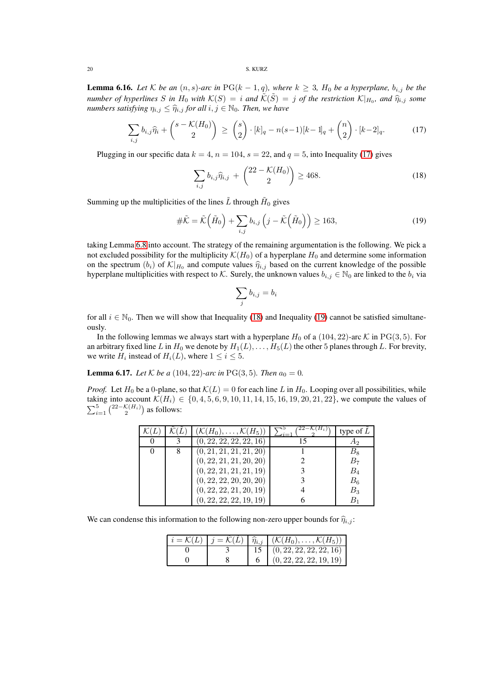20 S. KURZ

**Lemma 6.16.** *Let* K *be an*  $(n, s)$ -arc in PG( $k - 1, q$ ), where  $k \geq 3$ ,  $H_0$  *be a hyperplane*,  $b_{i,j}$  *be the number of hyperlines*  $S$  *in*  $H_0$  *with*  $K(S) = i$  *and*  $\tilde{K}(S) = j$  *of the restriction*  $K|_{H_0}$ *, and*  $\hat{\eta}_{i,j}$  *some numbers satisfying*  $\eta_{i,j} \leq \hat{\eta}_{i,j}$  *for all*  $i, j \in \mathbb{N}_0$ *. Then, we have* 

<span id="page-19-0"></span>
$$
\sum_{i,j} b_{i,j} \hat{\eta}_i + {s - \mathcal{K}(H_0) \choose 2} \ge {s \choose 2} \cdot [k]_q - n(s-1)[k-1]_q + {n \choose 2} \cdot [k-2]_q.
$$
 (17)

Plugging in our specific data  $k = 4$ ,  $n = 104$ ,  $s = 22$ , and  $q = 5$ , into Inequality [\(17\)](#page-19-0) gives

<span id="page-19-1"></span>
$$
\sum_{i,j} b_{i,j} \hat{\eta}_{i,j} + {22 - \mathcal{K}(H_0) \choose 2} \ge 468. \tag{18}
$$

Summing up the multiplicities of the lines  $\tilde{L}$  through  $\tilde{H}_0$  gives

<span id="page-19-2"></span>
$$
\#\tilde{\mathcal{K}} = \tilde{\mathcal{K}}\left(\tilde{H}_0\right) + \sum_{i,j} b_{i,j} \left(j - \tilde{\mathcal{K}}\left(\tilde{H}_0\right)\right) \ge 163,\tag{19}
$$

taking Lemma [6.8](#page-17-1) into account. The strategy of the remaining argumentation is the following. We pick a not excluded possibility for the multiplicity  $\mathcal{K}(H_0)$  of a hyperplane  $H_0$  and determine some information on the spectrum  $(b_i)$  of  $\mathcal{K}|_{H_0}$  and compute values  $\hat{\eta}_{i,j}$  based on the current knowledge of the possible hyperplane multiplicities with respect to K. Surely, the unknown values  $b_{i,j} \in \mathbb{N}_0$  are linked to the  $b_i$  via

$$
\sum_j b_{i,j} = b_i
$$

for all  $i \in \mathbb{N}_0$ . Then we will show that Inequality [\(18\)](#page-19-1) and Inequality [\(19\)](#page-19-2) cannot be satisfied simultaneously.

In the following lemmas we always start with a hyperplane  $H_0$  of a (104, 22)-arc K in PG(3, 5). For an arbitrary fixed line L in  $H_0$  we denote by  $H_1(L), \ldots, H_5(L)$  the other 5 planes through L. For brevity, we write  $H_i$  instead of  $H_i(L)$ , where  $1 \leq i \leq 5$ .

**Lemma 6.17.** *Let*  $K$  *be a* (104, 22)*-arc in* PG(3, 5)*. Then*  $a_0 = 0$ *.* 

*Proof.* Let  $H_0$  be a 0-plane, so that  $K(L) = 0$  for each line L in  $H_0$ . Looping over all possibilities, while taking into account  $\mathcal{K}(H_i) \in \{0, 4, 5, 6, 9, 10, 11, 14, 15, 16, 19, 20, 21, 22\}$ , we compute the values of  $\sum_{i=1}^{5} {\binom{22-\mathcal{K}(H_i)}{2}}$  as follows:

|  | $(\mathcal{K}(H_0), \ldots, \mathcal{K}(H_5))$ | type of $L$    |
|--|------------------------------------------------|----------------|
|  | (0, 22, 22, 22, 22, 16)                        | A <sub>2</sub> |
|  | (0, 21, 21, 21, 21, 20)                        | $B_8\,$        |
|  | (0, 22, 21, 21, 20, 20)                        | $B_7$          |
|  | (0, 22, 21, 21, 21, 19)                        | $B_4$          |
|  | (0, 22, 22, 20, 20, 20)                        | $B_6$          |
|  | (0, 22, 22, 21, 20, 19)                        | $B_3$          |
|  | (0, 22, 22, 22, 19, 19)                        | $B_{1}$        |

We can condense this information to the following non-zero upper bounds for  $\hat{\eta}_{i,j}$ :

|  | $i = \mathcal{K}(L)$ $j = \mathcal{K}(L)$ $\widehat{\eta}_{i,j}$ $(\mathcal{K}(H_0), \ldots, \mathcal{K}(H_5))$ |
|--|-----------------------------------------------------------------------------------------------------------------|
|  | (0, 22, 22, 22, 22, 16)                                                                                         |
|  | (0, 22, 22, 22, 19, 19)                                                                                         |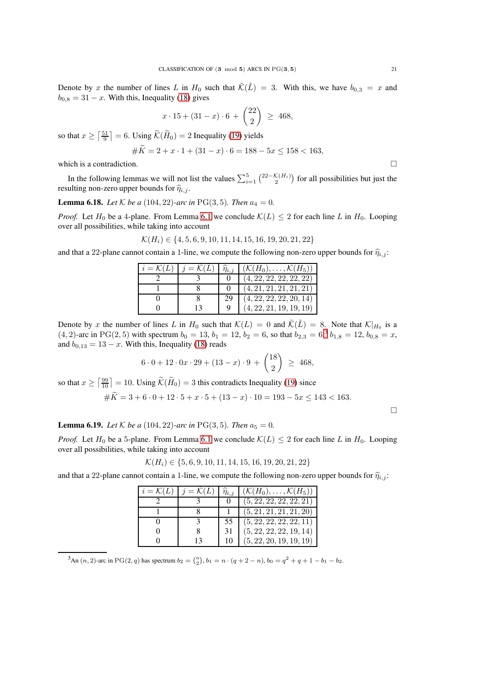Denote by x the number of lines L in  $H_0$  such that  $\tilde{\mathcal{K}}(\tilde{L}) = 3$ . With this, we have  $b_{0,3} = x$  and  $b_{0,8} = 31 - x$ . With this, Inequality [\(18\)](#page-19-1) gives

$$
x \cdot 15 + (31 - x) \cdot 6 + \binom{22}{2} \ \geq \ 468,
$$

so that  $x \ge \lceil \frac{51}{9} \rceil = 6$ . Using  $\widetilde{\mathcal{K}}(\widetilde{H}_0) = 2$  Inequality [\(19\)](#page-19-2) yields

#Ke = 2 + x · 1 + (31 − x) · 6 = 188 − 5x ≤ 158 < 163,

which is a contradiction.  $\Box$ 

In the following lemmas we will not list the values  $\sum_{i=1}^{5} {2^{2-\mathcal{K}(H_i)} \choose 2}$  for all possibilities but just the resulting non-zero upper bounds for  $\hat{\eta}_{i,j}$ .

## **Lemma 6.18.** *Let*  $K$  *be a* (104, 22)*-arc in* PG(3, 5)*. Then*  $a_4 = 0$ *.*

*Proof.* Let  $H_0$  be a 4-plane. From Lemma [6.1](#page-15-2) we conclude  $\mathcal{K}(L) \leq 2$  for each line L in  $H_0$ . Looping over all possibilities, while taking into account

 $\mathcal{K}(H_i) \in \{4, 5, 6, 9, 10, 11, 14, 15, 16, 19, 20, 21, 22\}$ 

and that a 22-plane cannot contain a 1-line, we compute the following non-zero upper bounds for  $\hat{\eta}_{i,j}$ :

| $i = \mathcal{K}(L)$ | $j = \mathcal{K}(L)$ | $\widehat{\eta}_{i,j}$ | $(\mathcal{K}(H_0), \ldots, \mathcal{K}(H_5))$ |
|----------------------|----------------------|------------------------|------------------------------------------------|
|                      |                      |                        | (4, 22, 22, 22, 22, 22)                        |
|                      |                      |                        | (4, 21, 21, 21, 21, 21)                        |
|                      |                      | 29                     | (4, 22, 22, 22, 20, 14)                        |
|                      |                      |                        | (4, 22, 21, 19, 19, 19)                        |

Denote by x the number of lines L in  $H_0$  such that  $\mathcal{K}(L) = 0$  and  $\tilde{\mathcal{K}}(\tilde{L}) = 8$ . Note that  $\mathcal{K}|_{H_0}$  is a  $(4, 2)$ -arc in PG(2, 5) with spectrum  $b_0 = 13$  $b_0 = 13$ ,  $b_1 = 12$ ,  $b_2 = 6$ , so that  $b_{2,3} = 6,3$ ,  $b_{1,8} = 12$ ,  $b_{0,8} = x$ , and  $b_{0,13} = 13 - x$ . With this, Inequality [\(18\)](#page-19-1) reads

$$
6 \cdot 0 + 12 \cdot 0x \cdot 29 + (13 - x) \cdot 9 + {18 \choose 2} \ge 468,
$$

so that  $x \ge \lceil \frac{99}{10} \rceil = 10$ . Using  $\widetilde{\mathcal{K}}(\widetilde{H}_0) = 3$  this contradicts Inequality [\(19\)](#page-19-2) since

 $\#\widetilde{K}=3+6\cdot 0+12\cdot 5+x\cdot 5+(13-x)\cdot 10=193-5x\leq 143<163.$ 

 $\Box$ 

## **Lemma 6.19.** *Let*  $K$  *be a* (104, 22)*-arc in* PG(3, 5)*. Then*  $a_5 = 0$ *.*

*Proof.* Let  $H_0$  be a 5-plane. From Lemma [6.1](#page-15-2) we conclude  $\mathcal{K}(L) \leq 2$  for each line L in  $H_0$ . Looping over all possibilities, while taking into account

$$
\mathcal{K}(H_i) \in \{5, 6, 9, 10, 11, 14, 15, 16, 19, 20, 21, 22\}
$$

and that a 22-plane cannot contain a 1-line, we compute the following non-zero upper bounds for  $\hat{\eta}_{i,j}$ :

| $i = \mathcal{K}(L)$ | $j = \mathcal{K}(L)$ | $\widehat{\eta}_{i,j}$ | $(\mathcal{K}(H_0), \ldots, \mathcal{K}(H_5))$ |
|----------------------|----------------------|------------------------|------------------------------------------------|
|                      |                      |                        | (5, 22, 22, 22, 22, 21)                        |
|                      |                      |                        | (5, 21, 21, 21, 21, 20)                        |
|                      |                      | 55                     | (5, 22, 22, 22, 22, 11)                        |
|                      | 8                    | 31                     | (5, 22, 22, 22, 19, 14)                        |
|                      | 13                   | 10                     | (5, 22, 20, 19, 19, 19)                        |

<span id="page-20-0"></span>3An  $(n, 2)$ -arc in PG(2, q) has spectrum  $b_2 = \binom{n}{2}$ ,  $b_1 = n \cdot (q + 2 - n)$ ,  $b_0 = q^2 + q + 1 - b_1 - b_2$ .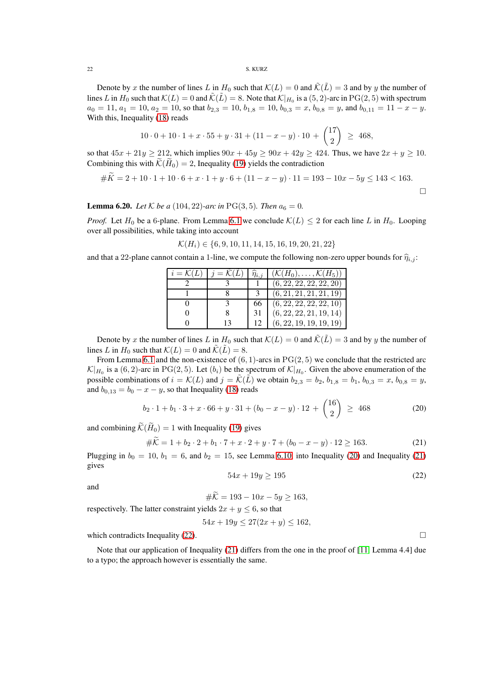### 22 S. KURZ

Denote by x the number of lines L in  $H_0$  such that  $\mathcal{K}(L) = 0$  and  $\tilde{\mathcal{K}}(\tilde{L}) = 3$  and by y the number of lines L in  $H_0$  such that  $K(L) = 0$  and  $\tilde{\mathcal{K}}(\tilde{L}) = 8$ . Note that  $\mathcal{K}|_{H_0}$  is a  $(5, 2)$ -arc in  $PG(2, 5)$  with spectrum  $a_0 = 11, a_1 = 10, a_2 = 10$ , so that  $b_{2,3} = 10, b_{1,8} = 10, b_{0,3} = x, b_{0,8} = y$ , and  $b_{0,11} = 11 - x - y$ . With this, Inequality [\(18\)](#page-19-1) reads

$$
10 \cdot 0 + 10 \cdot 1 + x \cdot 55 + y \cdot 31 + (11 - x - y) \cdot 10 + \binom{17}{2} \ge 468,
$$

so that  $45x + 21y \ge 212$ , which implies  $90x + 45y \ge 90x + 42y \ge 424$ . Thus, we have  $2x + y \ge 10$ . Combining this with  $\mathcal{K}(H_0) = 2$ , Inequality [\(19\)](#page-19-2) yields the contradiction

$$
#K = 2 + 10 \cdot 1 + 10 \cdot 6 + x \cdot 1 + y \cdot 6 + (11 - x - y) \cdot 11 = 193 - 10x - 5y \le 143 < 163.
$$

**Lemma 6.20.** *Let*  $K$  *be a* (104, 22)*-arc in* PG(3, 5)*. Then*  $a_6 = 0$ *.* 

*Proof.* Let  $H_0$  be a 6-plane. From Lemma [6.1](#page-15-2) we conclude  $\mathcal{K}(L) \leq 2$  for each line L in  $H_0$ . Looping over all possibilities, while taking into account

$$
\mathcal{K}(H_i) \in \{6, 9, 10, 11, 14, 15, 16, 19, 20, 21, 22\}
$$

and that a 22-plane cannot contain a 1-line, we compute the following non-zero upper bounds for  $\hat{\eta}_{i,j}$ :

| $i = \mathcal{K}(L)$ | $j = \mathcal{K}(L)$ | $\eta_{i,i}$ | $(\mathcal{K}(H_0), \ldots, \mathcal{K}(H_5))$ |
|----------------------|----------------------|--------------|------------------------------------------------|
|                      |                      |              | (6, 22, 22, 22, 22, 20)                        |
|                      |                      |              | (6, 21, 21, 21, 21, 19)                        |
|                      |                      |              | (6, 22, 22, 22, 22, 10)                        |
|                      | <sup>8</sup>         | 31           | (6, 22, 22, 21, 19, 14)                        |
|                      | 13                   |              | (6, 22, 19, 19, 19, 19)                        |

Denote by x the number of lines L in  $H_0$  such that  $\mathcal{K}(L) = 0$  and  $\tilde{\mathcal{K}}(\tilde{L}) = 3$  and by y the number of lines L in  $H_0$  such that  $\mathcal{K}(L) = 0$  and  $\tilde{\mathcal{K}}(\tilde{L}) = 8$ .

From Lemma [6.1](#page-15-2) and the non-existence of  $(6, 1)$ -arcs in PG(2,5) we conclude that the restricted arc  $\mathcal{K}|_{H_0}$  is a  $(6, 2)$ -arc in PG(2,5). Let  $(b_i)$  be the spectrum of  $\mathcal{K}|_{H_0}$ . Given the above enumeration of the possible combinations of  $i = \mathcal{K}(L)$  and  $j = \tilde{\mathcal{K}}(\tilde{L})$  we obtain  $b_{2,3} = b_2$ ,  $b_{1,8} = b_1$ ,  $b_{0,3} = x$ ,  $b_{0,8} = y$ , and  $b_{0,13} = b_0 - x - y$ , so that Inequality [\(18\)](#page-19-1) reads

<span id="page-21-0"></span>
$$
b_2 \cdot 1 + b_1 \cdot 3 + x \cdot 66 + y \cdot 31 + (b_0 - x - y) \cdot 12 + \binom{16}{2} \ge 468 \tag{20}
$$

and combining  $\widetilde{\mathcal{K}}(\widetilde{H}_0) = 1$  with Inequality [\(19\)](#page-19-2) gives

<span id="page-21-1"></span>
$$
\#K = 1 + b_2 \cdot 2 + b_1 \cdot 7 + x \cdot 2 + y \cdot 7 + (b_0 - x - y) \cdot 12 \ge 163. \tag{21}
$$

Plugging in  $b_0 = 10$ ,  $b_1 = 6$ , and  $b_2 = 15$ , see Lemma [6.10,](#page-17-2) into Inequality [\(20\)](#page-21-0) and Inequality [\(21\)](#page-21-1) gives

<span id="page-21-2"></span>
$$
54x + 19y \ge 195\tag{22}
$$

and

$$
\#\bar{K} = 193 - 10x - 5y \ge 163,
$$

respectively. The latter constraint yields  $2x + y \leq 6$ , so that

$$
54x + 19y \le 27(2x + y) \le 162,
$$

which contradicts Inequality [\(22\)](#page-21-2).  $\Box$ 

Note that our application of Inequality [\(21\)](#page-21-1) differs from the one in the proof of [\[11,](#page-26-1) Lemma 4.4] due to a typo; the approach however is essentially the same.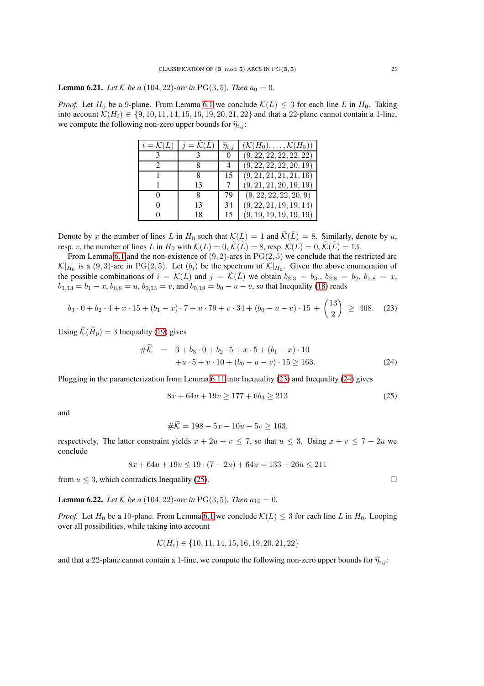**Lemma 6.21.** *Let*  $K$  *be a* (104, 22)*-arc in* PG(3, 5)*. Then*  $a_9 = 0$ *.* 

*Proof.* Let  $H_0$  be a 9-plane. From Lemma [6.1](#page-15-2) we conclude  $\mathcal{K}(L) \leq 3$  for each line L in  $H_0$ . Taking into account  $\mathcal{K}(H_i) \in \{9, 10, 11, 14, 15, 16, 19, 20, 21, 22\}$  and that a 22-plane cannot contain a 1-line, we compute the following non-zero upper bounds for  $\hat{\eta}_{i,j}$ :

| $i = \mathcal{K}(L)$ | $i = \mathcal{K}(L)$ | $\eta_{i,i}$ | $(\mathcal{K}(H_0),\ldots,\mathcal{K}(H_5))$ |
|----------------------|----------------------|--------------|----------------------------------------------|
|                      |                      | $\theta$     | (9, 22, 22, 22, 22, 22)                      |
|                      |                      | 4            | (9, 22, 22, 22, 20, 19)                      |
|                      | 8                    | 15           | (9, 21, 21, 21, 21, 16)                      |
|                      | 13                   | 7            | (9, 21, 21, 20, 19, 19)                      |
| $\theta$             | 8                    | 79           | (9, 22, 22, 22, 20, 9)                       |
|                      | 13                   | 34           | (9, 22, 21, 19, 19, 14)                      |
|                      | 18                   | 15           | (9, 19, 19, 19, 19, 19)                      |

Denote by x the number of lines L in  $H_0$  such that  $\mathcal{K}(L) = 1$  and  $\tilde{\mathcal{K}}(\tilde{L}) = 8$ . Similarly, denote by u, resp. v, the number of lines L in  $H_0$  with  $\mathcal{K}(L) = 0$ ,  $\tilde{\mathcal{K}}(\tilde{L}) = 8$ , resp.  $\mathcal{K}(L) = 0$ ,  $\tilde{\mathcal{K}}(\tilde{L}) = 13$ .

From Lemma [6.1](#page-15-2) and the non-existence of  $(9, 2)$ -arcs in  $PG(2, 5)$  we conclude that the restricted arc  $\mathcal{K}|_{H_0}$  is a (9,3)-arc in PG(2,5). Let  $(b_i)$  be the spectrum of  $\mathcal{K}|_{H_0}$ . Given the above enumeration of the possible combinations of  $i = \mathcal{K}(L)$  and  $j = \mathcal{K}(L)$  we obtain  $b_{3,3} = b_3$ ,  $b_{2,8} = b_2$ ,  $b_{1,8} = x$ ,  $b_{1,13} = b_1 - x$ ,  $b_{0,8} = u$ ,  $b_{0,13} = v$ , and  $b_{0,18} = b_0 - u - v$ , so that Inequality [\(18\)](#page-19-1) reads

<span id="page-22-0"></span>
$$
b_3 \cdot 0 + b_2 \cdot 4 + x \cdot 15 + (b_1 - x) \cdot 7 + u \cdot 79 + v \cdot 34 + (b_0 - u - v) \cdot 15 + \binom{13}{2} \ge 468. \tag{23}
$$

Using  $\widetilde{\mathcal{K}}(\widetilde{H}_0) = 3$  Inequality [\(19\)](#page-19-2) gives

<span id="page-22-1"></span>
$$
\#K = 3 + b_3 \cdot 0 + b_2 \cdot 5 + x \cdot 5 + (b_1 - x) \cdot 10
$$
  
+
$$
u \cdot 5 + v \cdot 10 + (b_0 - u - v) \cdot 15 \ge 163.
$$
 (24)

Plugging in the parameterization from Lemma [6.11](#page-18-0) into Inequality [\(23\)](#page-22-0) and Inequality [\(24\)](#page-22-1) gives

<span id="page-22-2"></span>
$$
8x + 64u + 19v \ge 177 + 6b_3 \ge 213\tag{25}
$$

and

$$
\#K = 198 - 5x - 10u - 5v \ge 163,
$$

respectively. The latter constraint yields  $x + 2u + v \le 7$ , so that  $u \le 3$ . Using  $x + v \le 7 - 2u$  we conclude

$$
8x + 64u + 19v \le 19 \cdot (7 - 2u) + 64u = 133 + 26u \le 211
$$

from  $u \leq 3$ , which contradicts Inequality [\(25\)](#page-22-2).

**Lemma 6.22.** *Let*  $K$  *be a* (104, 22)*-arc in* PG(3, 5)*. Then*  $a_{10} = 0$ *.* 

*Proof.* Let  $H_0$  be a 10-plane. From Lemma [6.1](#page-15-2) we conclude  $\mathcal{K}(L) \leq 3$  for each line L in  $H_0$ . Looping over all possibilities, while taking into account

$$
\mathcal{K}(H_i) \in \{10, 11, 14, 15, 16, 19, 20, 21, 22\}
$$

and that a 22-plane cannot contain a 1-line, we compute the following non-zero upper bounds for  $\hat{\eta}_{i,j}$ :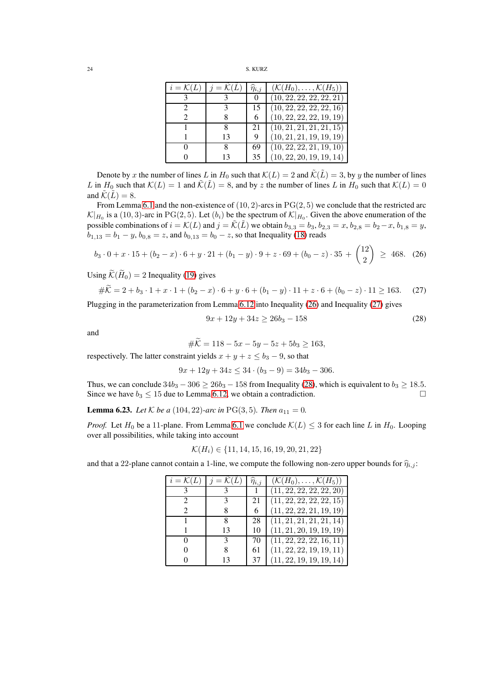| 24 | S. KURZ |
|----|---------|
|    |         |

| $i = \mathcal{K}(L)$ | $i = \mathcal{K}(L)$ | $\eta_{i,i}$ | $(\mathcal{K}(H_0), \ldots, \mathcal{K}(H_5))$ |
|----------------------|----------------------|--------------|------------------------------------------------|
|                      |                      |              | (10, 22, 22, 22, 22, 21)                       |
|                      |                      |              | (10, 22, 22, 22, 22, 16)                       |
|                      |                      | 6            | (10, 22, 22, 22, 19, 19)                       |
|                      |                      | 21           | (10, 21, 21, 21, 21, 15)                       |
|                      | 13                   | 9            | (10, 21, 21, 19, 19, 19)                       |
|                      | х                    | 69           | (10, 22, 22, 21, 19, 10)                       |
|                      | 13                   | 35           | (10, 22, 20, 19, 19, 14)                       |

Denote by x the number of lines L in  $H_0$  such that  $\mathcal{K}(L) = 2$  and  $\tilde{\mathcal{K}}(\tilde{L}) = 3$ , by y the number of lines L in  $H_0$  such that  $\mathcal{K}(L) = 1$  and  $\tilde{\mathcal{K}}(\tilde{L}) = 8$ , and by z the number of lines L in  $H_0$  such that  $\mathcal{K}(L) = 0$ and  $\tilde{\mathcal{K}}(\tilde{L}) = 8$ .

From Lemma [6.1](#page-15-2) and the non-existence of  $(10, 2)$ -arcs in PG $(2, 5)$  we conclude that the restricted arc  $\mathcal{K}|_{H_0}$  is a (10, 3)-arc in PG(2, 5). Let  $(b_i)$  be the spectrum of  $\mathcal{K}|_{H_0}$ . Given the above enumeration of the possible combinations of  $i = \mathcal{K}(L)$  and  $j = \tilde{\mathcal{K}}(\tilde{L})$  we obtain  $b_{3,3} = b_3$ ,  $b_{2,3} = x$ ,  $b_{2,8} = b_2 - x$ ,  $b_{1,8} = y$ ,  $\overline{b}_{1,13} = b_1 - y$ ,  $b_{0,8} = z$ , and  $b_{0,13} = b_0 - z$ , so that Inequality [\(18\)](#page-19-1) reads

<span id="page-23-0"></span>
$$
b_3 \cdot 0 + x \cdot 15 + (b_2 - x) \cdot 6 + y \cdot 21 + (b_1 - y) \cdot 9 + z \cdot 69 + (b_0 - z) \cdot 35 + \binom{12}{2} \ge 468. \tag{26}
$$

Using  $\widetilde{\mathcal{K}}(\widetilde{H}_0) = 2$  Inequality [\(19\)](#page-19-2) gives

<span id="page-23-1"></span>
$$
\#K = 2 + b_3 \cdot 1 + x \cdot 1 + (b_2 - x) \cdot 6 + y \cdot 6 + (b_1 - y) \cdot 11 + z \cdot 6 + (b_0 - z) \cdot 11 \ge 163. \tag{27}
$$

Plugging in the parameterization from Lemma [6.12](#page-18-2) into Inequality [\(26\)](#page-23-0) and Inequality [\(27\)](#page-23-1) gives

<span id="page-23-2"></span>
$$
9x + 12y + 34z \ge 26b_3 - 158\tag{28}
$$

and

$$
\#K = 118 - 5x - 5y - 5z + 5b_3 \ge 163,
$$

respectively. The latter constraint yields  $x + y + z \le b_3 - 9$ , so that

 $9x + 12y + 34z \le 34 \cdot (b_3 - 9) = 34b_3 - 306.$ 

Thus, we can conclude  $34b_3 - 306 \ge 26b_3 - 158$  from Inequality [\(28\)](#page-23-2), which is equivalent to  $b_3 \ge 18.5$ . Since we have  $b_3 \le 15$  due to Lemma [6.12,](#page-18-2) we obtain a contradiction.

**Lemma 6.23.** *Let*  $K$  *be a* (104, 22)*-arc in* PG(3, 5)*. Then*  $a_{11} = 0$ *.* 

*Proof.* Let  $H_0$  be a 11-plane. From Lemma [6.1](#page-15-2) we conclude  $\mathcal{K}(L) \leq 3$  for each line L in  $H_0$ . Looping over all possibilities, while taking into account

$$
\mathcal{K}(H_i) \in \{11, 14, 15, 16, 19, 20, 21, 22\}
$$

and that a 22-plane cannot contain a 1-line, we compute the following non-zero upper bounds for  $\hat{\eta}_{i,j}$ :

| $i = \mathcal{K}(L)$ | $i = \mathcal{K}(L)$ | $\hat{\eta}_{i,j}$ | $(\mathcal{K}(H_0), \ldots, \mathcal{K}(H_5))$ |
|----------------------|----------------------|--------------------|------------------------------------------------|
|                      |                      |                    | 1   (11, 22, 22, 22, 22, 20)                   |
|                      |                      | 21                 | (11, 22, 22, 22, 22, 15)                       |
|                      |                      | 6                  | (11, 22, 22, 21, 19, 19)                       |
|                      |                      | 28                 | (11, 21, 21, 21, 21, 14)                       |
|                      | 13                   | 10                 | (11, 21, 20, 19, 19, 19)                       |
|                      |                      | 70                 | (11, 22, 22, 22, 16, 11)                       |
|                      |                      | 61                 | (11, 22, 22, 19, 19, 11)                       |
|                      | 13                   | 37                 | (11, 22, 19, 19, 19, 14)                       |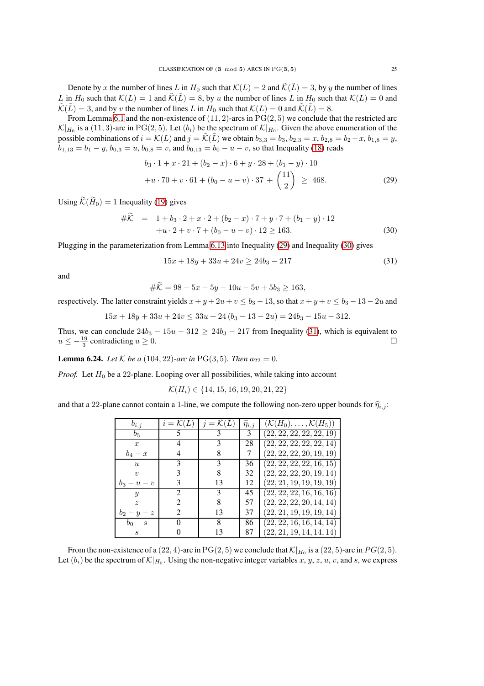Denote by x the number of lines L in  $H_0$  such that  $\mathcal{K}(L) = 2$  and  $\tilde{\mathcal{K}}(\tilde{L}) = 3$ , by y the number of lines L in  $H_0$  such that  $\mathcal{K}(L) = 1$  and  $\tilde{\mathcal{K}}(\tilde{L}) = 8$ , by u the number of lines L in  $H_0$  such that  $\mathcal{K}(L) = 0$  and  $\tilde{\mathcal{K}}(\tilde{L}) = 3$ , and by v the number of lines L in  $H_0$  such that  $\mathcal{K}(L) = 0$  and  $\tilde{\mathcal{K}}(\tilde{L}) = 8$ .

From Lemma [6.1](#page-15-2) and the non-existence of  $(11, 2)$ -arcs in PG $(2, 5)$  we conclude that the restricted arc  $\mathcal{K}|_{H_0}$  is a (11, 3)-arc in PG(2, 5). Let  $(b_i)$  be the spectrum of  $\mathcal{K}|_{H_0}$ . Given the above enumeration of the possible combinations of  $i = \mathcal{K}(L)$  and  $j = \tilde{\mathcal{K}}(\tilde{L})$  we obtain  $b_{3,3} = b_3$ ,  $b_{2,3} = x$ ,  $b_{2,8} = b_2 - x$ ,  $b_{1,8} = y$ ,  $b_{1,13} = b_1 - y$ ,  $b_{0,3} = u$ ,  $b_{0,8} = v$ , and  $b_{0,13} = b_0 - u - v$ , so that Inequality [\(18\)](#page-19-1) reads

<span id="page-24-0"></span>
$$
b_3 \cdot 1 + x \cdot 21 + (b_2 - x) \cdot 6 + y \cdot 28 + (b_1 - y) \cdot 10
$$
  
+
$$
u \cdot 70 + v \cdot 61 + (b_0 - u - v) \cdot 37 + \binom{11}{2} \ge 468.
$$
 (29)

Using  $\widetilde{\mathcal{K}}(\widetilde{H}_0) = 1$  Inequality [\(19\)](#page-19-2) gives

<span id="page-24-1"></span>
$$
\#K = 1 + b_3 \cdot 2 + x \cdot 2 + (b_2 - x) \cdot 7 + y \cdot 7 + (b_1 - y) \cdot 12
$$
  
+
$$
u \cdot 2 + v \cdot 7 + (b_0 - u - v) \cdot 12 \ge 163.
$$
 (30)

Plugging in the parameterization from Lemma [6.13](#page-18-3) into Inequality [\(29\)](#page-24-0) and Inequality [\(30\)](#page-24-1) gives

<span id="page-24-2"></span>
$$
15x + 18y + 33u + 24v \ge 24b_3 - 217\tag{31}
$$

and

$$
\#K = 98 - 5x - 5y - 10u - 5v + 5b_3 \ge 163,
$$

respectively. The latter constraint yields  $x + y + 2u + v < b_3 - 13$ , so that  $x + y + v < b_3 - 13 - 2u$  and

$$
15x + 18y + 33u + 24v \le 33u + 24(b_3 - 13 - 2u) = 24b_3 - 15u - 312.
$$

Thus, we can conclude  $24b_3 - 15u - 312 \ge 24b_3 - 217$  from Inequality [\(31\)](#page-24-2), which is equivalent to  $u \le -\frac{19}{3}$  contradicting  $u \ge 0$ . □

**Lemma 6.24.** *Let*  $K$  *be a* (104, 22)*-arc in* PG(3, 5)*. Then*  $a_{22} = 0$ *.* 

*Proof.* Let  $H_0$  be a 22-plane. Looping over all possibilities, while taking into account

$$
\mathcal{K}(H_i) \in \{14, 15, 16, 19, 20, 21, 22\}
$$

and that a 22-plane cannot contain a 1-line, we compute the following non-zero upper bounds for  $\hat{\eta}_{i,j}$ :

| $b_{i,j}$                   | $i = \mathcal{K}(I)$        | $i =$ | $\widehat{\eta}_{i,j}$ | $(\mathcal{K}(H_0),\ldots,\mathcal{K}(H_5))$ |
|-----------------------------|-----------------------------|-------|------------------------|----------------------------------------------|
| $b_{5}$                     |                             |       | 3                      | (22, 22, 22, 22, 22, 19)                     |
| $\boldsymbol{x}$            |                             | 3     | 28                     | (22, 22, 22, 22, 22, 14)                     |
| $b_4-x$                     | 4                           | 8     |                        | (22, 22, 22, 20, 19, 19)                     |
| $\boldsymbol{u}$            |                             | 3     | 36                     | (22, 22, 22, 22, 16, 15)                     |
| $\eta$                      |                             | 8     | 32                     | (22, 22, 22, 20, 19, 14)                     |
| $b_3 - u - v$               |                             | 13    | 12                     | (22, 21, 19, 19, 19, 19)                     |
| $\boldsymbol{y}$            | $\mathcal{D}_{\mathcal{L}}$ | 3     | 45                     | (22, 22, 22, 16, 16, 16)                     |
| $\tilde{z}$                 | 2                           | 8     | 57                     | (22, 22, 22, 20, 14, 14)                     |
| $b_2-y-z$                   | 2                           | 13    | 37                     | (22, 21, 19, 19, 19, 14)                     |
| $b_0-s$                     | $\theta$                    | 8     | 86                     | (22, 22, 16, 16, 14, 14)                     |
| $\mathcal{S}_{\mathcal{S}}$ |                             | 13    | 87                     | (22, 21, 19, 14, 14, 14)                     |

From the non-existence of a  $(22, 4)$ -arc in PG $(2, 5)$  we conclude that  $\mathcal{K}|_{H_0}$  is a  $(22, 5)$ -arc in  $PG(2, 5)$ . Let  $(b_i)$  be the spectrum of  $\mathcal{K}|_{H_0}$ . Using the non-negative integer variables x, y, z, u, v, and s, we express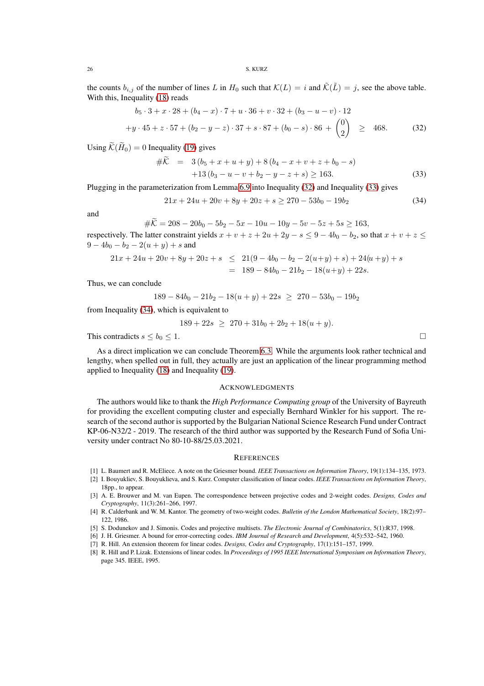the counts  $b_{i,j}$  of the number of lines L in  $H_0$  such that  $\mathcal{K}(L) = i$  and  $\tilde{\mathcal{K}}(\tilde{L}) = j$ , see the above table. With this, Inequality [\(18\)](#page-19-1) reads

<span id="page-25-8"></span>
$$
b_5 \cdot 3 + x \cdot 28 + (b_4 - x) \cdot 7 + u \cdot 36 + v \cdot 32 + (b_3 - u - v) \cdot 12
$$
  
+
$$
y \cdot 45 + z \cdot 57 + (b_2 - y - z) \cdot 37 + s \cdot 87 + (b_0 - s) \cdot 86 + {0 \choose 2} \ge 468.
$$
 (32)

Using  $\widetilde{\mathcal{K}}(\widetilde{H}_0) = 0$  Inequality [\(19\)](#page-19-2) gives

<span id="page-25-9"></span>
$$
\#K = 3(b_5 + x + u + y) + 8(b_4 - x + v + z + b_0 - s) \n+13(b_3 - u - v + b_2 - y - z + s) \ge 163.
$$
\n(33)

Plugging in the parameterization from Lemma [6.9](#page-17-0) into Inequality [\(32\)](#page-25-8) and Inequality [\(33\)](#page-25-9) gives

<span id="page-25-10"></span>
$$
21x + 24u + 20v + 8y + 20z + s \ge 270 - 53b_0 - 19b_2 \tag{34}
$$

and

$$
\#K = 208 - 20b_0 - 5b_2 - 5x - 10u - 10y - 5v - 5z + 5s \ge 163,
$$

respectively. The latter constraint yields  $x + v + z + 2u + 2y - s \le 9 - 4b_0 - b_2$ , so that  $x + v + z \le$  $9 - 4b_0 - b_2 - 2(u + y) + s$  and

$$
21x + 24u + 20v + 8y + 20z + s \le 21(9 - 4b_0 - b_2 - 2(u+y) + s) + 24(u+y) + s
$$
  
= 189 - 84b<sub>0</sub> - 21b<sub>2</sub> - 18(u+y) + 22s.

Thus, we can conclude

$$
189 - 84b_0 - 21b_2 - 18(u + y) + 22s \ge 270 - 53b_0 - 19b_2
$$

from Inequality [\(34\)](#page-25-10), which is equivalent to

$$
189 + 22s \ge 270 + 31b_0 + 2b_2 + 18(u + y).
$$

This contradicts  $s \le b_0 \le 1$ .

As a direct implication we can conclude Theorem [6.3.](#page-16-1) While the arguments look rather technical and lengthy, when spelled out in full, they actually are just an application of the linear programming method applied to Inequality [\(18\)](#page-19-1) and Inequality [\(19\)](#page-19-2).

## **ACKNOWLEDGMENTS**

The authors would like to thank the *High Performance Computing group* of the University of Bayreuth for providing the excellent computing cluster and especially Bernhard Winkler for his support. The research of the second author is supported by the Bulgarian National Science Research Fund under Contract KP-06-N32/2 - 2019. The research of the third author was supported by the Research Fund of Sofia University under contract No 80-10-88/25.03.2021.

### **REFERENCES**

- <span id="page-25-7"></span><span id="page-25-1"></span>[1] L. Baumert and R. McEliece. A note on the Griesmer bound. *IEEE Transactions on Information Theory*, 19(1):134–135, 1973.
- [2] I. Bouyukliev, S. Bouyuklieva, and S. Kurz. Computer classification of linear codes. *IEEE Transactions on Information Theory*, 18pp., to appear.
- <span id="page-25-5"></span>[3] A. E. Brouwer and M. van Eupen. The correspondence between projective codes and 2-weight codes. *Designs, Codes and Cryptography*, 11(3):261–266, 1997.
- <span id="page-25-6"></span>[4] R. Calderbank and W. M. Kantor. The geometry of two-weight codes. *Bulletin of the London Mathematical Society*, 18(2):97– 122, 1986.
- <span id="page-25-4"></span><span id="page-25-0"></span>[5] S. Dodunekov and J. Simonis. Codes and projective multisets. *The Electronic Journal of Combinatorics*, 5(1):R37, 1998.
- <span id="page-25-3"></span>[6] J. H. Griesmer. A bound for error-correcting codes. *IBM Journal of Research and Development*, 4(5):532–542, 1960.
- <span id="page-25-2"></span>[7] R. Hill. An extension theorem for linear codes. *Designs, Codes and Cryptography*, 17(1):151–157, 1999.
- [8] R. Hill and P. Lizak. Extensions of linear codes. In *Proceedings of 1995 IEEE International Symposium on Information Theory*, page 345. IEEE, 1995.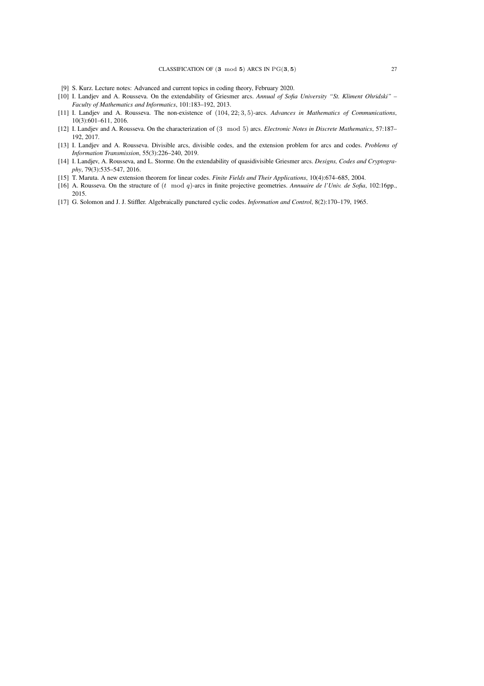- <span id="page-26-8"></span><span id="page-26-2"></span>[9] S. Kurz. Lecture notes: Advanced and current topics in coding theory, February 2020.
- [10] I. Landjev and A. Rousseva. On the extendability of Griesmer arcs. *Annual of Sofia University "St. Kliment Ohridski" – Faculty of Mathematics and Informatics*, 101:183–192, 2013.
- <span id="page-26-1"></span>[11] I. Landjev and A. Rousseva. The non-existence of (104, 22; 3, 5)-arcs. *Advances in Mathematics of Communications*, 10(3):601–611, 2016.
- <span id="page-26-5"></span><span id="page-26-3"></span>[12] I. Landjev and A. Rousseva. On the characterization of (3 mod 5) arcs. *Electronic Notes in Discrete Mathematics*, 57:187– 192, 2017.
- [13] I. Landjev and A. Rousseva. Divisible arcs, divisible codes, and the extension problem for arcs and codes. *Problems of Information Transmission*, 55(3):226–240, 2019.
- <span id="page-26-4"></span>[14] I. Landjev, A. Rousseva, and L. Storme. On the extendability of quasidivisible Griesmer arcs. *Designs, Codes and Cryptography*, 79(3):535–547, 2016.
- <span id="page-26-7"></span><span id="page-26-6"></span>[15] T. Maruta. A new extension theorem for linear codes. *Finite Fields and Their Applications*, 10(4):674–685, 2004.
- <span id="page-26-0"></span>[16] A. Rousseva. On the structure of (t mod q)-arcs in finite projective geometries. *Annuaire de l'Univ. de Sofia*, 102:16pp., 2015.
- [17] G. Solomon and J. J. Stiffler. Algebraically punctured cyclic codes. *Information and Control*, 8(2):170–179, 1965.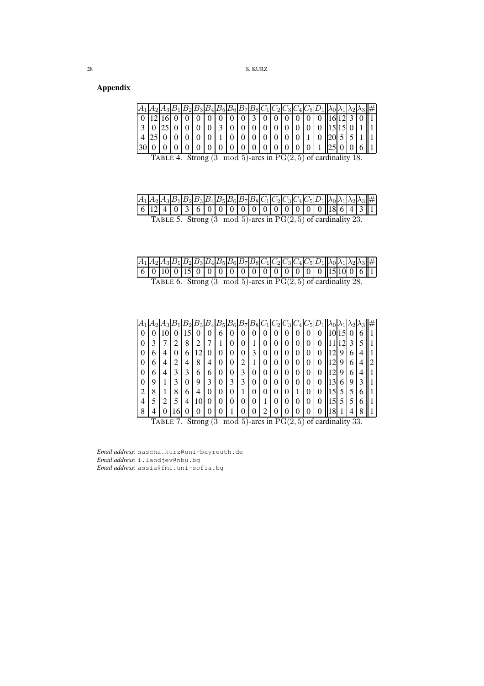# Appendix

| $A_1A_2A_3B_1$ |  |  |                |   |      |                  |                  |       |  | $ B_2 B_3 B_4 B_5 B_6 B_7 B_8 C_1 C_2 C_3 C_4 C_5 D_1\ \lambda_0 \lambda_1 \lambda_2 \lambda_3\ \# $ |  |  |  |
|----------------|--|--|----------------|---|------|------------------|------------------|-------|--|------------------------------------------------------------------------------------------------------|--|--|--|
|                |  |  | 0 <sup>0</sup> |   | 0003 |                  |                  | 00000 |  |                                                                                                      |  |  |  |
|                |  |  |                | κ |      |                  |                  |       |  |                                                                                                      |  |  |  |
|                |  |  |                |   |      | $\boldsymbol{0}$ | $\boldsymbol{0}$ |       |  |                                                                                                      |  |  |  |
|                |  |  |                |   |      |                  |                  |       |  |                                                                                                      |  |  |  |

<span id="page-27-0"></span>TABLE 4. Strong  $(3 \mod 5)$ -arcs in  $PG(2, 5)$  of cardinality 18.

|                                                                     |  |  |  |  |  |  |  |  |  |  |  |  |  | $ A_1 A_2 A_3 B_1 B_2 B_3 B_4 B_5 B_6 B_7 B_8 C_1 C_2 C_3 C_4 C_5 D_1  \lambda_0 \lambda_1 \lambda_2 \lambda_3 \#$                                                                                                                                                                                                                             |  |  |  |
|---------------------------------------------------------------------|--|--|--|--|--|--|--|--|--|--|--|--|--|------------------------------------------------------------------------------------------------------------------------------------------------------------------------------------------------------------------------------------------------------------------------------------------------------------------------------------------------|--|--|--|
|                                                                     |  |  |  |  |  |  |  |  |  |  |  |  |  | $\boxed{6}$ $\boxed{12}$ $\boxed{4}$ $\boxed{0}$ $\boxed{3}$ $\boxed{6}$ $\boxed{0}$ $\boxed{0}$ $\boxed{0}$ $\boxed{0}$ $\boxed{0}$ $\boxed{0}$ $\boxed{0}$ $\boxed{0}$ $\boxed{0}$ $\boxed{0}$ $\boxed{0}$ $\boxed{0}$ $\boxed{0}$ $\boxed{0}$ $\boxed{0}$ $\boxed{0}$ $\boxed{0}$ $\boxed{0}$ $\boxed{0}$ $\boxed{0}$ $\boxed{0}$ $\boxed{$ |  |  |  |
| TABLE 5. Strong $(3 \mod 5)$ -arcs in $PG(2, 5)$ of cardinality 23. |  |  |  |  |  |  |  |  |  |  |  |  |  |                                                                                                                                                                                                                                                                                                                                                |  |  |  |

|  |  |  |  |  |  |  |  | $ A_1 A_2 A_3 B_1 B_2 B_3 B_4 B_5 B_6 B_7 B_8 C_1 C_2 C_3 C_4 C_5 D_1 \lambda_0 \lambda_1 \lambda_2 \lambda_3 \# $ |  |  |  |
|--|--|--|--|--|--|--|--|--------------------------------------------------------------------------------------------------------------------|--|--|--|
|  |  |  |  |  |  |  |  |                                                                                                                    |  |  |  |
|  |  |  |  |  |  |  |  | TABLE 6. Strong $(3 \mod 5)$ -arcs in $PG(2, 5)$ of cardinality 28.                                                |  |  |  |

|   |   |   |   |   |   |   | $B_{5}$ | $E_{6}$ |   |   |          |          | 3                       |   |   |   |   |   |   |  |
|---|---|---|---|---|---|---|---------|---------|---|---|----------|----------|-------------------------|---|---|---|---|---|---|--|
| O |   |   | U |   |   | U | 6       |         |   |   | U        |          |                         | υ |   |   |   |   | O |  |
| 0 |   |   | 2 | 8 | ∍ |   |         | 0       | 0 |   | O        | $\theta$ | U                       | 0 | O | O |   | 3 |   |  |
| 0 | h | 4 | 0 | 6 |   | O | 0       | O       |   | 3 | 0        | $\theta$ | U                       | 0 | O | O | 9 | 6 | 4 |  |
| 0 | 6 | 4 | 2 | 4 | 8 | 4 | 0       | 0       | ◠ |   | $\theta$ | $\theta$ | U                       | 0 | O | O | 9 | 6 | 4 |  |
| 0 | O | 4 | 3 | 3 | 6 | 6 | 0       | O       | 3 | U | 0        | $\theta$ | U                       | 0 | O |   | 9 | h | 4 |  |
| 0 | g |   | 3 | 0 | 9 | 3 | 0       | 3       | 3 | 0 | 0        | $\theta$ | U                       | 0 | O | O | 6 | 9 |   |  |
| 2 | 8 |   | 8 | 6 | 4 | 0 | 0       | O       |   | 0 | O        | $\theta$ | U                       |   | O | O |   |   | O |  |
| 4 |   |   | 5 | 4 |   | U | 0       | O       | 0 | 0 |          | $\theta$ | U                       | 0 | O | O |   |   | b |  |
| 8 |   |   | h |   |   |   |         |         |   |   | ◠        |          | $\lambda$ $=$<br>$\sim$ |   |   |   |   |   | ິ |  |

TABLE 7. Strong  $(3 \mod 5)$ -arcs in  $PG(2, 5)$  of cardinality 33.

*Email address*: sascha.kurz@uni-bayreuth.de *Email address*: i.landjev@nbu.bg *Email address*: assia@fmi.uni-sofia.bg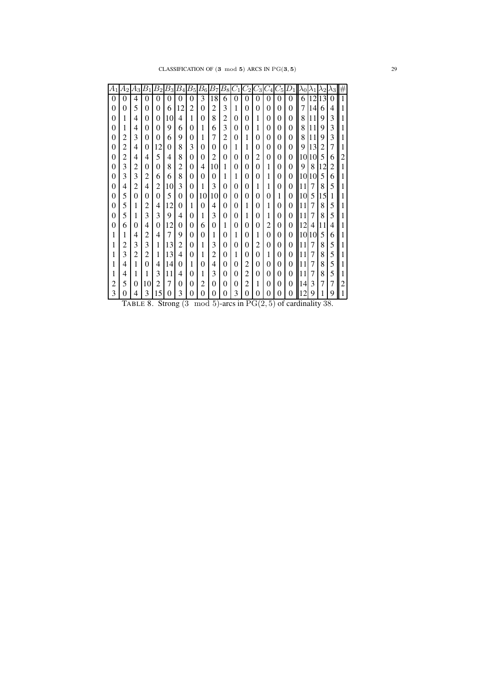| A1       | Aэ | Aз       | $\mathbb{B}_1$ | $B_2$ | $B_3$    | $B_{\rm 4}$    | $B_{\rm 5}$ | $B_{6}$  | B7       | $B_8$          | $C_1$    | $C_2$  | - 3 | U4       | U5       |          | $\lambda_0$    | $\lambda$ 1 | $\lambda_2$ | ĄЗ | # |
|----------|----|----------|----------------|-------|----------|----------------|-------------|----------|----------|----------------|----------|--------|-----|----------|----------|----------|----------------|-------------|-------------|----|---|
| $\theta$ | 0  | 4        | 0              | 0     | 0        | 0              | 0           | 3        | 18       | 6              | 0        | 0      | 0   | 0        | 0        | 0        | 6              | 12          | 13          | 0  |   |
| 0        | 0  | 5        | 0              | 0     | 6        | 12             | 2           | 0        | 2        | 3              | 1        | 0      | 0   | 0        | 0        | 0        | 7              | 14          | 6           | 4  |   |
| 0        | 1  | 4        | 0              | 0     | 10       | 4              | 1           | 0        | 8        | 2              | 0        | $_{0}$ | 1   | 0        | $\Omega$ | 0        | 8              | 11          | 9           | 3  |   |
| 0        | 1  | 4        | 0              | 0     | 9        | 6              | 0           | 1        | 6        | 3              | 0        | 0      | 1   | 0        | 0        | 0        | 8              | 11          | 9           | 3  |   |
| 0        | 2  | 3        | 0              | 0     | 6        | 9              | 0           | 1        | 7        | $\overline{c}$ | 0        | 1      | 0   | 0        | 0        | 0        | 8              | 11          | 9           | 3  |   |
| 0        | 2  | 4        | 0              | 12    | $\Omega$ | 8              | 3           | $\theta$ | $\Omega$ | $\theta$       | 1        | 1      | 0   | 0        | $\theta$ | 0        | 9              | 13          | 2           | 7  |   |
| $\theta$ | 2  | 4        | 4              | 5     | 4        | 8              | 0           | 0        | 2        | 0              | $\Omega$ | $_{0}$ | 2   | $\theta$ | $\Omega$ | $\theta$ | 10             | 10          | 5           | 6  | 2 |
| 0        | 3  | 2        | 0              | 0     | 8        | 2              | 0           | 4        | 10       | 1              | $^{(1)}$ | 0      | 0   | 1        | 0        | 0        | 9              | 8           | 12          | 2  |   |
| 0        | 3  | 3        | 2              | 6     | 6        | 8              | 0           | $\theta$ | $\theta$ | 1              | 1        | 0      | 0   | 1        | 0        | 0        | 10             | 10          | 5           | 6  |   |
| 0        | 4  | 2        | 4              | 2     | 10       | 3              | 0           | 1        | 3        | 0              | 0        | 0      | 1   | 1        | 0        | $\theta$ | 11             | 7           | 8           | 5  |   |
| 0        | 5  | 0        | 0              | 0     | 5        | 0              | 0           | 10       | 10       | 0              | $^{(1)}$ | 0      | 0   | 0        | 1        | 0        | 10             | 5           | 15          | 1  |   |
| 0        | 5  | 1        | 2              | 4     | 12       | 0              | 1           | 0        | 4        | 0              | $^{(1)}$ | 1      | 0   | 1        | 0        | 0        | 11             | 7           | 8           | 5  |   |
| 0        | 5  | 1        | 3              | 3     | 9        | 4              | 0           | 1        | 3        | $\theta$       | 0        | 1      | 0   | 1        | 0        | $\theta$ | 11             | 7           | 8           | 5  |   |
| 0        | 6  | $\theta$ | 4              | 0     | 12       | 0              | 0           | 6        | $\Omega$ | 1              | $\Omega$ | 0      | 0   | 2        | 0        | 0        | 12             | 4           | 11          | 4  |   |
| 1        | 1  | 4        | 2              | 4     | 7        | 9              | 0           | 0        | 1        | 0              | 1        | 0      | 1   | 0        | 0        | $\theta$ | 10             | 10          | 5           | 6  |   |
| 1        | 2  | 3        | 3              | 1     | 13       | $\overline{2}$ | 0           | 1        | 3        | 0              | $\Omega$ | 0      | 2   | 0        | $\Omega$ | 0        | 11             | 7           | 8           | 5  |   |
| 1        | 3  | 2        | 2              | 1     | 13       | 4              | $\theta$    | 1        | 2        | $\theta$       | 1        | 0      | 0   | 1        | $\theta$ | 0        | 11             | 7           | 8           | 5  |   |
| 1        | 4  | 1        | 0              | 4     | 14       | 0              | 1           | 0        | 4        | 0              | $^{(1)}$ | 2      | 0   | 0        | 0        | $\theta$ | 11             | 7           | 8           | 5  |   |
| 1        | 4  | 1        | 1              | 3     | 11       | 4              | 0           | 1        | 3        | 0              | $^{(1)}$ | 2      | 0   | 0        | 0        | 0        | 11             | 7           | 8           | 5  |   |
| 2        | 5  | $\Omega$ | 10             | 2     | 7        | 0              | 0           | 2        | $\theta$ | 0              | $^{(1)}$ | 2      | 1   | 0        | $\theta$ | 0        | 14             | 3           | 7           | 7  |   |
| 3        | 0  | 4        | 3              | 15    | 0        | 3              | 0           | 0        | 0        | 0              | 3        | 0      | 0   | 0        | 0        | 0        | $\overline{c}$ | 9           | 1           | 9  |   |

TABLE 8. Strong  $(3 \mod 5)$ -arcs in  $PG(2, 5)$  of cardinality 38.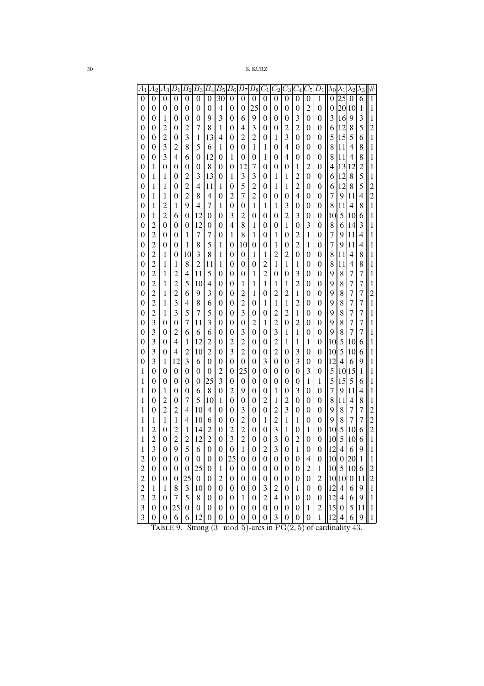| 41                      | A2               | $A_3$            | $B_1$            | $B_{2}$          | $B_3$            | $B_{4}$          | $B_5$            | $\, B_6$         | $\overline{B_7}$ | $B_8$            | $\scriptstyle{C_{1}}$   | $C_{2}$          | $_{\rm C3}$      | $\scriptstyle{U_4}$ | $\cup 5$         | $\mathcal{D}_1$  | $\lambda 0$      | $\lambda_1$      | Λ2               | $_{\rm A3}$    |                         |
|-------------------------|------------------|------------------|------------------|------------------|------------------|------------------|------------------|------------------|------------------|------------------|-------------------------|------------------|------------------|---------------------|------------------|------------------|------------------|------------------|------------------|----------------|-------------------------|
| $\overline{0}$          | $\overline{0}$   | $\overline{0}$   | $\overline{0}$   | $\overline{0}$   | $\overline{0}$   | $\mathbf{0}$     | 30               | $\theta$         | $\theta$         | $\theta$         | 0                       | $\overline{0}$   | $\theta$         | 0                   | $\overline{0}$   | 1                | 0                | $\overline{25}$  | 0                | 6              | 1                       |
|                         |                  |                  |                  |                  |                  |                  |                  |                  |                  |                  |                         |                  |                  |                     |                  |                  |                  |                  |                  |                |                         |
| 0                       | 0                | 0                | 0                | 0                | 0                | 0                | 4                | 0                | 0                | 25               | 0                       | 0                | 0                | 0                   | $\overline{c}$   | 0                | 0                | 20               | 10               | 1              | 1                       |
| 0                       | 0                | 1                | 0                | 0                | 0                | 9                | 3                | 0                | 6                | 9                | 0                       | 0                | 0                | 3                   | 0                | $\overline{0}$   | 3                | 16               | 9                | 3              | 1                       |
| 0                       | 0                | 2                | 0                | 2                | 7                | 8                | 1                | 0                | 4                | 3                | $\theta$                | 0                | 2                | 2                   | 0                | 0                | 6                | 12               | 8                | 5              | $\overline{c}$          |
|                         |                  | 2                |                  | 3                |                  |                  |                  |                  |                  | 2                |                         |                  | 3                |                     |                  |                  | 5                | 15               |                  |                |                         |
| 0                       | 0                |                  | 0                |                  | 1                | 13               | 4                | 0                | 2                |                  | 0                       | 1                |                  | 0                   | 0                | 0                |                  |                  | 5                | 6              | 1                       |
| 0                       | 0                | 3                | 2                | 8                | 5                | 6                | 1                | 0                | 0                | 1                | 1                       | 0                | 4                | 0                   | 0                | 0                | 8                | 11               | 4                | 8              | 1                       |
| 0                       | 0                | 3                | 4                | 6                | 0                | 12               | 0                | 1                | 0                | 0                | 1                       | 0                | 4                | 0                   | 0                | 0                | 8                | 11               | 4                | 8              | 1                       |
| 0                       | 1                | 0                | $\theta$         | 0                | 0                | 8                | 0                | 0                | 12               | 7                | $\theta$                | 0                | $\theta$         | 1                   | 2                | 0                | 4                | 13               | 12               | $\overline{c}$ | 1                       |
|                         |                  |                  |                  |                  |                  |                  |                  |                  |                  |                  |                         |                  |                  |                     |                  |                  |                  |                  |                  |                |                         |
| 0                       | 1                | 1                | $\theta$         | 2                | 3                | 13               | 0                | 1                | 3                | 3                | 0                       | 1                | 1                | 2                   | 0                | 0                | 6                | 12               | 8                | 5              | 1                       |
| 0                       | 1                | 1                | 0                | 2                | 4                | 11               | 1                | 0                | 5                | 2                | 0                       | 1                | 1                | 2                   | 0                | 0                | 6                | 12               | 8                | 5              | $\overline{c}$          |
| 0                       | 1                | 1                | 0                | 2                | 8                | 4                | 0                | 2                | 7                | 2                | 0                       | 0                | 0                | 4                   | 0                | 0                | 7                | 9                | 11               | $\overline{4}$ | $\overline{c}$          |
| 0                       | 1                | 2                | 1                | 9                | 4                | 7                | 1                | 0                | 0                | 1                | 1                       | 1                | 3                | 0                   | 0                | 0                | 8                | 11               | 4                | 8              | 1                       |
|                         |                  | 2                |                  |                  | 12               |                  |                  |                  |                  |                  |                         |                  | 2                | 3                   |                  |                  |                  |                  |                  |                |                         |
| 0                       | 1                |                  | 6                | 0                |                  | 0                | 0                | 3                | 2                | 0                | 0                       | 0                |                  |                     | 0                | 0                | 10               | 5                | 10               | 6              | 1                       |
| 0                       | $\overline{c}$   | 0                | 0                | 0                | 12               | 0                | 0                | 4                | 8                | 1                | 0                       | 0                | 1                | 0                   | 3                | 0                | 8                | 6                | 14               | 3              | 1                       |
| 0                       | $\overline{c}$   | 0                | $^{(1)}$         | 1                | 7                | 7                | 0                | 1                | 8                | 1                | 0                       | 1                | 0                | 2                   | 1                | 0                | 7                | 9                | 11               | $\overline{4}$ | 1                       |
| 0                       | $\overline{c}$   | 0                | $^{(1)}$         | 1                | 8                | 5                | 1                | 0                | 10               | 0                | 0                       | 1                | 0                | $\overline{2}$      | 1                | 0                | 7                | 9                | 11               | 4              | 1                       |
| 0                       | $\overline{c}$   | 1                | 0                | 10               | 3                | 8                | 1                | 0                | 0                | 1                | 1                       | $\overline{c}$   | 2                | 0                   | 0                | 0                | 8                | 11               | 4                | 8              | 1                       |
|                         |                  |                  |                  |                  |                  |                  |                  |                  |                  |                  |                         |                  |                  |                     |                  |                  |                  |                  |                  |                |                         |
| 0                       | $\overline{c}$   | 1                | 1                | 8                | $\overline{2}$   | 11               | 1                | 0                | 0                | 0                | 2                       | 1                | 1                | 1                   | 0                | 0                | 8                | 11               | 4                | 8              | 1                       |
| 0                       | $\overline{c}$   | 1                | 2                | 4                | 11               | 5                | 0                | 0                | 0                | 1                | $\overline{2}$          | 0                | 0                | 3                   | 0                | 0                | 9                | 8                | 7                | 7              | 1                       |
| 0                       | $\overline{c}$   | 1                | $\overline{2}$   | 5                | 10               | 4                | 0                | 0                | 1                | 1                | 1                       | 1                | 1                | $\overline{2}$      | 0                | 0                | 9                | 8                | 7                | 7              | 1                       |
| 0                       | $\overline{c}$   | 1                | 2                | 6                | 9                | 3                | 0                | 0                | 2                | 1                | 0                       | $\overline{c}$   | 2                | 1                   | 0                | 0                | 9                | 8                | 7                | 7              | $\overline{c}$          |
|                         | $\overline{c}$   |                  | 3                | 4                | 8                | 6                |                  |                  | 2                |                  | 1                       | 1                | 1                | 2                   |                  | 0                | 9                | 8                | 7                | 7              | 1                       |
| 0                       |                  | 1                |                  |                  |                  |                  | 0                | 0                |                  | 0                |                         |                  |                  |                     | 0                |                  |                  |                  |                  |                |                         |
| 0                       | $\overline{c}$   | 1                | 3                | 5                | 7                | 5                | 0                | 0                | 3                | 0                | 0                       | 2                | 2                | 1                   | 0                | 0                | 9                | 8                | 7                | 7              | 1                       |
| 0                       | 3                | 0                | 0                | 7                | 11               | 3                | 0                | 0                | 0                | 2                | 1                       | 2                | 0                | 2                   | 0                | 0                | 9                | 8                | 7                | 7              | 1                       |
| 0                       | 3                | 0                | 2                | 6                | 6                | 6                | 0                | 0                | 3                | 0                | 0                       | 3                | 1                | 1                   | 0                | $\overline{0}$   | 9                | 8                | 7                | 7              | 1                       |
| 0                       | 3                | 0                | 4                | 1                | 12               | $\overline{c}$   | 0                | 2                | 2                | 0                | 0                       | 2                | 1                | 1                   | 1                | $\overline{0}$   | 10               | 5                | 10               | 6              | 1                       |
|                         |                  |                  |                  |                  |                  |                  |                  |                  |                  |                  |                         |                  |                  |                     |                  |                  |                  |                  |                  |                |                         |
| 0                       | 3                | 0                | 4                | 2                | 10               | $\overline{2}$   | 0                | 3                | 2                | 0                | 0                       | 2                | 0                | 3                   | 0                | $\overline{0}$   | 10               | 5                | 10               | 6              | 1                       |
| 0                       | 3                | 1                | 12               | 3                | 6                | 0                | 0                | 0                | 0                | 0                | 3                       | 0                | 0                | 3                   | 0                | 0                | 12               | $\overline{4}$   | 6                | 9              | 1                       |
| 1                       | 0                | 0                | 0                | 0                | 0                | 0                | 2                | 0                | 25               | 0                | 0                       | 0                | 0                | 0                   | 3                | 0                | 5                | 10               | 15               | 1              | 1                       |
| 1                       | 0                | 0                | 0                | 0                | 0                | 25               | 3                | 0                | 0                | 0                | 0                       | 0                | 0                | 0                   | 1                | 1                | 5                | 15               | 5                | 6              | 1                       |
| 1                       | 0                | 1                | 0                | 0                | 6                | 8                | 0                | 2                | 9                | 0                | 0                       | 1                | 0                | 3                   | 0                | 0                | 7                | 9                | 11               | 4              | 1                       |
|                         |                  |                  |                  |                  |                  |                  |                  |                  |                  |                  |                         |                  |                  |                     |                  |                  |                  |                  |                  |                |                         |
| 1                       | 0                | 2                | 0                | 7                | 5                | 10               | 1                | 0                | 0                | 0                | $\overline{c}$          | 1                | 2                | 0                   | 0                | 0                | 8                | 11               | 4                | 8              | 1                       |
| 1                       | 0                | 2                | 2                | 4                | 10               | 4                | 0                | 0                | 3                | 0                | 0                       | $\overline{c}$   | 3                | 0                   | 0                | 0                | 9                | 8                | 7                | 7              | $\overline{c}$          |
| 1                       | 1                | 1                | 1                | 4                | 10               | 6                | 0                | 0                | $\overline{c}$   | 0                | 1                       | $\overline{c}$   | 1                | 1                   | 0                | 0                | 9                | 8                | 7                | 7              | $\overline{c}$          |
| 1                       | $\overline{c}$   | 0                | 2                | 1                | 14               | $\overline{c}$   | 0                | $\overline{c}$   | $\overline{c}$   | 0                | 0                       | 3                | 1                | 0                   | 1                | 0                | 10               | 5                | 10               | 6              | $\overline{c}$          |
|                         |                  |                  |                  |                  |                  |                  |                  |                  |                  |                  |                         |                  |                  |                     |                  |                  |                  | 5                |                  |                |                         |
| 1                       | $\overline{c}$   | 0                | $\overline{c}$   | $\overline{c}$   | 12               | $\overline{c}$   | 0                | 3                | $\overline{c}$   | 0                | 0                       | 3                | 0                | $\overline{c}$      | 0                | 0                | 10               |                  | 10               | 6              | 1                       |
| T                       | 3                | 0                | 9                | 5                | 6                | $\boldsymbol{0}$ | 0                | $\boldsymbol{0}$ | 1                | $\boldsymbol{0}$ | $\overline{\mathbf{c}}$ | 3                | 0                | 1                   | $\boldsymbol{0}$ | $\boldsymbol{0}$ | 12               | 4                | 6                | 9              | $\mathbf{1}$            |
| $\overline{c}$          | $\boldsymbol{0}$ | $\boldsymbol{0}$ | $\boldsymbol{0}$ | $\boldsymbol{0}$ | $\boldsymbol{0}$ | $\boldsymbol{0}$ | $\boldsymbol{0}$ | 25               | $\boldsymbol{0}$ | $\boldsymbol{0}$ | $\boldsymbol{0}$        | $\boldsymbol{0}$ | $\boldsymbol{0}$ | $\boldsymbol{0}$    | $\overline{4}$   | $\overline{0}$   | 10 0             |                  | 20               | $\mathbf{1}$   | $\,1\,$                 |
| $\overline{c}$          | $\boldsymbol{0}$ | $\boldsymbol{0}$ | $\boldsymbol{0}$ | $\boldsymbol{0}$ | 25               | $\boldsymbol{0}$ | $\,1$            | $\boldsymbol{0}$ | $\boldsymbol{0}$ | $\boldsymbol{0}$ | $\boldsymbol{0}$        | $\boldsymbol{0}$ | $\boldsymbol{0}$ | $\boldsymbol{0}$    | $\overline{c}$   | $\,1\,$          | $10\overline{5}$ |                  | 10               | 6              | $\overline{\mathbf{c}}$ |
| $\overline{c}$          | $\boldsymbol{0}$ | $\boldsymbol{0}$ | $\boldsymbol{0}$ | 25               | $\boldsymbol{0}$ | $\boldsymbol{0}$ | $\overline{c}$   | $\boldsymbol{0}$ | $\boldsymbol{0}$ | $\boldsymbol{0}$ | $\boldsymbol{0}$        | $\boldsymbol{0}$ | $\boldsymbol{0}$ | $\boldsymbol{0}$    | $\boldsymbol{0}$ | $\overline{c}$   |                  | 10 10            | $\boldsymbol{0}$ | 11             | $\overline{c}$          |
|                         |                  |                  |                  |                  |                  |                  |                  |                  |                  |                  |                         |                  |                  |                     |                  |                  |                  |                  |                  |                |                         |
| $\overline{c}$          | $\mathbf{1}$     | $\mathbf{1}$     | 8                | $\mathfrak{Z}$   | 10               | $\boldsymbol{0}$ | $\boldsymbol{0}$ | $\boldsymbol{0}$ | $\boldsymbol{0}$ | $\boldsymbol{0}$ | 3                       | $\overline{c}$   | $\boldsymbol{0}$ | $\,1$               | $\boldsymbol{0}$ | $\boldsymbol{0}$ | 12               | $\overline{4}$   | 6                | 9              | $\,1$                   |
| $\overline{c}$          | $\overline{c}$   | 0                | $\boldsymbol{7}$ | 5                | 8                | $\boldsymbol{0}$ | $\boldsymbol{0}$ | $\boldsymbol{0}$ | $\mathbf{1}$     | $\boldsymbol{0}$ | $\overline{c}$          | $\overline{4}$   | $\boldsymbol{0}$ | $\boldsymbol{0}$    | $\boldsymbol{0}$ | $\boldsymbol{0}$ | 12               | $\overline{4}$   | 6                | 9              | $\,1$                   |
| 3                       | $\boldsymbol{0}$ | $\boldsymbol{0}$ | 25               | $\boldsymbol{0}$ | $\boldsymbol{0}$ | $\boldsymbol{0}$ | $\boldsymbol{0}$ | $\boldsymbol{0}$ | $\boldsymbol{0}$ | $\boldsymbol{0}$ | 0                       | $\boldsymbol{0}$ | $\boldsymbol{0}$ | $\boldsymbol{0}$    | $\mathbf{1}$     | $\overline{c}$   | 15               | $\boldsymbol{0}$ | 5                | 11             | $\mathbf{1}$            |
| $\overline{\mathbf{3}}$ | $\overline{0}$   | $\boldsymbol{0}$ | 6                | 6                | 12               | $\boldsymbol{0}$ | $\boldsymbol{0}$ | $\overline{0}$   | $\boldsymbol{0}$ | $\overline{0}$   | $\boldsymbol{0}$        | 3                | $\overline{0}$   | $\boldsymbol{0}$    | $\overline{0}$   | $\mathbf{1}$     | 12               | $\overline{4}$   | 6                | 9              | 1                       |
|                         |                  |                  |                  |                  |                  |                  |                  |                  |                  |                  |                         |                  |                  |                     |                  |                  |                  |                  |                  |                |                         |

TABLE 9. Strong  $(3 \mod 5)$ -arcs in  $PG(2, 5)$  of cardinality 43.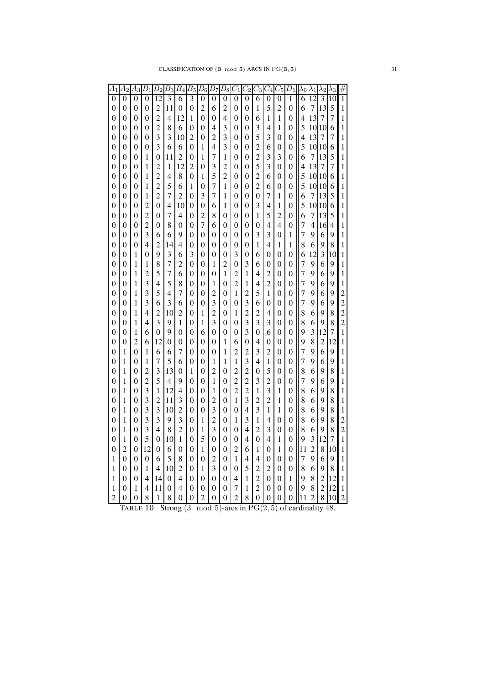| $\scriptstyle{A_1}$ | $\scriptstyle A_2$ | $\scriptstyle A_3$ | $\overline{B_1}$ | $B_{2}$         | $B_3$          | $\overline{B_4}$ | $B_{5}$        | $B_6\,$        | $B_7$          | $B_8$                   | $C_{1}$        | $C_{2}$                 | $\scriptstyle C_3$      | $\scriptstyle C_4$ | $\scriptstyle C_5$ | $D_1$          | $\lambda_0$    | $\lambda_1$    | $\lambda_2$             | $\lambda_3$    |                |
|---------------------|--------------------|--------------------|------------------|-----------------|----------------|------------------|----------------|----------------|----------------|-------------------------|----------------|-------------------------|-------------------------|--------------------|--------------------|----------------|----------------|----------------|-------------------------|----------------|----------------|
| 0                   | 0                  | $\Omega$           | $\theta$         | $\overline{12}$ | 3              | 6                | $\overline{3}$ | $\theta$       | 0              | $\theta$                | $\Omega$       | $\overline{0}$          | 6                       | $\theta$           | $\overline{0}$     | 1              | 6              | 12             | 3                       | 10             | $\overline{1}$ |
| 0                   | 0                  | 0                  | $\overline{0}$   | $\overline{c}$  | 11             | $\overline{0}$   | 0              | $\overline{c}$ | 6              | $\overline{c}$          | 0              | 0                       | 1                       | 5                  | 2                  | 0              | 6              | 7              | 13                      | 5              | 1              |
| 0                   | 0                  | 0                  | 0                | $\overline{c}$  | 4              | 12               | 1              | 0              | 0              | 4                       | 0              | 0                       | 6                       | 1                  | 1                  | 0              | 4              | 13             | 7                       | 7              | 1              |
| 0                   | 0                  | 0                  | 0                | $\overline{c}$  | 8              | 6                | 0              | 0              | 4              | $\overline{\mathbf{3}}$ | 0              | 0                       | 3                       | 4                  | 1                  | 0              | 5              | 10             | 10                      | 6              | 1              |
| 0                   | 0                  | 0                  | 0                | 3               | 3              | 10               | 2              | 0              | 2              | 3                       | $\overline{0}$ | 0                       | 5                       | 3                  | 0                  | 0              | 4              | 13             | 7                       | 7              | 1              |
| 0                   | 0                  | 0                  | 0                | 3               | 6              | 6                | 0              | 1              | 4              | 3                       | 0              | 0                       | $\overline{c}$          | 6                  | $\overline{0}$     | 0              | 5              | 10             | 10                      | 6              | 1              |
| 0                   | 0                  | 0                  | 1                | $\overline{0}$  | 11             | 2                | 0              | 1              | 7              | 1                       | $\overline{0}$ | 0                       | $\overline{c}$          | 3                  | 3                  | 0              | 6              | 7              | 13                      | 5              | 1              |
| 0                   | 0                  | 0                  | 1                | $\overline{c}$  | 1              | 12               | $\overline{c}$ | 0              | 3              | $\overline{c}$          | 0              | 0                       | 5                       | 3                  | $\overline{0}$     | 0              | 4              | 13             | 7                       | $\overline{7}$ | 1              |
| 0                   | 0                  | 0                  | 1                | $\overline{c}$  | 4              | 8                | 0              | 1              | 5              | $\overline{c}$          | 0              | 0                       | $\overline{c}$          | 6                  | 0                  | 0              | 5              | 10             | 10                      | 6              | 1              |
| 0                   | 0                  | 0                  | 1                | $\overline{c}$  | 5              | 6                | 1              | 0              | 7              | 1                       | $\overline{0}$ | 0                       | $\overline{2}$          | 6                  | 0                  | 0              | 5              | 10             | 10                      | 6              | 1              |
| 0                   | 0                  | 0                  | 1                | $\overline{2}$  | 7              | $\overline{c}$   | 0              | 3              | $\overline{7}$ | 1                       | 0              | $\theta$                | 0                       | 7                  | 1                  | 0              | 6              | 7              | 13                      | 5              | 1              |
| 0                   | 0                  | 0                  | 2                | $\overline{0}$  | $\overline{4}$ | 10               | 0              | 0              | 6              | 1                       | $\overline{0}$ | 0                       | 3                       | 4                  | 1                  | 0              | 5              | 10             | 10                      | 6              | 1              |
| 0                   | 0                  | 0                  | $\overline{c}$   | 0               | 7              | 4                | 0              | $\overline{c}$ | 8              | 0                       | 0              | 0                       | 1                       | 5                  | 2                  | 0              | 6              | 7              | 13                      | 5              | 1              |
| 0                   | 0                  | 0                  | $\overline{2}$   | 0               | 8              | 0                | 0              | $\overline{7}$ | 6              | 0                       | $\theta$       | 0                       | 0                       | 4                  | 4                  | 0              | 7              | 4              | 16                      | 4              | 1              |
| 0                   | 0                  | 0                  | 3                | 6               | 6              | 9                | 0              | $\overline{0}$ | 0              | $\overline{0}$          | 0              | 0                       | 3                       | 3                  | 0                  | 1              | 7              | 9              | 6                       | 9              | 1              |
| 0                   | 0                  | 0                  | $\overline{4}$   | $\overline{c}$  | 14             | 4                | 0              | 0              | 0              | $\overline{0}$          | 0              | 0                       | 1                       | 4                  | 1                  | 1              | 8              | 6              | 9                       | 8              | 1              |
| 0                   | 0                  | 1                  | 0                | 9               | 3              | 6                | 3              | 0              | $\theta$       | 0                       | 3              | 0                       | 6                       | 0                  | 0                  | 0              | 6              | 12             | $\overline{\mathbf{3}}$ | 10             | 1              |
| 0                   | 0                  | 1                  | 1                | 8               | 7              | $\overline{c}$   | 0              | 0              | 1              | $\overline{c}$          | 0              | 3                       | 6                       | 0                  | 0                  | 0              | $\overline{7}$ | 9              | 6                       | 9              | 1              |
| 0                   | 0                  | 1                  | $\overline{c}$   | 5               | 7              | 6                | 0              | $\overline{0}$ | 0              | 1                       | $\overline{c}$ | 1                       | 4                       | $\overline{c}$     | $\overline{0}$     | 0              | 7              | 9              | 6                       | 9              | 1              |
| 0                   | 0                  | 1                  | 3                | 4               | 5              | 8                | 0              | 0              | 1              | 0                       | $\overline{2}$ | 1                       | 4                       | $\overline{c}$     | 0                  | 0              | 7              | 9              | 6                       | 9              | 1              |
| 0                   | 0                  | 1                  | 3                | 5               | $\overline{4}$ | $\overline{7}$   | 0              | 0              | $\overline{2}$ | $\theta$                | $\mathbf{1}$   | $\overline{c}$          | 5                       | 1                  | $\theta$           | 0              | $\overline{7}$ | 9              | 6                       | 9              | $\overline{c}$ |
| 0                   | 0                  | 1                  | 3                | 6               | 3              | 6                | 0              | 0              | 3              | $\overline{0}$          | 0              | 3                       | 6                       | 0                  | 0                  | 0              | $\overline{7}$ | 9              | 6                       | 9              | $\overline{c}$ |
| 0                   | 0                  | 1                  | 4                | $\overline{c}$  | 10             | $\overline{c}$   | 0              | 1              | $\overline{2}$ | 0                       | 1              | $\overline{2}$          | 2                       | 4                  | 0                  | 0              | 8              | 6              | 9                       | 8              | $\overline{c}$ |
| 0                   | 0                  | 1                  | 4                | $\overline{3}$  | 9              | 1                | 0              | 1              | 3              | 0                       | 0              | $\overline{\mathbf{3}}$ | $\overline{\mathbf{3}}$ | 3                  | 0                  | 0              | 8              | 6              | 9                       | 8              | $\overline{c}$ |
| 0                   | 0                  | 1                  | 6                | $\overline{0}$  | 9              | 0                | 0              | 6              | 0              | 0                       | 0              | 3                       | 0                       | 6                  | 0                  | 0              | 9              | 3              | 12                      | 7              | 1              |
| 0                   | 0                  | $\overline{c}$     | 6                | 12              | $\overline{0}$ | $\overline{0}$   | 0              | $\overline{0}$ | 0              | 1                       | 6              | 0                       | $\overline{4}$          | 0                  | $\overline{0}$     | 0              | 9              | 8              | $\overline{c}$          | 12             | 1              |
| 0                   | 1                  | $\overline{0}$     | 1                | 6               | 6              | 7                | 0              | 0              | 0              | 1                       | 2              | $\overline{c}$          | 3                       | $\overline{c}$     | 0                  | 0              | 7              | 9              | 6                       | 9              | 1              |
| 0                   | 1                  | 0                  | 1                | $\overline{7}$  | 5              | 6                | 0              | 0              | 1              | 1                       | $\mathbf{1}$   | 3                       | 4                       | 1                  | 0                  | 0              | 7              | 9              | 6                       | 9              | 1              |
| 0                   | 1                  | 0                  | $\overline{c}$   | 3               | 13             | $\boldsymbol{0}$ | 1              | 0              | $\overline{2}$ | 0                       | $\overline{c}$ | $\overline{c}$          | 0                       | 5                  | $\overline{0}$     | 0              | 8              | 6              | 9                       | 8              | 1              |
| 0                   | 1                  | $\theta$           | $\overline{c}$   | 5               | 4              | 9                | 0              | 0              | 1              | $\overline{0}$          | $\overline{c}$ | $\overline{c}$          | 3                       | $\overline{2}$     | $\theta$           | 0              | 7              | 9              | 6                       | 9              | 1              |
| 0                   | 1                  | $\theta$           | 3                | 1               | 12             | 4                | 0              | 0              | 1              | 0                       | $\overline{2}$ | $\overline{2}$          | 1                       | 3                  | 1                  | 0              | 8              | 6              | 9                       | 8              | 1              |
| 0                   | 1                  | 0                  | 3                | $\overline{c}$  | 11             | 3                | 0              | 0              | 2              | 0                       | $\mathbf{1}$   | 3                       | $\overline{c}$          | $\overline{c}$     | 1                  | 0              | 8              | 6              | 9                       | 8              | 1              |
| 0                   | 1                  | 0                  | 3                | 3               | 10             | $\overline{c}$   | 0              | 0              | $\overline{3}$ | 0                       | 0              | 4                       | 3                       | 1                  | 1                  | 0              | 8              | 6              | 9                       | 8              | 1              |
| 0                   | 1                  | $\theta$           | $\overline{3}$   | $\overline{3}$  | 9              | $\overline{3}$   | 0              | 1              | $\overline{c}$ | 0                       | 1              | 3                       | 1                       | 4                  | $\theta$           | 0              | 8              | 6              | 9                       | 8              | $\overline{c}$ |
| 0                   | 1                  | 0                  | 3                | 4               | 8              | $\overline{c}$   | 0              | 1              | 3              | $\overline{0}$          | 0              | 4                       | $\overline{c}$          | 3                  | 0                  | 0              | 8              | 6              | 9                       | 8              | $\overline{c}$ |
| 0                   | 1                  | 0                  | 5                | $\overline{0}$  | 10             | $\mathbf{1}$     | 0              | 5              | $\overline{0}$ | $\overline{0}$          | 0              | 4                       | $\overline{0}$          | 4                  | 1                  | 0              | 9              | 3              | 12                      | $\overline{7}$ | 1              |
| 0                   | 2                  | 0                  | 12               | 0               | 6              | 0                | 0              | 1              | 0              | $\overline{0}$          | $\overline{c}$ | 6                       | 1                       | 0                  | 1                  | 0              | 11             | $\overline{c}$ | 8                       | 10             | 1              |
| 1                   | 0                  | 0                  | 0                | 6               | 5              | 8                | 0              | 0              | 2              | 0                       | 1              | 4                       | 4                       | 0                  | 0                  | 0              | 7              | 9              | 6                       | 9              | 1              |
| 1                   | 0                  | 0                  | 1                | 4               | 10             | $\overline{c}$   | 0              | 1              | 3              | $\overline{0}$          | 0              | 5                       | 2                       | 2                  | $\overline{0}$     | $\overline{0}$ | 8              | 6              | 9                       | 8              | 1              |
| 1                   | 0                  | 0                  | 4                | 14              | 0              | 4                | 0              | 0              | 0              | 0                       | 4              | 1                       | $\overline{c}$          | 0                  | 0                  | 1              | 9              | 8              | $\overline{c}$          | 12             | 1              |
| 1                   | 0                  | 1                  | $\overline{4}$   | 11              | 0              | 4                | 0              | 0              | 0              | 0                       | 7              | 1                       | $\overline{2}$          | 0                  | $\theta$           | 0              | 9              | 8              | $\overline{2}$          | 12             | 1              |
| 2                   | 0                  | 0                  | 8                | 1               | 8              | 0                | 0              | $\overline{c}$ | 0              | $\boldsymbol{0}$        | $\overline{2}$ | 8                       | 0                       | 0                  | 0                  | 0              | 11             | $\overline{c}$ | 8                       | 10             | $\overline{c}$ |

TABLE 10. Strong  $(3 \mod 5)$ -arcs in  $PG(2, 5)$  of cardinality 48.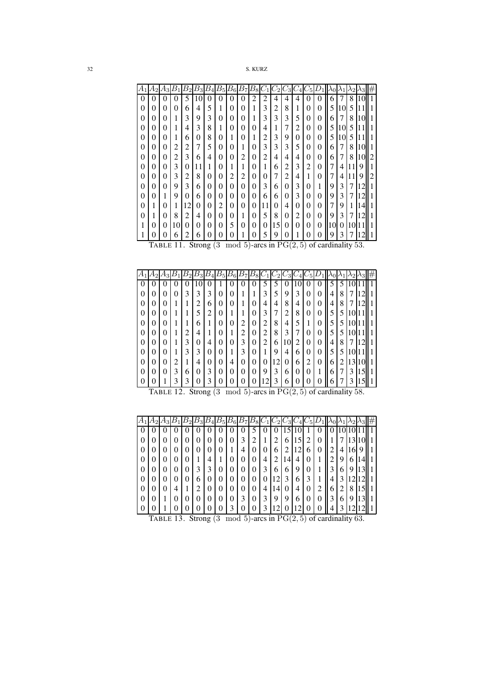| 32 | S. KURZ |
|----|---------|
|----|---------|

|          | А2       | А3     | Б  | В  | $B_3$ | В        | $B_{\rm 5}$ | $B_6\,$ | B7 | $B_8\,$ |                |    |   |                |          |   |    |    |          |    | # |
|----------|----------|--------|----|----|-------|----------|-------------|---------|----|---------|----------------|----|---|----------------|----------|---|----|----|----------|----|---|
| $\theta$ | 0        | 0      | 0  | 5  | 10    | 0        | $\theta$    | 0       | 0  | 2       | $\overline{c}$ | 4  | 4 | 4              | 0        | 0 | 6  | 7  | 8        | 10 |   |
| 0        | 0        | 0      | 0  | 6  | 4     | 5        | 1           | 0       | 0  | 1       | 3              | 2  | 8 | 1              | 0        | 0 | 5  | 10 | 5        |    |   |
| 0        | 0        | 0      | п  | 3  | 9     | 3        | 0           | 0       | 0  |         | 3              | 3  | 3 | 5              | 0        | 0 | 6  | 7  | 8        | 10 |   |
| 0        | $\theta$ | 0      |    | 4  | 3     | 8        | 1           | 0       | 0  | 0       | 4              | 1  | 7 | $\overline{c}$ | 0        | 0 | 5  | 10 | 5        |    |   |
| 0        | 0        | 0      | 1  | 6  | 0     | 8        | 0           | 1       | 0  |         | $\overline{c}$ | 3  | 9 | 0              | 0        | 0 | 5  | 10 | 5        |    |   |
| 0        | 0        | 0      | 2  | 2  | 7     | 5        | 0           | 0       | 1  | 0       | 3              | 3  | 3 | 5              | 0        | 0 | 6  | 7  | 8        | 10 |   |
| 0        | $\theta$ | 0      | 2  | 3  | 6     | 4        | $\theta$    | 0       | 2  | 0       | $\overline{2}$ | 4  | 4 | 4              | 0        | 0 | 6  | 7  | 8        | 10 | 2 |
| 0        | 0        | 0      | 3  | 0  | 11    | 1        | 0           | 1       | 1  | 0       | 1              | 6  | 2 | 3              | 2        | 0 | 7  | 4  |          | 9  |   |
| 0        | 0        | 0      | 3  | 2  | 8     | $\theta$ | 0           | 2       | 2  | 0       | 0              | 7  | 2 | 4              | 1        | 0 | 7  | 4  |          | 9  | 2 |
| 0        | 0        | 0      | 9  | 3  | 6     | 0        | $\theta$    | 0       | 0  | 0       | 3              | 6  | 0 | 3              | 0        | 1 | 9  | 3  | 7        | ۱۵ |   |
| 0        | 0        |        | 9  | 0  | 6     | $\theta$ | 0           | 0       | 0  | 0       | 6              | 6  | 0 | 3              | $\theta$ | 0 | 9  | 3  | 7        | 12 |   |
| 0        | 1        | 0      | 1  | 12 | 0     | 0        | 2           | 0       | 0  | 0       | 11             | 0  | 4 | $\theta$       | 0        | 0 | 7  | 9  | 1        | 14 |   |
| $\theta$ | 1        | $_{0}$ | 8  | 2  | 4     | $\theta$ | $\theta$    | 0       | 1  | 0       | 5              | 8  | 0 | 2              | 0        | 0 | 9  | 3  | 7        | 12 |   |
| 1        | 0        | 0      | 10 | 0  | 0     | 0        | 0           | 5       | 0  | 0       | 0              | 15 | 0 | 0              | $\theta$ | 0 | 10 | 0  | $\left($ |    |   |
| 1        | 0        | 0      | 6  | 2  | 6     | 0        | 0           | 0       |    |         | 5              | 9  |   |                | 0        | 0 | 9  | 3  |          |    |   |

|  |  |  |  |  |  |  | TABLE 11. Strong $(3 \mod 5)$ -arcs in $PG(2, 5)$ of cardinality 53. |  |  |  |
|--|--|--|--|--|--|--|----------------------------------------------------------------------|--|--|--|

| А              |   |   |                |        | Bз | В | $B_{5}$  | $B_6$ | $B_7$  | $B_8$            |   |    |              |    |                  |   |   |   |    |   |  |
|----------------|---|---|----------------|--------|----|---|----------|-------|--------|------------------|---|----|--------------|----|------------------|---|---|---|----|---|--|
| $\overline{0}$ | 0 | 0 | O              | 0      | 10 | Ü | ı        | 0     | 0      | 0                | 5 | 5  | 0            | 10 | 0                | 0 | 5 | 5 |    |   |  |
| $\overline{0}$ |   | 0 | $\theta$       | 3      | 3  | 3 | 0        | 0     |        | 1                | 3 | 5  | 9            | 3  | $\theta$         | 0 | 4 | 8 |    |   |  |
| 0              |   | 0 | 1              |        | ◠  | 6 | 0        | 0     |        | $\left( \right)$ | 4 | 4  | 8            | 4  | 0                | 0 | 4 | 8 |    |   |  |
| $\overline{0}$ |   | 0 | 1              |        | 5  | 2 | 0        |       |        | 0                | 3 |    | ി<br>∠       | 8  | $\left( \right)$ | 0 | 5 | 5 | 10 |   |  |
| $\overline{0}$ |   | 0 | 1              |        | 6  |   | 0        | 0     | ◠<br>∠ | 0                | 2 | 8  | 4            | 5  | ı                | 0 | 5 | 5 | 10 |   |  |
| 0              | 0 | 0 | 1              | ◠<br>∠ | 4  |   | 0        |       | ി<br>∠ | $\theta$         | 2 | 8  | 3            | 7  | 0                | 0 | 5 | 5 | 10 |   |  |
| 0              | 0 | 0 | 1              | 3      | 0  | 4 | 0        | 0     | 3      | 0                | 2 | 6  | $10^{\circ}$ | 2  | $\left( \right)$ | 0 | 4 | 8 |    | ◠ |  |
| $\overline{0}$ | 0 | 0 | 1              | 3      | 3  | 0 | 0        |       | 3      | $\theta$         | ı | 9  | 4            | 6  | $\theta$         | 0 | 5 | 5 |    |   |  |
| $\overline{0}$ | 0 | 0 | $\overline{2}$ | 1      | 4  | 0 | $\theta$ | 4     | 0      | 0                | 0 | 12 | $\theta$     | 6  | $\overline{2}$   | 0 | 6 | 2 | 3  |   |  |
| $\overline{0}$ | 0 | 0 | 3              | 6      | 0  | 3 | $\Omega$ | 0     | 0      | 0                | 9 | 3  | 6            | 0  | 0                |   | 6 | 7 | 3  | 5 |  |
| 0              |   |   | 3              | 3      |    | 3 | 0        | 0     |        |                  | C | 3  | h            | 0  |                  |   | h |   | 3  |   |  |

| TABLE 12. Strong $(3 \mod 5)$ -arcs in PG $(2,5)$ of cardinality 58. |  |  |  |  |  |
|----------------------------------------------------------------------|--|--|--|--|--|
|----------------------------------------------------------------------|--|--|--|--|--|

| А        | $A_2$ | Аз       |                  |          | B3 | Б        | $B_{5}$  | $ B_6 $  | $B_7B_8C_1$ |          |   | $ C_2 C_3 C_4 C_5 $ |          |    |   |          |   |   |     |    |  |
|----------|-------|----------|------------------|----------|----|----------|----------|----------|-------------|----------|---|---------------------|----------|----|---|----------|---|---|-----|----|--|
| 0        |       |          |                  | 0        |    |          | O        | 0        |             |          | 0 |                     |          |    |   |          |   |   |     |    |  |
| $\theta$ |       |          | 0                | 0        |    | 0        | $\Omega$ | $\Omega$ | 3           | 2        | 1 | 2                   | 6        | 15 | 2 | $\Omega$ |   |   |     |    |  |
| $\theta$ |       | $\theta$ | 0                | 0        | 0  | $\theta$ | 0        |          | 4           | 0        | 0 | 6                   | 2        | 12 | 6 | $\theta$ | 2 | 4 | 16. | 9  |  |
| $\theta$ |       | 0        | 0                | 0        |    | 4        |          | 0        | 0           | $\theta$ | 4 | 2                   | 14       | 4  | 0 |          | ∍ | 9 | 6   | 14 |  |
| $\theta$ |       | $\theta$ | 0                | 0        |    | 3        | $\Omega$ | 0        | 0           |          | 3 | 6                   | 6        | 9  | 0 |          |   | 6 | 9   |    |  |
| $\theta$ |       | $\theta$ | $\theta$         | $\theta$ | 6  | $\theta$ | $\Omega$ | 0        | 0           | O        | 0 | 12                  | 3        | 6  | 3 |          |   | 3 |     |    |  |
| $\theta$ |       | $\theta$ | 4                |          |    | $\theta$ | 0        | 0        | 0           | $\theta$ | 4 | 14                  | $\theta$ | 4  | 0 | 2        | 6 | 2 | 8   |    |  |
| $\theta$ |       |          | $\left( \right)$ | 0        | 0  | 0        | 0        | $\theta$ | 3           | $\theta$ | 3 | 9                   | 9        | 6  | 0 | 0        | 3 | 6 | 9   |    |  |
| 0        |       |          |                  |          |    |          |          |          |             |          | 3 |                     |          |    |   |          |   |   |     |    |  |

TABLE 13. Strong  $(3 \mod 5)$ -arcs in  $PG(2, 5)$  of cardinality 63.